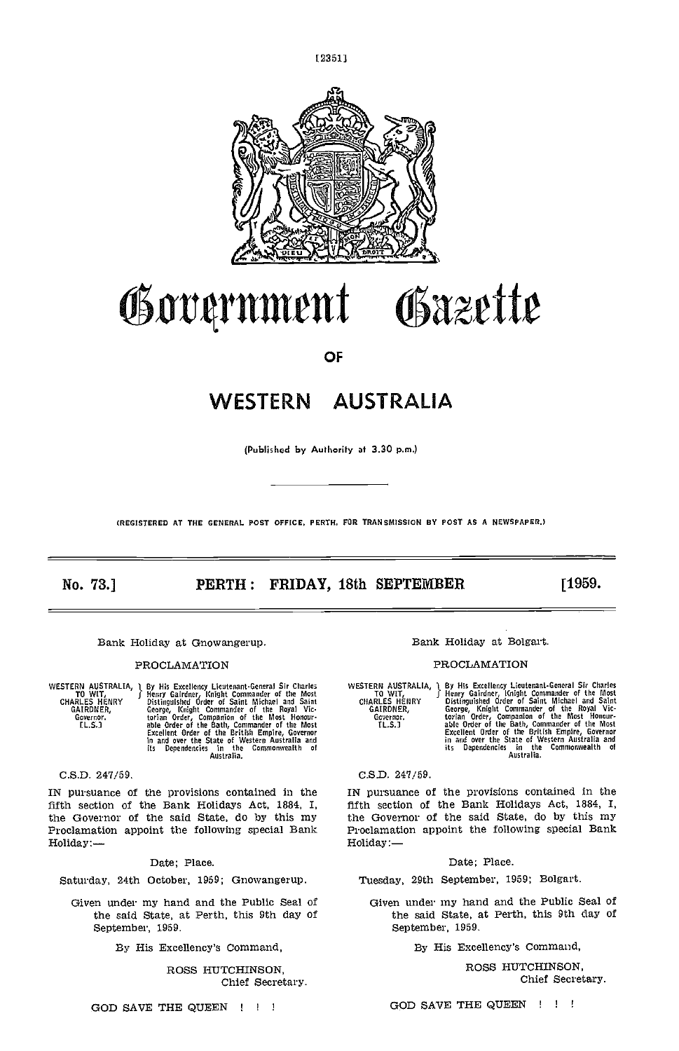



# Government Gazette

OF

## WESTERN AUSTRALIA

(Publishod by Authority at 3.30 p.m.)

IREGISTERED AT THE GENERAL POST OFFICE, PERTH. FOR TRANSMISSION BY POST AS A NEWSPAPER.)

### No. 73.] **PERTH: FRIDAY, 18th SEPTEMBER** [1959.

WESTERN AUSTRALIA, 1 By Hi<br>CHARLES HENRY Distin<br>CHARLES HENRY Getry<br>GAIRDNER, Georg<br>Covernar. torian<br>IL.S.] able By His Excellency Lieutenant-General Sir Charles<br>
Henry Gardner, Knight Commander of the Most<br>
Distinguished Order of Saint Michael and Saint<br>
George, Knight Commander of the Royal Vic-<br>
torian Order, Companion of the Most

### C.S.D. 247/59.

IN pursuance of the provisions contained in the Proclamation appoint the following special Bank Holiday:

### Date: Place.

Tuesday, 29th September, 1959; Bolgart.

Given under my hand and the Public Seal of the said State, at Perth, this 9th day of September, 1959.

By His Excellency's Command,

ROSS HUTCHINSON, Chief Secretary.

### Bank Holiday at Gnowangerup. The Bank Holiday at Bolgart.

### PROCLAMATION PROCLAMATION

WESTERN AUSTRALIA, 1 By His Excellency Lieutenand-General Sir Charles<br>
CHARLES HENRY J Henry Galrdner, Knight Commander of the Most<br>
CHARLES HENRY Distinguished Order of Saint Michael and Saint<br>
GARLES HENRY George, Knight

C.S.D. 247/59.

IN pursuance of the provisions contained in the IN pursuance of the provisions contained in the fifth section of the Bank Holidays Act, 1884, I, the Governor of the said State, do by this my<br>
Proclamation appoint the following special Bank<br>
Holiday:—<br>
Holiday:—<br>
Holiday:—

### Date; Place.

Saturday, 24th October, 1959; Gnowangerup.

Given under my hand and the Public Seal of the said State, at Perth, this 9th day of September, 1959.

By His Excellency's Command,

ROSS HUTCHINSON, Chief Secretary.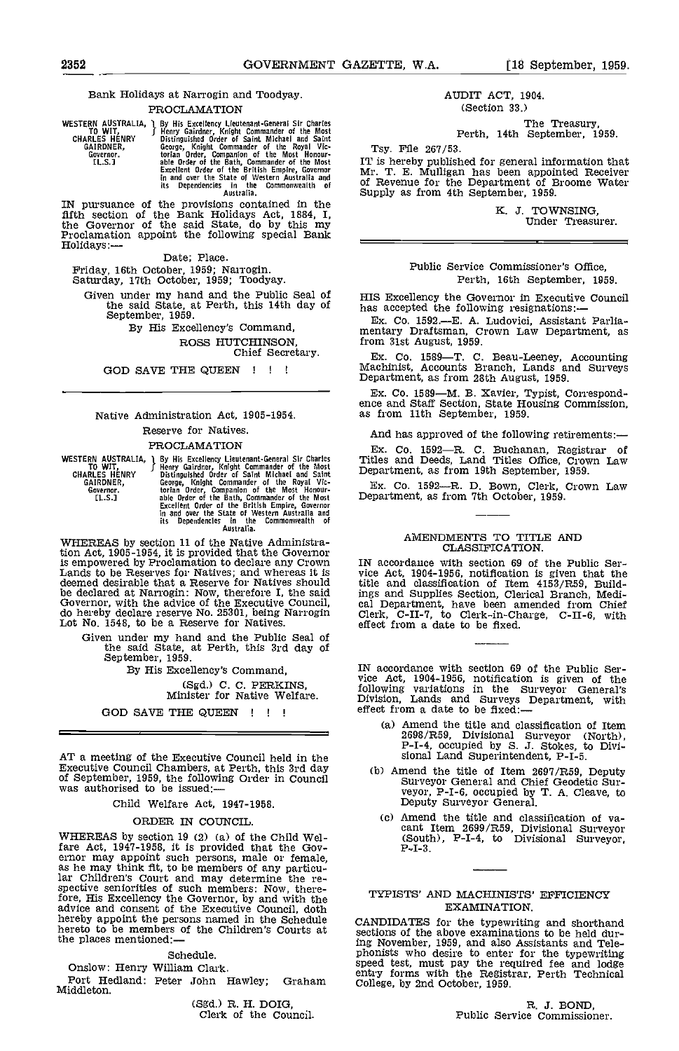### Bank Holidays at Narrogin and Toodyay. PROCLAMATION

WESTERN AUSTRALIA, J By His Excellency Lieutenant-General Sir Charles To WIT, Henry Gairley, Knjght Commander of the Rost GARLES HENRY Bistinguished Order of Saint Michael and Saint GARLES HENRY George, Knight Commander of

IN pursuance of the provisions contained in the<br>fifth section of the Bank Holidays Act, 1884, I,<br>the Governor of the said State, do by this my<br>Proclamation appoint the following special Bank<br>Holidays: Date; Place.

Given under my hand and the Public Seal of HI<br>the said State, at Perth, this 14th day of has<br>September, 1959.

ROSS HUTCHINSON, Chief Secretary.

GOD SAVE THE QUEEN !!!

### Native Administration Act, 1905-1954. Reserve for Natives.

### PROCLAMATION

WESTERN AUSTRALIA, J By His Excellency Lieutenant-General Sir Charles<br>
CHARLES HENRY Beinguished Order of Saint Michael and Saint<br>
GARLES HENRY Distinguished Order of Saint Michael and Saint<br>
GARLES HENRY Distinguished Ord

WHEREAS by section 11 of the Native Administra-tion Act, 1905-1954, it is provided that the Governor is empowered by Proclamation to declare any Crown Lands to be Reserves for Natives; and whereas it is a vice  $P$  deemed desirable that a Reserve for Natives should lattice a be declared at Narrogin: Now, therefore I, the said ings a Governor, with the advice of the Executive Council, cal Do hereby declare reserve No. 25301, being Narrogin Clerk, Lot No. 1548, to be a Reserve for Natives. effec

Given under my hand and the Public Seal of the said State, at Perth, this 3rd day of September, 1959.

By His Excellency's Command, (Sgd.) C. C. PERKINS, Minister for Native Welfare.

GOD SAVE THE QUEEN ! ! !

AT a meeting of the Executive Council held in the Sional Land Superintendent, P-I-5.<br>Executive Council Chambers, at Perth, this 3rd day (b) Amend the title of Item 2697/R59, Deputy of September, 1959, the following Order in Council was authorised to be Issued:

Child Welfare Act, 1947-1958.

### ORDER IN COUNCIL.

WHEREAS by section 19 (2) (a) of the Child Welfare Act, 1947-1958, it is provided that the Governor may appoint such persons, male or female, as he may think fit, to be members of any particular Children's Court and may determine the re-spective seniorities of such members: Now, therefore, His Excellency the Governor, by and with the advice and consent of the Executive Council, doth hereby appoint the persons named in the Schedule hereto to be members of the Children's Courts at the places mentioned:—

Schedule.

Onslow: Henry William Clark.

Port Hedland: Peter John Hawley; Graham Middleton.

(Sgd.) R. H. DOIG, Clerk of the Council.

### AUDIT ACT, 1904. (Section 33.)

The Treasury,<br>Perth, 14th September, 1959.

Tsy. File 267/53.

IT is hereby published for general information that Mr. T. E. Mulligan has been appointed Receiver of Revenue for the Department of Broome Water Supply as from 4th September, 1959.

K. J. TOWNSING, Under Treasurer.

Public Service Commissioner's Office, Perth, 16th September, 1959.

HIS Excellency the Governor in Executive Council has accepted the following resignations:

Ex. Co. 1592.E. A. Ludovici, Assistant Parlia- mentary Draftsman, Crown Law Department, as from 31st August, 1959.

Ex. Co. 1589—T. C. Beau-Leeney, Accounting Machinist, Accounts Branch, Lands and Surveys Department, as from 28th August, 1959.

Ex. Co. 1589—M. B. Xavier, Typist, Correspond-<br>ence and Staff Section, State Housing Commission,<br>as from 11th September, 1959.

And has approved of the following retirements:

Ex. Co. 1592-R. C. Buchanan, Registrar of Titles and Deeds, Land Titles Office, Crown Law Department, as from 19th September, 1959.

Ex. Co. 1592-R. D. Bown, Clerk, Crown Law Department, as from 7th October, 1959.

### AMENDMENTS TO TITLE AND CLASSIFICATION.

IN accordance with section 69 of the Public Ser-vice Act, 1904-1956, notification is given that the title and classification of Item 4153/R59, Buildings and Supplies Section, Clerical Branch, Medi- cal Department, have been amended from Chief Clerk, C-II-7, to Clerk-in-Charge, C-Il-S. with effect from a date to be fixed.

IN accordance with section 69 of the Public Service Act, 1904-1956, notification is given of the following variations in the Surveyor General's Division, Lands and Surveys Department, with effect from a date to be fixed:

- (a) Amend the title and classification of Item 2698/R59, Divisional Surveyor (North), P-I-4, occupied by 5. 3. Stokes, to Divi- sional Land Superintendent, P-I-S.
- Surveyor General and Chief Geodetic Surveyor, P-I-6, occupied by T. A. Cleave, to Deputy Surveyor General.
- (c) Amend the title and classification of va-<br>cant Item 2699/R59, Divisional Surveyor<br>(South), P-I-4, to Divisional Surveyor,<br> $P-I-3$ .

### TYPISTS' AND MACHImSTS' EFFICIENCY EXAMINATION.

CANDIDATES for the typewriting and shorthand sections of the above examinations to be held during November, 1959, and also Assistants and Teleing November, 1959, and also Assistants and Tele-<br>phonists who desire to enter for the typewriting<br>speed test, must pay the required fee and lodge<br>entry forms with the Registrar, Perth Technical<br>College, by 2nd October, 19

R. J. BOND,<br>Public Service Commissioner.

Friday, 16th October, 1959; Narrogin. Saturday, 17th October, 1959; Toodyay.

September, 1959.<br>By His Excellency's Command,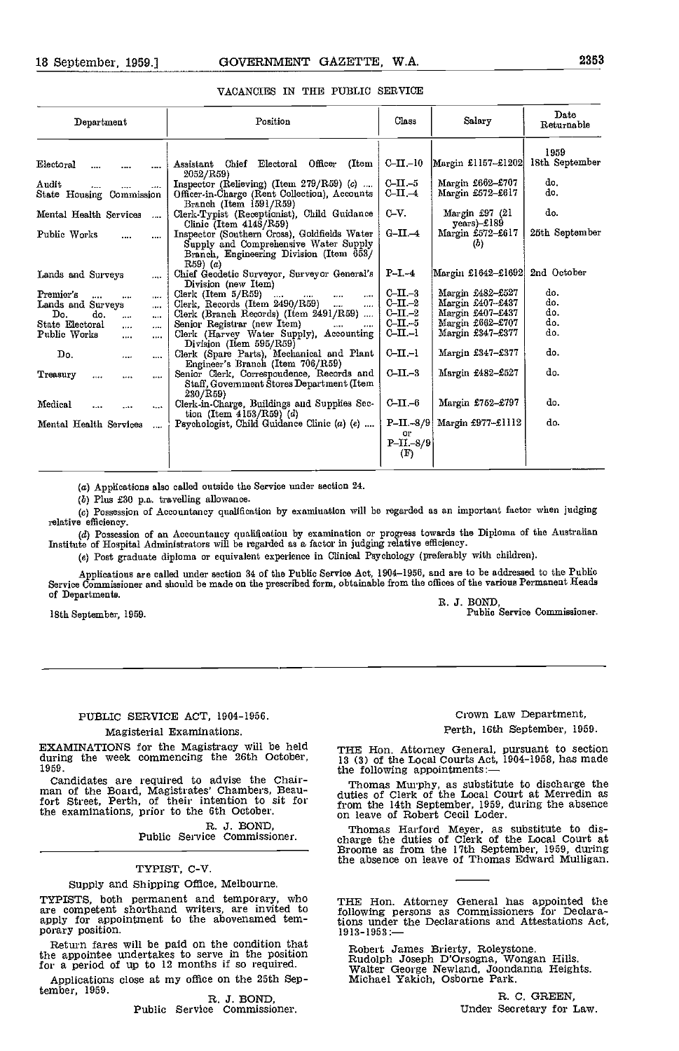| Department                            | Position                                                                                                                                       | Class                                  | Salary                            | Date<br>Returnable |
|---------------------------------------|------------------------------------------------------------------------------------------------------------------------------------------------|----------------------------------------|-----------------------------------|--------------------|
|                                       |                                                                                                                                                |                                        |                                   | 1959               |
| Electoral<br>                         | Assistant Chief Electoral Officer<br>(Item<br>2052/R59)                                                                                        | $C$ -II $-10$                          | Margin £1157-£1202                | 18th September     |
| Audit<br>$\cdots$                     | Inspector (Relieving) (Item $279/\text{R59}$ ) (c)                                                                                             | $C-II - 5$                             | Margin £662-£707                  | do.                |
| State Housing Commission              | Officer-in-Charge (Rent Collection), Accounts<br>Branch (Item 1591/R59)                                                                        | $C$ -II. $-4$                          | Margin £572-£617                  | do.                |
| Mental Health Services<br>$\cdots$    | Clerk-Typist (Receptionist), Child Guidance<br>Clinic (Item $4148/R59$ )                                                                       | $C-V.$                                 | Margin £97 (21<br>$years) - £189$ | do.                |
| Public Works<br>$\cdots$              | Inspector (Southern Cross), Goldfields Water<br>Supply and Comprehensive Water Supply<br>Branch, Engineering Division (Item 653/<br>$R59)$ (a) | $G-II. -4$                             | Margin £572-£617<br>(b)           | 25th September     |
| Lands and Surveys                     | Chief Geodetic Surveyor, Surveyor General's<br>Division (new Item)                                                                             | $P-I-4$                                | Margin £1642-£1692                | 2nd October        |
| Premier's<br>$\cdots$<br><br>$\cdots$ | Clerk (Item $5/R59$ )<br>$\cdots$<br>$\cdots$<br><br>$\cdots$                                                                                  | $C-II -3$                              | Margin £482-£527                  | do.                |
| Lands and Surveys<br>$\cdots$         | Clerk, Records (Item $2490/R59$ )<br>$\cdots$<br>                                                                                              | $C$ -II. $-2$                          | Margin $£407 - £437$              | do.                |
| Do.<br>do.<br>$\cdots$<br>$\cdots$    | Clerk (Branch Records) (Item 2491/R59)                                                                                                         | $C-II -2$                              | Margin £407-£437                  | do.                |
| State Electoral<br>$\cdots$<br>       | Senior Registrar (new Item)                                                                                                                    | $C-III. -5$                            | Margin £662-£707                  | do.                |
| Public Works<br>$\cdots$<br>          | Clerk (Harvey Water Supply), Accounting<br>Division (Item 595/R59)                                                                             | $CLI - I$                              | Margin £347-£377                  | do.                |
| $\mathbf{D}$ o.<br><br>$\cdots$       | Clerk (Spare Parts), Mechanical and Plant<br>Engineer's Branch (Item 706/R59)                                                                  | $C-II-1$                               | Margin £347-£377                  | do.                |
| Treasury<br>$\cdots$<br><br>$\cdots$  | Senior Clerk, Correspondence, Records and<br>Staff, Government Štores Department (Item<br>230/RS9                                              | $C$ -II.-3                             | Margin £482-£527                  | do.                |
| Medical<br>$\cdots$<br>               | Clerk-in-Charge, Buildings and Supplies Sec-<br>tion (Item $4153/R59$ ) (d)                                                                    | $C-II -6$                              | Margin £752-£797                  | do.                |
| Mental Health Services<br>.           | Psychologist, Child Guidance Clinic (a) (e)                                                                                                    | $P-II.-8/9$<br>Or<br>$P-TL-8/9$<br>(F) | Margin $£977 - £1112$             | do.                |

### VACANCIES IN THE PUBLIC SERVICE

(a) Applications also called outside the Service under section 24.

(5) Plus £30 p.a. traveling allowance.

Possession of Accountancy qualification by examination will be regarded as an important factor when judging relative efficiency.

Possession of an Accountancy qualification by examination or progress towards the Diploma of the Australian Institute of Hospital Administrators will be regarded as a factor in judging relative efficiency.

(e) Post graduate diploma or equivalent experience in Clinical Psychology (preferably with children).

Applications are called under section 34 of the Public Service Act, 1904-1966, and are to be addressed to the Public Service Commissioner and should be made on the prescribed form, obtainable from the offices of the various Permanent Heads of Departments.<br>
R. J. BOND,

18th September, 1959.<br>
18th September, 1959.<br>
Public Service Commissioner.

### PUBLIC SERVICE ACT, 1904-1956.

### Magisterial Examinations.

EXAMINATIONS for the Magistracy will be held during the week commencing the 26th October, 1959.

Candidates are required to advise the Chair-<br>man of the Board, Magistrates' Chambers, Beau-<br>fort Street, Perth, of their intention to sit for fro the examinations, prior to the 6th October.

R. J. BOND,<br>Public Service Commissioner.

### TYPIST, C-V.

Supply and Shipping Office, Melbourne.

TYPISTS, both permanent and temporary, who are competent shorthand writers, are invited to apply for appointment to the abovenamed tem-<br>porary position. by the above is the porary position.

Return fares will be paid on the condition that the appointee undertakes to serve in the position and the appointee undertakes to serve in the position and Rud

Applications close at my office on the 25th September, 1959.

R. J. BOND,<br>Public Service Commissioner.

Crown Law Department, Perth, 16th September, 1959.

THE Hon. Attorney General, pursuant to section 13 (3) of the Local Courts Act, 1904-1958, has made the following appointments:

Thomas Murphy, as substitute to discharge the duties of Clerk of the Local Court at Merredin as from the 14th September, 1959, during the absence on leave of Robert Cecil Loder.

Thomas Harford Meyer, as substitute to dis- charge the duties of Clerk of the Local Court at Broome as from the 17th September, 1959, during the absence on leave of Thomas Edward Mulligan.

THE Hon. Attorney General has appointed the following persons as Commissioners for Declara-tions under the Declarations and Attestations Act, 1913-1953:

Robert James Brierty, Roleystone. Rudolph Joseph D'Orsogna, Wongan Hills. Walter George Newland, Joondanna Heights. Michael Yakich, Osborne Park.

R. C. GREEN, Under Secretary for Law.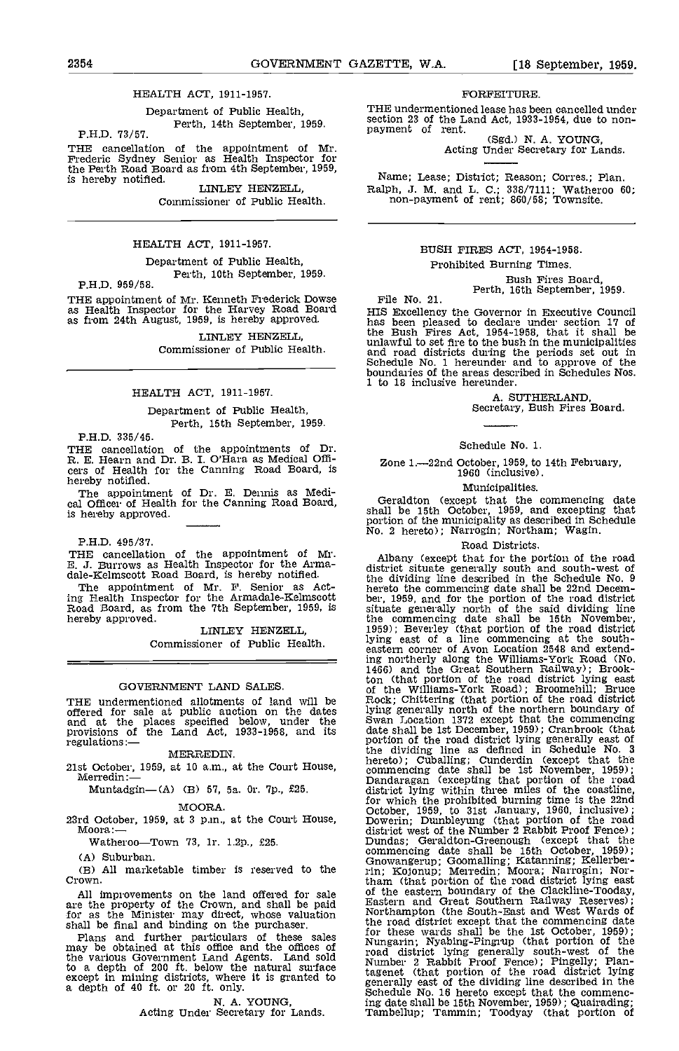### HEALTH ACT, 1911-1957.

Department of Public Health, Perth, 14th September, 1959. PH.D. 73/57.

THE cancellation of the appointment of Mr. Frederic Sydney Senior as Health Inspector for the Perth Road Board as from 4th September, 1959,<br>is hereby notified. LINLEY HENZELL,

Commissioner of Public Health.

### HEALTH ACT, 1911-1957.

Department of Public Health, P.H.D. 959/58.<br>
P.H.D. 959/58.

THE appointment of Mr. Kenneth Frederick Dowse as Health Inspector for the Harvey Road Board as from 24th August, 1959, is hereby approved.

LINLEY HENZELL Commissioner of Public Health.

### HEALTH ACT, 1911-1957.

Department of Public Health, Perth, 15th September, 1959.

PH.D. 335/45.

THE cancellation of the appointments of Dr.<br>R. E. Hearn and Dr. B. I. O'Hara as Medical Officers of Health for the Canning Road Board, is<br>hereby notified.<br>The appointment of Dr. E. Dennis as Medi-<br>cal Officer of Health for

PH.D. 495/37.

THE cancellation of the appointment of Mr. E. J. Burrows as Health Inspector for the Arma- dale-Kelmscott Road Board, is hereby notified.

The appointment of Mr. F. Senior as Acting Health Inspector for the Armadale-Kelmscott ber,<br>Road Board, as from the 7th September, 1959, is situ<br>hereby approved. the

LINLEY HENZELL Commissioner of Public Health.

GOVERNMENT LAND SALES

THE undermentioned allotments of land will be offered for sale at public auction on the dates bying and at the places specified below, under the Swan<br>provisions of the Land Act, 1933-1958, and its date: regulations:-

MERREDIN.

21st October, 1959, at 10 am., at the Court House, Merredin

Muntadgin-(A) (B) 57, 5a. 0r. 7p., £25.

### MOORA.

23rd October, 1959, at 3 p.m., at the Court House, Moora: $\leftarrow$ 

Watheroo-Town 73, 1r. 1.2p., £25.

(A) Suburban.

All marketable timber is reserved to the Crown.

All improvements on the land offered for sale of the are the property of the Crown, and shall be paid  $\frac{\text{Easter}}{\text{Motthe}}$ for as the Minister may direct, whose valuation Northern Roll

shall be final and binding on the purchaser. The room of the room and further particulars of these sales for the may be obtained at this office and the offices of the various Government Land Agents. Land sold road to a dep except in mining districts, where it is granted to tageneral capacity of the sense of the sense of the districts, where it is granted to a general

N. A. YOUNG,<br>Acting Under Secretary for Lands.

### FORFEITURE.

THE undermentioned lease has been cancelled under<br>section 23 of the Land Act, 1933-1954, due to non-

payment of rent.<br>(Sgd.) N. A. YOUNG,<br>Acting Under Secretary for Lands.

Name; Lease; District; Reason; Corres.; Plan. Ralph, J. M. and L. C.; 338/7111; Watheroo 60; non-payment of rent; 860/58; Townsite.

### BUSH FIRES ACT, 1954-1958. Prohibited Burning Times.

Bush Fires Board,<br>Perth, 16th September, 1959.<br>HIS Excellency the Governor in Executive Council HIS Excellency the Governor In Executive Council<br>has been pleased to declare under section 17 of<br>the Bush Fires Act, 1954-1958, that it shall be<br>unlawful to set fire to the bush in the municipalities<br>and road districts dur 1 to 18 inclusive hereunder.

A. SUTHERLAND, Secretary, Bush Fires Board.

### Schedule No. 1.

Zone 1.-22nd October, 1959, to 14th February, 1960 (inclusive).

Municipalities.

Geraldton (except that the commencing date shall be 15th October, 1959, and excepting that portion of the municipality as described in Schedule No. 2 hereto); Narrogin; Northam; Wagin.

### Road Districts.

Albany (except that for the portion of the road district situate generally south and south-west of the dividing line described in the Schedule No. 9 hereto the commencing date shall be 22nd Decem-<br>ber, 1959, and for the portion of the road district<br>situate generally north of the said dividing line the commencing date shall be 15th November, 1959); Beverley (that portion of the road district lying east of a line commencing at the south- eastern corner of Avon Location 2548 and extending northerly along the Williams-York Road (No.<br>1466) and the Great Southern Railway); Brook-<br>ton (that portion of the road district lying east<br>of the Williams-York Road); Broomehill; Bruce<br>Rock; Chittering (that portion o lying generally north of the northern boundary of Swan Location 1372 except that the commencing date shall be 1st December. 1959); Cranbrook (that portion of the road district lying generally east of the dividing line as defined in Schedule No. 3 hereto); Cuballing; Cunderdin (except that the commencing date shall be 1st November, 1959); Dandaragan (excepting that portion of the road district lying within three miles of the coastline, for which the prohibited burning time is the 22nd October, 1959, to 31st January, 1960, inclusive); Dowerin; Dumbleyung (that portion of the road district west of the Number 2 Rabbit Proof Fence); Dundas; Geraldton-Greenough (except that the commencing date shall be 15th October, 1959);<br>Gnowangerup; Goomalling; Katanning; Kellerber-<br>rin; Kojonup; Merredin; Moora; Narrogin; Northam (that portion of the road district lying east of the eastern boundary of the Clackline-Tooday, Eastern and Great Southern Railway Reserves); Northampton (the South-East and West Wards of the road district except that the commencing date<br>for these wards shall be the 1st October, 1959);<br>Nungarin; Nyabing-Pingrup (that portion of the road district lying generally south-west of the Number 2 Rabbit Proof Fence); Pingelly; Plantagenet (that portion of the road district lying generally east of the dividing line described In the Schedule No. 16 hereto except that the commencing date shall be 15th November, 1959); Quairading; Tambellup; Tammin; Toodyay (that portion of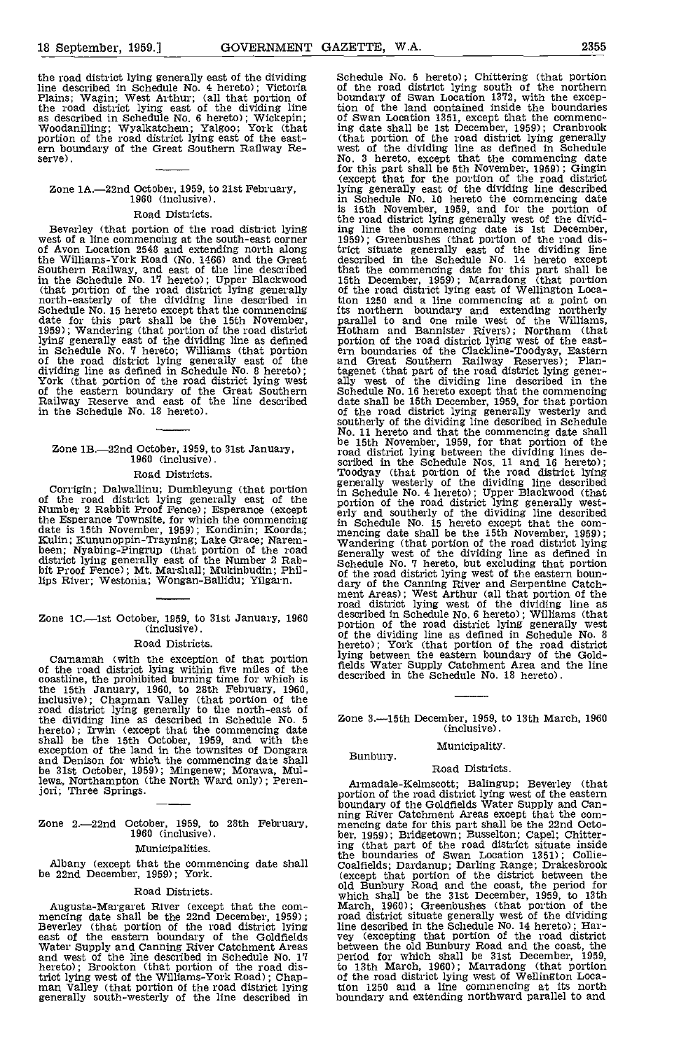the road district lying generally east of the dividing line described in Schedule No. 4 hereto); Victoria Plains; Wagin; West Arthur; (all that portion of the road district lying east of the dividing line tion as described in Schedule No. 6 hereto); Wickepin; of Woodanilling; Wyalkatchen; Yalgoo; York (that in portion of the road district lying east of the east- (tern boundary of the Great Southern Railway Re- serve).

## Zone 1A.-22nd October, 1959, to 21st February,<br>1960 (inclusive).

### Road Districts.

Beverley (that portion of the road district lying west of a line commencing at the south-east corner of Avon Location 2548 and extending north along the Williams-York Road (No. 1466) and the Great describ<br>Southern Railway, and east of the line described that the<br>in the Schedule No. 17 hereto); Upper Blackwood 15th I<br>(that portion of the road district lying generally of Schedule No. 15 hereto except that the commencing its nordate for this part shall be the 15th November, parallel 1959); Wandering (that portion of the dividing line as defined portion in Schedule No. 7 hereto; Williams (t

## Zone 1B.-22nd October, 1959, to 31st January, 1960 (inclusive).

### Road Districts.

Corrigin; Dalwallinu; Dumbleyung (that portion of the road district lying generally east of the portion<br>Number 2 Rabbit Proof Fence); Esperance (except  $\frac{1}{12}$  enly a the Esperance Townsite, for which the commencing date is 15th November, 1959); Kondinin; Koorda; mencing<br>
Kulin; Kununoppin-Trayning; Lake Grace; Narem- been; Nyabing-Pingrup (that portion of the road genera district lying generally east of the Number 2 Rab-<br>bit Proof Fence); Mt. Marshall; Mukinbudin; Phil-<br>lips River; Westonia; Wongan-Ballidu; Yilgarn. (1997)

## Zone 1C.—1st October, 1959, to 31st January, 1960 descri<br>
(inclusive). (inclusive).

### Road Districts.

Carnamah (with the exception of that portion of the road district lying within five miles of the<br>coastline, the prohibited burning time for which is<br>the 15th January, 1960, to 28th February, 1960,<br>inclusive); Chapman Valley (that portion of the road district lying generally to the north-east of the dividing line as described in Schedule No. 5 hereto); Irwin (except that the commencing date shall be the 15th October, 1959, and with the exception of the land in the townsites of Dongara and Denison for which the commencing date shall be 31st October, 1959); Mingenew; Morawa, Mullewa, Northampton (the North Ward only); Peren-jon; Three Springs.

## Zone 2.-22nd October, 1959, to 28th February, 1960 (inclusive).

### Municipalities.

Albany (except that the commencing date shall be 22nd December, 1959); York.

### Road Districts.

Augusta-Margaret River (except that the com-<br>mencing date shall be the 22nd December, 1959);<br>Beverley (that portion of the road district lying<br>east of the eastern boundary of the Goldfields east of the eastern boundary of the Goldfields<br>Water Supply and Canning River Catchment Areas<br>and west of the line described in Schedule No. 17<br>hereto); Brookton (that portion of the road district lying west of the William Schedule No. 5 hereto); Chittering (that portion of the road district lying south of the northern boundary of Swan Location 1372, with the exception of the land contained inside the boundaries of Swan Location 1351, except that the commencing date shall be 1st December, 1959); Cranbrook (that portion of the road district lying generally west of the dividing line as defined in Schedule No. 3 hereto, except that t for this part shall be 5th November, 1959); Gingin (except that for the portion of the road district lying generally east of the dividing line described<br>in Schedule No. 10 hereto the commencing date<br>is 15th November, 1959, and for the portion of<br>the road district lying generally west of the divid-<br>ing line the commencing trict situate generally east of the dividing line described in the Schedule No. 14 hereto except that the commencing date for this part shall be 15th December, 1959); Marradong (that portion of the road district lying east of Wellington Location 1250 and a line commencing at a point on<br>its northern boundary and extending northerly<br>parallel to and one mile west of the Williams,<br>Hotham and Bannister Rivers); Northam (that<br>portion of the road district lying west and Great Southern Railway Reserves); Plantagenet (that part of the road district lying gener-<br>ally west of the dividing line described in the<br>Schedule No. 16 hereto except that the commencing<br>date shall be 15th December, 1959, for that portion<br>of the road distric southerly of the dividing line described in Schedule No, 11 hereto and that the commencing date shall be 15th November, 1959, for that portion of the road district lying between the dividing lines de- scribed in the Schedule Nos. 11 and 18 hereto); Toodyay (that portion of the road district lying generally westerly of the dividing line described in Schedule No. 4 hereto); Upper Blackwood (that portion of the road district lying generally west- erly and southerly of the dividing line described in Schedule No. 15 hereto except that the com-<br>mencing date shall be the 15th November, 1959);<br>Wandering (that portion of the road district lying<br>generally west of the dividing line as defined in<br>Schedule No. 7 hereto, but of the road district lying west of the eastern boundary of the Canning River and Serpentine Catchment Areas); West Arthur (all that portion of the road district lying west of the dividing line as described in Schedule No. lying between the eastern boundary of the Goldfields Water Supply Catchment Area and the line described in the Schedule No. 18 hereto).

Zone 3-15th December, 1959, to 13th March, 1960 (inclusive).

## Municipality. Bunbury.

Road Districts.<br>Armadale-Kelmscott; Balingup; Beverley (that Armadale-Kelmscott; Balingup; Beverley (that portion of the road district lying west of the eastern boundary of the Goldfields Water Supply and Can-<br>ning River Catchment Areas except that the com-<br>mencing date for this part shall be the 22nd Octo-<br>ber, 1959); Bridgetown; Busselton; Capel; Chittering (that part of the road district situate inside the boundaries of Swan Location 1351); Collie-Coalfields; Dardanup; Darling Range; Drakesbrook (except that portion of the district between the old Bunbury Road and the coast, the period for which shall be the 31st Decembe line described in the Schedule No. 14 hereto); Har-<br>vey (excepting that portion of the road district<br>between the old Bunbury Road and the coast, the<br>period for which shall be 31st December, 1959,<br>to 13th March, 1960); Marr of the road district lying west of Wellington Loca-tion 1250 and a line commencing at its north boundary and extending northward parallel to and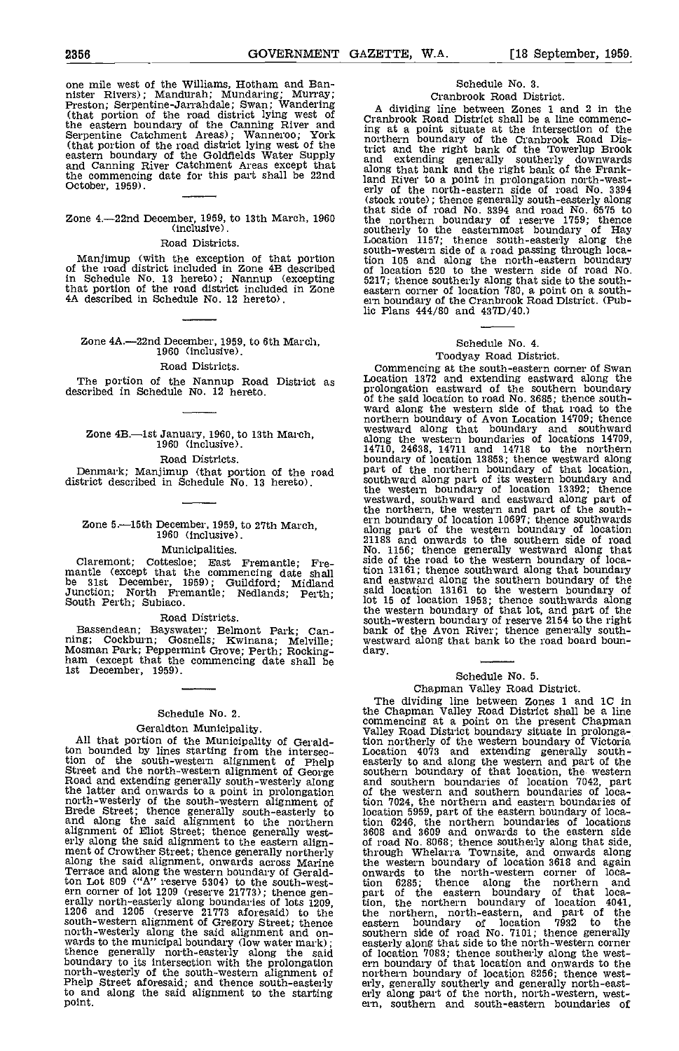### Zone  $4$ -22nd December, 1959, to 13th March, 1960 the r (inclusive).

### Road Districts.

Manjimup (with the exception of that portion tion 1<br>of the road district included in Zone 4B described of loce<br>in Schedule No. 13 hereto); Nannup (excepting 5217; t that portion of the road district included in Zone 4A described in Schedule No. 12 hereto).

Zone 4A.-22nd December, 1959, to 6th March, 1960 (inclusive).

### Road Districts.

## Zone 4B.—1st January, 1960, to 13th March, 1960 (inclusive).

### Road Districts.

Denmark; Manjimup (that portion of the road part of district described in Schedule No. 13 hereto).

### Zone 5.-15th December, 1959, to 27th March, 1960 (Inclusive).

### Municipalities.

Claremont; Cottesloe; East Fremantle; Pre- mantle (except that the commencing date shall be 31st Deoember, 1959); Guildford; Midland Junction; North Fremantle; Nedlands; Perth; South Perth; Subiaco.

### Road Districts.

Bassendean; Bayswater; Belmont Park; Can-<br>ning; Cockburn; Gosnells; Kwinana; Melville; Mosman Park; Peppermint Grove; Perth; Rocking-<br>ham (except that the commencing date shall be<br>1st December, 1959).

### Schedule No. 2.

Geraldton Municipality . Whiley .<br>
All that portion of the Municipality of Gerald-<br>
tion no bounded by lines starting from the intersec-<br>
Location of the south-western alignment of Phelp easterly<br>
Street and the north-west the latter and onwards to a point in prolongation of the north-westerly of the south-western alignment of bion 70<br>Brede Street; thence generally south-easterly to and along the said alignment to the northern bion 62 alignment of Eliot Street; thence generally west-<br>erly along the said alignment to the eastern align-<br>ment of Crowther Street; thence generally northerly<br>through along the said alignment, onwards across Marine Terrace and along the western boundary of Geraldton Lot 809 ("A" reserve 5304) to the south-west-<br>ern corner of lot 1209 (reserve 21773); thence gen-<br>erally north-easterly along boundaries of lots 1209, 1206<br>1206 and 1205 (reserve 21773 aforesaid) to the the r south-western alignment of Gregory Street; thence eastern and the municipal boundary (low water mark); seaterly along the said of low the municipal boundary (low water mark); thence generally north-easterly along the said boundary to its intersection with the prolongation ern boundary to its intersection with the prolongation norther norther phelp Street aforesaid; and thence south-easterly erly algebration and along the said alignment to t

### Schedule No. 3. Cranbrook Road District.

A dividing line between Zones 1 and 2 in the Cranbrook Road District shall be a line commenc- ing at a point situate at the intersection of the northern boundary of the Cranbrook Road District and the right bank of the Towerlup Brook and extending generally southerly downwards along that bank and the right bank of the Frankland River to a point in prolongation north-west-<br>erly of the north-eastern side of road No. 3394<br>(stock route); thence generally south-easterly along that side of road No. 3394 and road No. 6575 to that side of road No. 3394 and road No. 6575 to southerly to the easternmost boundary of Hay<br>Location 1157; thence south-easterly along the<br>south-western side of a road passing through loca-<br>tion 105 and along the north-eastern boundary<br>of location 520 to the western si 5217; thence southerly along that side to the south-<br>eastern corner of location 780, a point on a south-<br>ern boundary of the Cranbrook Road District. (Pub-<br>lic Plans 444/80 and 437D/40.)

### Schedule No. 4.

### Toodyay Road District.

Road Districts.<br>The portion of the Nannup Road District as described in Schedule No. 12 hereto.<br>described in Schedule No. 12 hereto. prolongation eastward of the southern boundary Location 1372 and extending eastward along the prolongation eastward of the southern boundary of the said location to road No. 3685; thence southof the said location to road No. 3685; thence south- ward along the western side of that road to the northern boundary of Avon Location 14709; thence westward along that boundary and southward along the western boundaries of locations 14709, 14710, 24638, 14711 and 14718 to the northern boundary of location 13853; thence westward along part of the northern boundary of that location, southward along part of its western boundary and the western boundary of location 13392; thence westward, southward and eastward along part of the northern, the western and part of the south- ern boundary of location 10697; thence southwards along part of the western boundary of location 21183 and onwards to the southern side of road No. 1156; thence generally westward along that side of the road to the western boundary of location 13161; thence southward along that boundary and eastward along the southern boundary of the said location 13161 to the western boundary of lot 15 of location 1953; thence southwards along the western boundary of that lot, and part of the south-western boundary of reserve 2154 to the right bank of the Avon River; thence generally south- westward along that bank to the road board boun- dary.

### Schedule No. 5. Chapman Valley Road District.

The dividing line between Zones 1 and 1C in the Chapman Valley Road District shall be a line the Chapman Valley Road District shall be a line commencing at a point on the present Chapman Valley Road District boundary situate in prolongation northerly of the western boundary of Victoria<br>Location 4073 and extending generally south-<br>easterly to and along the western and part of the<br>saterly to and along the western and part of the<br>and southern boundary of th tion 7024, the northern and eastern boundaries of location 5959, part of the eastern boundary of loca-tion 6246, the northern boundaries of locations 3608 and 3609 and onwards to the eastern side of road No. 8068; thence southerly along that side, through Whelarra Townsite, and onwards along the western boundary of location 3618 and again onwards to the north-western corner of location 6285; thence along the northern and<br>part of the eastern boundary of that loca-<br>tion, the northern boundary of location 4041,<br>the northern, north-eastern, and part of the<br>eastern boundary of location 7932 to the<br>south easterly along that side to the north-western corner<br>of location 7083; thence southerly along the west-<br>ern boundary of that location and onwards to the<br>northern boundary of location 8256; thence west-<br>erly, generally sout ern, southern and south-eastern boundaries of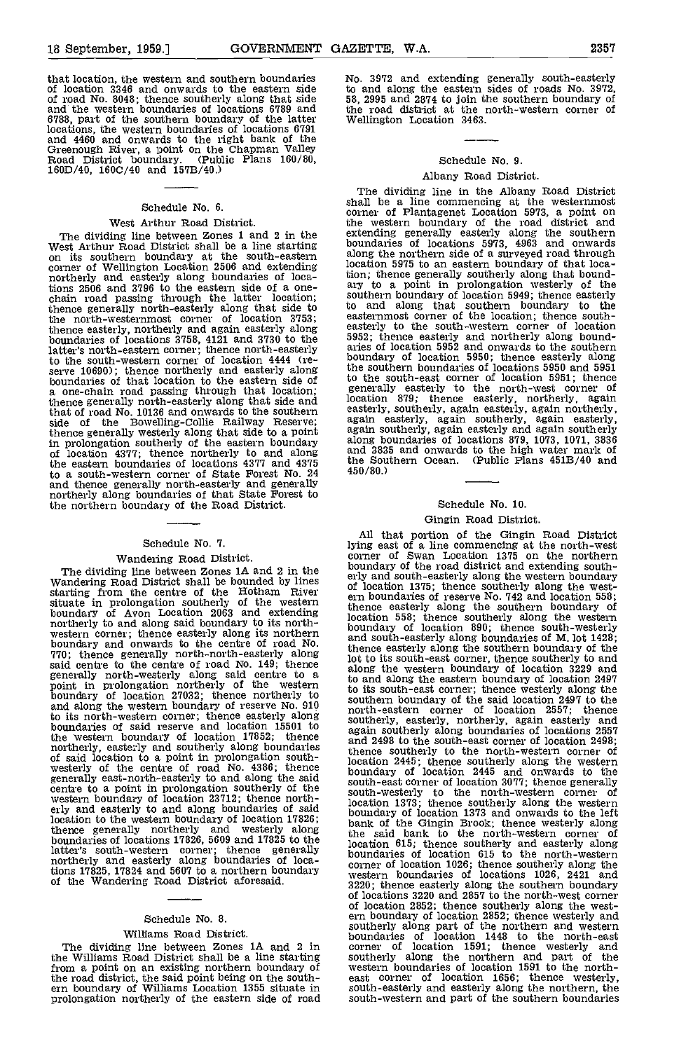that location, the western and southern boundaries Mo. 3546 and onwards to the eastern side to an of road No. 8048; thence southerly along that side 58, 29<br>and the western boundaries of locations 6789 and the re 6788, part of the southern boundary of the latter locations, the western boundaries of locations 6791 and 4460 and onwards to the right bank of the Greenough River, a point on the Chapman Valley Road District boundary. (Public Plans 160/80, 160D/40, 1600/40 and 157B/40.)

### Schedule No. 6.

West Arthur Road District.<br>The dividing line between Zones 1 and 2 in the The dividing line between Zones 1 and 2 in the West Arthur Road District shall be a line starting on its southern boundary at the south-eastern corner of Wellington Location 2506 and extending northerly and easterly along boundaries of locations 2506 and 3796 to the eastern side of a one-<br>chain road passing through the latter location; chain road passing through the latter location; souther thence generally north-easterly along that side to to an the north-westernmost corner of location 3753; thence easterly, northerly and again easterly along easterly<br>boundaries of locations 3758, 4121 and 3730 to the 5952; latter's north-eastern corner; thence north-easterly aries ( to the south-western corner of location 4444 (re-<br>serve 10690); thence northerly and easterly along boundaries of that location to the eastern side of to the a one-chain road passing through that location; thence generally north-easterly along that side and location that of road No. 10136 and onwards to the southern easter side of the Bowelling-Collie Railway Reserve; again<br>thence generally westerly along that side to a point again is<br>in prolongation southerly of the eastern boundary along l<br>of location 4377; thence northerly to and along an to a south-western corner of State Forest No. 24 and thence generally north-easterly and generally northerly along boundaries of that State Forest to the northern boundary of the Road District.

### Schedule No. 7.

### Wandering Road District.

The dividing line between Zones 1A and 2 in the Wandering Road District shall be bounded by lines starting from the centre of the Hotham River situate in prolongation southerly of the western thence boundary of Avon Location 2063 and extending northerly to and along said boundary to its north-<br>western corner; thence easterly along its northern boundary and onwards to the centre of road No.<br>770; thence generally north-north-easterly along the to said centre to the centre of road No. 149; thence<br>generally north-westerly along said centre to a along<br>point in prolongation northerly of the western to its is<br>boundary of location 27032; thence northerly to souther and along the western boundary of reserve No.  $910$  south to its north-western corner; thence easterly along the boundaries of said reserve and location 15501 to souther the western boundary of location  $17852$ ; thence  $\frac{9881}{200}$ northerly, easterly along boundaries of said location to a point in prolongation south-<br>westerly of the centre of road No. 4386; thence<br>generally east-north-easterly to and along the said centre to a point in prolongation southerly of the western boundary of location 23712; thence north-<br>erly and easterly to and along boundaries of said  $\frac{1}{\text{boundic}}$ location to the western boundary of location 17826; bound<br>thence generally northerly and westerly along the si boundaries of locations 17826, 5609 and 17825 to the<br>boundaries of locations 17826, 5609 and 17825 to the latter's south-western corner; thence generally locate<br>northerly and easterly along boundaries of loca-<br>corne tions 17825, 17824 and 5607 to a northern boundary comestions 17825, 17824 and 5607 to a northern boundary comes<br>of the Wandering Road District aforesaid.

### Schedule No. 8.

### Williams Road District.

The dividing line between Zones 1A and 2 in the Williams Road District shall be a line starting from a point on an existing northern boundary of the road district, the said point being on the south- ern boundary of Williams Location 1355 situate in prolongation northerly of the eastern side of road No. 3972 and extending generally south-easterly to and along the eastern sides of roads No. 3972, 58, 2995 and 2874 to join the southern boundary of the road district at the north-western corner of Wellington Location 3463.

### Schedule No. 9.

### Albany Road District.

The dividing line in the Albany Road District shall be a line commencing at the westernmost corner of Plantagenet Location 5973, a point on the western boundary of the road district and extending generally easterly along the southern<br>boundaries of locations 5973, 4963 and onwards along the northern side of a surveyed road through location 5975 to an eastern boundary of that location; thence generally southerly along that bound- ary to a point in prolongation westerly of the southern boundary of location 5949; thence easterly to and along that southern boundary to the easternmost corner of the location; thence south-easterly to the south-western corner of location easterly to the south-western corner of location 5952; thence easterly and northerly along bound-<br>aries of location 5952 and onwards to the southern boundary of location 5950; thence easterly along the southern boundaries of locations 5950 and 5951 to the south-east corner of location 5951; thence generally easterly to the north-west corner of location 879; thence easterly, northerly, again easterly, southerly, again easterly, again northerly. again easterly, again southerly, again easterly, again southerly, again easterly and again southerly along boundaries of locations 879, 1073, 1071, 3836 and 3835 and onwards to the high water mark of the Southern Ocean. (Public Plans 451B/40 and 450/80.)

### Schedule No. 10.

### Gingin Road District.

All that portion of the Gingin Road District lying east of a line commencing at the north-west corner of Swan Location 1375 on the northern corner of Swan Location 1375 on the northern<br>boundary of the road district and extending south-<br>erly and south-easterly along the western boundary<br>of location 1375; thence southerly along the west-<br>encodern boundaries of location 558; thence southerly along the western boundary of location 890; thence south-westerly and south-easterly along boundaries of M. lot 1428; thence easterly along the southern boundary of the lot to its south-east corner, thence southerly to and along the western boundary of location 3229 and to and along the eastern boundary of location 2497 to its south-east corner; thence westerly along the southern boundary of the said location 2497 to the north-eastern corner of location 2551; thence southerly, easterly, northerly, again easterly and<br>again southerly along boundaries of locations 2557 and 2498 to the south-east corner of location 2498; thence southerly to the north-western corner of location 2445; thence southerly along the western boundary of location 2445 and onwards to the south-east corner of location 3077; thence generally south-westerly to the north-western corner of location 1373; thence southerly along the western boundary of location 1313 and onwards to the left bank of the Gingin Brook; thence westerly along the said bank to the north-western corner of location 615; thence southerly and easterly along boundaries of location 615 to the north-western corner of location 1026; thence southerly along the western boundaries of locations 1026, 2421 and 3220; thence easterly along the southern boundary of locations 3220 and 2857 to the north-west corner of location 2852; thence southerly along the west- ern boundary of location 2852; thence westerly and southerly along part of the northern and western boundaries of location <sup>1448</sup> to the north-east corner of location 1591; thence westerly and southerly along the northern and part of the western boundaries of location 1591 to the northeast corner of location 1656; thence westerly, south-easterly and easterly along the northern, the south-western and part of the southern boundaries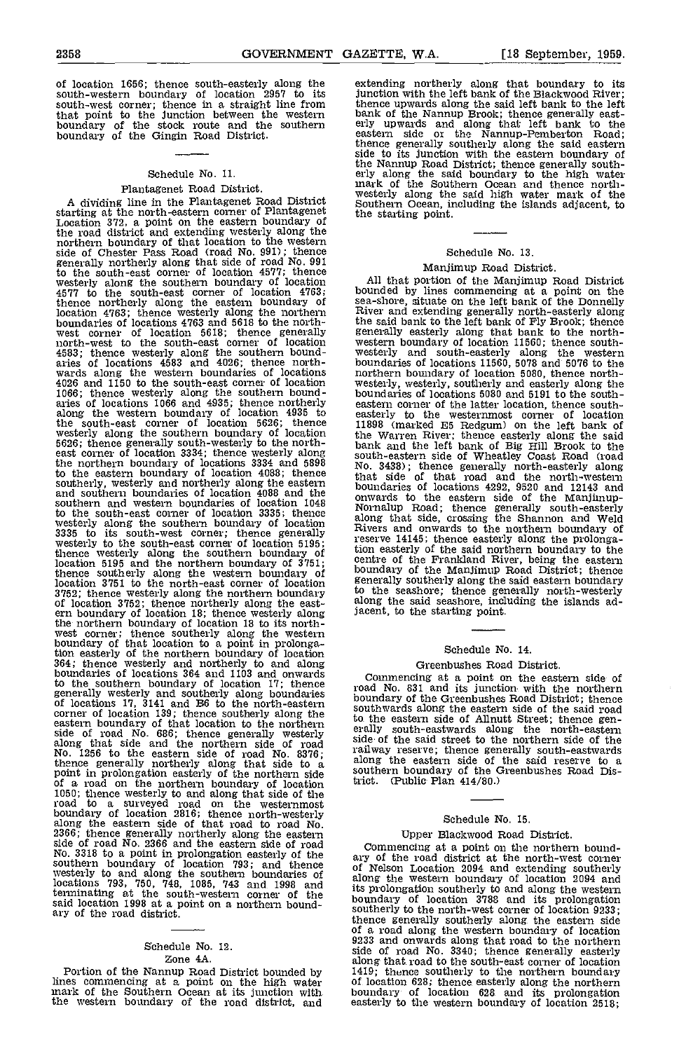of location 1656; thence south-easterly along the south-western boundary of location 2957 to its junction with the left bank of the Blackwood River;<br>south-west corner; thence in a straight line from thence upwards along the said left bank to the left south-west corner; thence in a straight line from that point to the junction between the western bank of the stock route and the southern erly up boundary of the Gingin Road District.

### Schedule No. 11.

Plantagenet Road District.<br>A dividing line in the Plantagenet Road District A dividing line in the Plantagenet Road District starting at the north-eastern corner of Plantagenet the Location 372, a point on the eastern boundary of the road district and extending westerly along the northern boundary of that location to the western side of Chester Pass Road (road No. 991); thence generally northerly along that side of road No. 991 to the south-east corner of location 4577; thence<br>westerly along the southern boundary of location 415<br>4577 to the south-east corner of location 4763; bound<br>thence northerly along the eastern boundary of sea-sh location 4763; thence westerly along the northern boundaries of locations 4763 and 5619 to the northwest corner of location 5618; thence generally general<br>north-west to the south-east corner of location western 4583; thence westerly along the southern bound-<br>aries of locations 4583 and 4026; thence north-<br>wards along the western boundaries of locations anorth-<br>4026 and 1150 to the south-east corner of location wester 1066; thence westerly along the southern bound-<br>aries of locations 1066 and 4935; thence northerly easter along the western boundary of location 4935 to<br>the south-east corner of location 5626; thence 11898<br>westerly along the southern boundary of location the W 5626; thence generally south-westerly to the north-<br>east corner of location 3334; thence westerly along south-<br>the northern boundary of locations 3334 and 5898 No. 3. to the eastern boundary of location 4088; thence that southerly, westerly and northerly along the eastern<br>and southern boundaries of location 4088 and the contra southern and western boundaries of location 1048<br>to the south-east corner of location 3335; thence<br>westerly along the southern boundary of location<br>3335 to its south-west corner; thence generally<br>westerly to the south-east location 5195 and the northern boundary of 3751;<br>thence southerly along the western boundary of bound<br>location 3751 to the north-east corner of location 3752; thence westerly along the northern boundary to the location 3752; thence northerly along the east-<br>of location 3752; thence northerly along the east- along<br>ern boundary of location 18; thence westerly along iacent the northern boundary of location 18 to its north- west corner; thence southerly along the western boundary of that location to a point in prolongation easterly of the northern boundary of location 364; thence westerly and northerly to and along boundaries of locations 364 and 1103 and onwards to the southern boundary of location 17; thence road<br>generally westerly and southerly along boundaries of locations 17, 3141 and B6 to the north-eastern counth corner of location 139; thence southerly along the southward eastern boundary of that location to the northern  $\frac{1}{e}$  the northern side of road No. 686; thence generally westerly<br>along that side and the northern side of road side of<br>No. 1256 to the eastern side of road No. 8376; railway<br>thence generally mortherly along that side to a along the<br>point i 1050; thence westerly to and along that side of the road to <sup>a</sup> surveyed road on the westernmost boundary of location 2816; thence north-westerly along the eastern side of that road to road No. 2366; thence generally northerly along the eastern side of road No. 2366 and the eastern side of road<br>No. 3318 to a point in prolongation easterly of the<br>southern boundary of location 793; and thence of Nel<br>westerly to and along the southern boundaries of along locations 793, 750, 748, 1085, 743 and 1998 and tenninating at the south-western corner of the said location 1998 at a point on a northern bound-<br>ary of the road district.

### Schedule No. 12. Zone 4A.

lines commencing at a point on the high water mark of the Southern Ocean at its junction with the western boundary of the road district, and

extending northerly along that boundary to its<br>junction with the left bank of the Blackwood River; junction with the left bank of the Blackwood River;<br>thence upwards along the said left bank to the left<br>bank of the Namnup Brook; thence generally east-<br>bank of the Namnup Brook; thence generally east-<br>erly upwards and alo side to its junction with the eastern boundary of the Nannup Road District; thence generally south- erly along the said boundary to the high water mark of the Southern Ocean and thence northwesterly along the said high water mark of the Southern Ocean, including the islands adjacent, to the starting point.

### Schedule No. 13.

Manjimup Road District.<br>All that portion of the Manjimup Road District bounded by lines commencing at a point on the sea-shore, situate on the left bank of the Donnelly River and extending generally north-easterly along the said bank to the left bank of Fly Brook; thence generally easterly along that bank to the north-<br>western boundary of location 11560; thence south-<br>westerly and south-easterly along the western<br>boundaries of locations 11560, 5078 and 5076 to the boundary of location 5080, thence north-<br>westerly, westerly, southerly and easterly along the<br>boundaries of locations 5080 and 5191 to the south-<br>eastern corner of the latter location, thence southeastern corner of the latter location, thence south-easterly to the westernmost corner of location 11898 (marked ES Redgum) on the left bank of the Warren River; thence easterly along the said bank and the left bank of Big Hill Brook to the south-easterly coast riveality Coast Road (road No. 3433); thence generally north-easterly along that side of that road and the north-western boundaries of locations 4292, 9520 and 12143 and boundaries of locations 4292, 9520 and 12143 and onwards to the eastern side of the Manjhnup- Nornalup Road; thence generally south-easterly along that side, crossing the Shannon and Weld Rivers and onwards to the northern boundary of reserve 14145; thence easterly along the prolonga-tion easterly of the said northern boundary to the centre of the Frankland River, being the eastern boundary of the Manjimup Road District; thence generally southerly along the said eastern boundary to the seashore; thence generally north-westerly along the said seashore, including the islands adjacent, to the starting point.

### Schedule No. 14.

### Greenbushes Road District.

Commencing at a point on the eastern side of road No. 831 and its junction with the northern boundary of the Greenbushes Road District; thence southwards along the eastern side of the said road to the eastern side of Allnutt Street; thence gen- erally south-eastwards along the north-eastern erally south-eastwards along the north-eastern<br>side of the said street to the northern side of the<br>railway reserve; thence generally south-eastwards railway reserve; thence generally south-eastwards along the eastern side of the said reserve to a southern boundary of the Greenbushes Road District. (Public Plan 414/80.)

### Schedule No. 15.

### Upper Blackwood Road District.

Zone 4A.<br>Portion of the Nannup Road District bounded by along that road to the south-east corner of location<br>Portion of the Nannup Road District bounded by 1419; thence southerly to the northern boundary Commencing at a point on the northern bound-<br>ary of the road district at the north-west corner<br>of Nelson Location 2094 and extending southerly along the western boundary of location 2094 and its prolongation southerly to and along the western boundary of location 3788 and its prolongation thence generally southerly along the eastern side of a road along the western boundary of location 9233 and onwards along that road to the northern side of road No. 3340; thence generally easterly along that road to the south-east corner of location 1419; thence southerly to the northern boundary of location 628; thence easterly along the northern of location 628; thence easterly along the northern boundary of location 628 and its prolongation easterly to the western boundary of location 2518;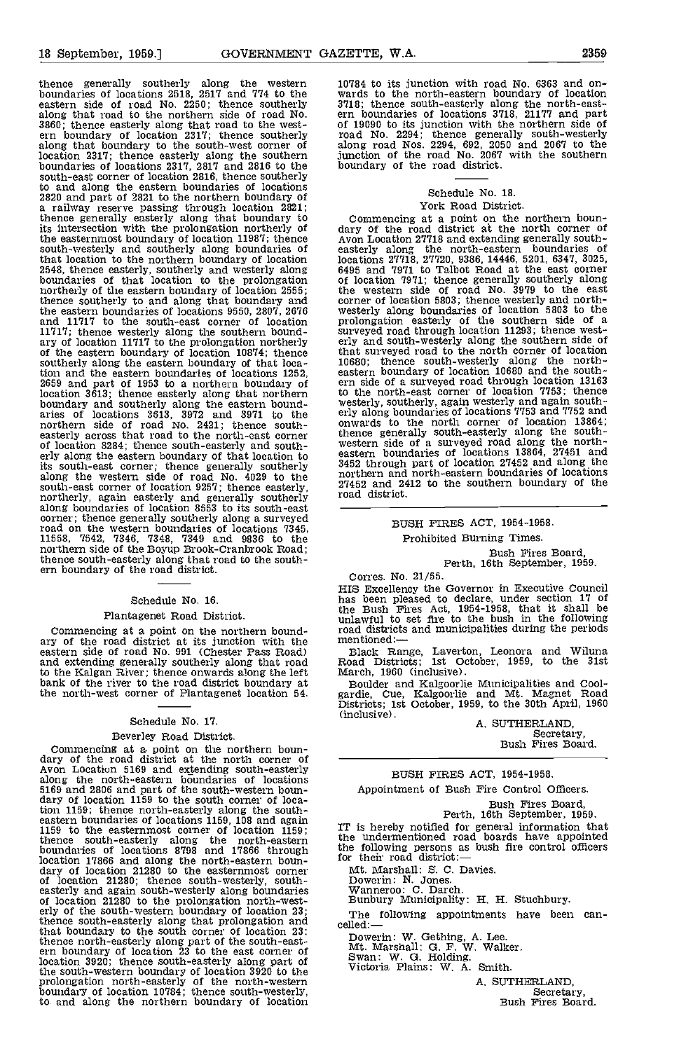eastern side of road No. 2250; thence southerly along that road to the northern side of road No. along that road to the northern side of road No. 3860; thence easterly along that road to the west-<br>3860; thence easterly along that road to the west- of 190<br>ern boundary of location 2317; thence southerly road along that boundary to the south-west corner of location 2317; thence easterly along the southern boundaries of locations 2317, 2817 and 2816 to the south-east corner of location 2816, thence southerly to and along the eastern boundaries of locations<br>2820 and part of 2821 to the northern boundary of<br>a railway reserve passing through location 2821;<br>thence generally easterly along that boundary to Com its Intersection with the prolongation northerly of the easternmost boundary of location  $11987$ ; thence  $Avo$ south-westerly and southerly along boundaries of ea that location to the northern boundary of location 2548, thence easterly, southerly and westerly along boundaries of that location to the prolongation northerly of the eastern boundary of location 2555; the weakened thence southerly to and along that boundary and corner the eastern boundaries of locations 9550, 2807, 2676 wester.<br>and 11717 to the south-east corner of location prolon. 11717; thence westerly along the southern bound-<br>ary of location 11717 to the prolongation northerly orly a<br>of the eastern boundary of location 10874; thence that southerly along the eastern boundary of that location and the eastern boundaries of locations 1252, 2659 and part of 1953 to a northern boundary of location 3613; thence easterly along that northern bother boundary and southerly along the eastern bound-<br>aries of locations 3613, 3972 and 3971 to the erly a morthern side of road No. 2421; thence south-<br>easterly across that road to the north-east corner thence<br>of location 8284; thence south-easterly and south-<br>erly along the eastern boundary of that location to eastern erly along the eastern boundary of that location to its south-east corner; thence generally southerly along the western side of road No. 4029 to the south-east corner of location 9257; thence easterly, south-east corner of location 9257; thence easterly, 27452<br>northerly, again easterly and generally southerly road o along boundaries of location 8553 to its south-east corner; thence generally southerly along a surveyed road on the western boundaries of locations  $7345$ ,<br>11558,  $7542$ ,  $7346$ ,  $7348$ ,  $7349$  and  $9836$  to the<br>northern side of the Boyup Brook-Cranbrook Road;<br>thence south-easterly along that road to the south-<br>ern boundary

### Schedule No. 16.

### Plantagenet Road District.

Commencing at a point on the northern bound-<br>ary of the road district at its junction with the menti eastern side of road No. 991 (Chester Pass Road) and extending generally southerly along that road and extending generally southerly along that road<br>to the Kalgan River; thence onwards along the left<br>bank of the river to the road district boundary at the north-west corner of Plantagenet location 54.

### Schedule No. 17.

### Beverley Road District.

Commencing at a point on the northern boun- dary of the road district at the north corner of Avon Location 5169 and extending south-easterly along the north-eastern boundaries of locations<br>5169 and 2806 and part of the south-western boun-<br>dary of location 1159 to the south corner of locaeastern boundaries of locations 1159, 108 and again 1159 to the easternmost corner of location 1159; thence south-easterly along the north-eastern the university of locations 8798 and 17866 through the formulations of the transformation of the transformation of the transformation of the transformation of the transformatio location 17866 and along the north-eastern boun-<br>dary of location 21280 to the easternmost corner Mt.<br>of location 21280; thence south-westerly, south-<br>casterly and again south-westerly along boundaries War<br>of location 2128 that boundary to the south corner of location 23; thence north-easterly along part of the south-east- ern boundary of location 23 to the east corner of location 3920; thence south-easterly along part of the south-western boundary of location 3920 to the prolongation north-easterly of the north-western boundary of location 10784; thence south-westerly, to and along the northern boundary of location

thence generally southerly along the western 10784 to its junction with road No. 6363 and on-<br>boundaries of locations 2518, 2517 and 774 to the wards to the north-eastern boundary of location 10784 to its junction with road No. 6363 and on- wards to the north-eastern boundary of location 3718; thence south-easterly along the north-east- ern boundaries of locations 3718, 21177 and part of 19090 to its junction with the northern side of road No. 2294; thence generally south-westerly along road Nos. 2294, 692, 2050 and 2067 to the junction of the road No. 2067 with the southern boundary of the road district.

### Schedule No. 18. York Road District.

Commencing at a point on the northern boun-<br>dary of the road district at the north corner of<br>Avon Location 27718 and extending generally southlocations 27718, 27720, 9386, 14446, 5201, 6347, 3025, 6495 and 7971 to Talbot Road at the east corner of location 7971; thence generally southerly along the western side of road No. 3979 to the east corner of location 5803; thence westerly and north- westerly along boundaries of location 5803 to the prolongation easterly of the southern side of a surveyed road through location 11293; thence west- erly and south-westerly along the southern side of that surveyed road to the north corner of location 10680; thence south-westerly along the north- eastern boundary of location 10680 and the south- ern side of a surveyed road through location 13163 to the north-east corner of location 7753; thence westerly, southerly, again westerly and again south-<br>erly along boundaries of locations 7753 and 7752 and<br>onwards to the north corner of location 13864; thence generally south-easterly along the south- western side of a surveyed road along the north- eastern boundaries of locations 13864, 27451 and 3452 through part of location 27452 and along the northern and north-eastern boundaries of locations 27452 and 2412 to the southern boundary of the road district.

### BUSH FIRES ACT, 1954-1958.

### Prohibited Burning Times.

Bush Fires Board,<br>Perth, 16th September, 1959.

Corres. No. 21/55.<br>HIS Excellency the Governor in Executive Council HIS Excellency the Governor in Executive Council has been pleased to declare, under section 17 of the Bush Fires Act, 1954-1958, that it shall be unlawful to set fire to the bush in the following road districts and municipalities during the periods mentioned:

Black Range, Laverton, Leonora and Wiluna Road Districts; 1st October, 1959, to the 31st March, 1960 (inclusive).

Boulder and Kalgoorlie Municipalities and Cool-<br>gardie, Cue, Kalgoorlie and Mt. Magnet Road<br>Districts; 1st October, 1959, to the 30th April, 1960<br>(inclusive).

(inclusive).<br>
A. SUTHERLAND,<br>
Secretary,<br>
Bush Fires Board.

### BUSH FIRES ACT, 1954-1958.

Appointment of Bush Fire Control Officers.

Bush Fires Board, Perth, 16th September, 1959.

IT is hereby notified for general information that the undermentioned road boards have appointed the following persons as bush fire control officers for their road district:

Mt. Marshall: S. C. Davies.

Dowerin: N. Jones. Wanneroo: C. Darch. Bunbury Municipality: H. H. Stuchbury.

The following appointments have been can-<br>celled:—

Dowerin: W. Gething, A. Lee.<br>Mt. Marshall: G. F. W. Walker.<br>Swan: W. G. Holding.<br>Victoria Plains: W. A. Smith.

A. SUTHERLAND,<br>Secretary,<br>Bush Fires Board.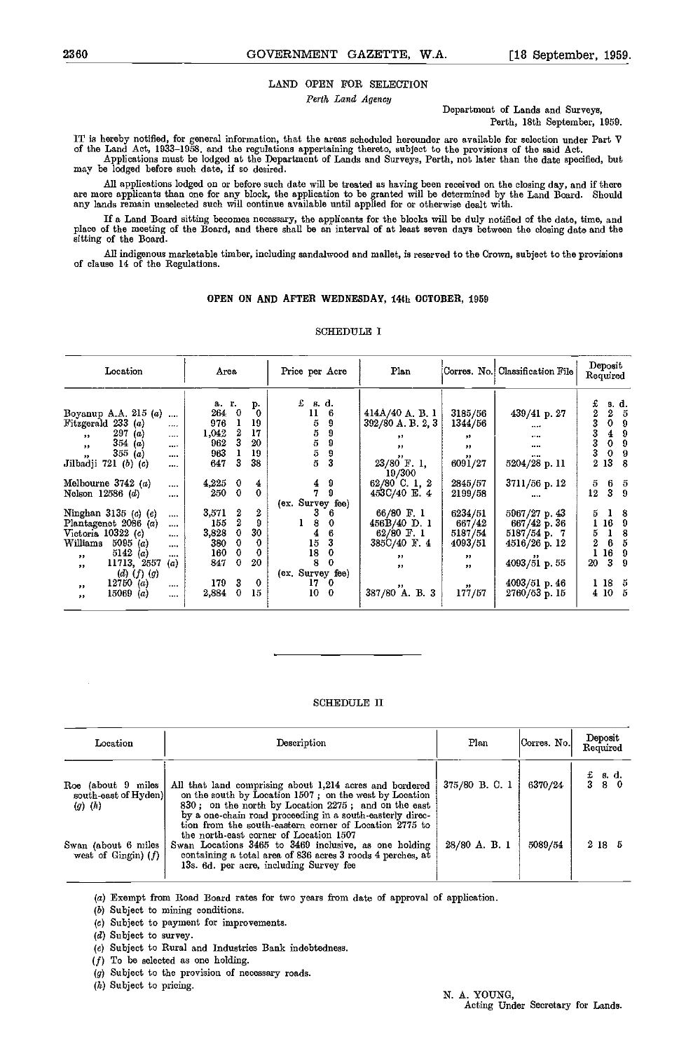### LAND OPEN FOR SELECTION

Perth Land Agency

Department of Lands and Surveys, Perth, 18th September, 1959.

IT is hereby notified, for general information, that the areas scheduled hereunder are available for selection under Part V of the Land Act, 1933–1958, and the regulations appertaining thereto, subject to the provisions of the said Act.<br>Applications must be lodged at the Department of Lands and Surveys, Perth, not later than the date specified,

All applications lodged on or before such date will be treated us having been received on the closing day, and if there are more applicants than one for any block, the application to be granted will be determined by the Land Board. Should any lands remain unselected such will continue available until applied for or otherwise dealt with.

If a Land Board sitting becomes necessary, the applicants for the blocks will be duly notified of the date, time, and<br>place of the meeting of the Board, and there shall be an interval of at least seven days between the clo sitting of the Board.

All indigenous marketable timber, including sandalwood and mallet, is reserved to the Crown, subject to the provisions of clause 14 of the Regulations.

### OPEN ON AND AFTER WEDNESDAY, 14th OCTOBER, 1959

| Location                                  |          | Area      |             |              | Price per Acre   |               | Plan                                 |                               | Corres. No. Classification File | Deposit<br>Required |      |
|-------------------------------------------|----------|-----------|-------------|--------------|------------------|---------------|--------------------------------------|-------------------------------|---------------------------------|---------------------|------|
|                                           |          | a. r.     |             | р.           | £                | s. d.         |                                      |                               |                                 | £                   | s d. |
| Boyanup A.A. $215(a)$                     | $\cdots$ | 264       | $\bf{0}$    | $\mathbf{0}$ | $\mathbf{11}$    | 6             | 414A/40 A. B. 1                      | 3185/56                       | $439/41$ p. 27                  | 2                   | 5    |
| Fitzgerald 233 (a)                        | $\cdots$ | 976       |             | 19           | 5                | 9             | $392/80$ A. B. 2, 3                  | 1344/56                       | $\cdots$                        | 3<br>0              | 9    |
| 297(a)<br>$^{\bullet}$                    | $\cdots$ | 1,042     | 2           | 17           | 5                | 9             | $, \, \,$                            | $^{\bullet}$                  | 1.11                            | 3<br>4              | 9    |
| 354 (a)<br>$, \,$                         |          | 962       |             | 20           | $\bf 5$          | 9             | $, \, \,$                            | $, \, \cdot$                  |                                 | 0<br>3              | 9    |
| 355 (a)<br>55                             |          | 963       |             | 19           |                  |               |                                      |                               |                                 | 3<br>0              | 9    |
| Jilbadji 721 (b) (c)                      |          | 647       | 3           | 38           | $\frac{5}{5}$    | $\frac{9}{3}$ | $23/80$ <sup>"</sup> F. 1,<br>19/300 | 6091/27                       | 5204/28 p. 11                   | 2 13                | 8    |
| Melbourne $3742(a)$                       | $\cdots$ | $4,225$ 0 |             | 4            |                  | 9             | 62/80 C. 1, 2                        | 2845/57                       | $3711/56$ p. 12                 | 5<br>6              | 5    |
| Nelson $12586(d)$                         | $\cdots$ | 250       | $\mathbf 0$ | $\mathbf 0$  | $\frac{4}{7}$    | 9             | 453C/40 E. 4                         | 2199/58                       | $\cdots$                        | $\mathbf{3}$<br>12  | 9    |
|                                           |          |           |             |              | (ex. Survey fee) |               |                                      |                               |                                 |                     |      |
| Ninghan 3135 $(c)$ $(e)$                  |          | 3,571     | 2           | 2            | 3                | 6.            | 66/80 F 1                            | 6234/51                       | 5967/27 p. 43                   | Б.<br>Ι.            | 8    |
| Plantagenet 2086 (a)                      |          | 155       | 2           | 9            | 8                | 0             | 456B/40 D. 1                         | 667/42                        | $667/42$ p. 36                  | 16                  | 9    |
| Victoria $10322(c)$                       | $\cdots$ | 3,828     |             | 30           |                  | 6             | $62/80$ F. 1                         | 5187/54                       | $5187/54$ p. 7                  | 1<br>Б              | 8    |
| 5095(a)<br>Williams                       | $\cdots$ | 380       |             | 0            | $\frac{4}{15}$   | 3             | 385C/40 F. 4                         | 4093/51                       | $4516/26$ p. 12                 | 6<br>2              | Б    |
| 5142 (a)<br>$, \, \cdot$                  |          | 160       |             | 0            | 18               | 0             |                                      |                               |                                 | 16                  | 9    |
| 11713, 2557                               | (a)      | 847       | $\Omega$    | 20           | 8                | $\Omega$      | $, \, \,$                            | $, \, \cdot$                  | $4093/51$ p. 55                 | 3<br>20             | Ω    |
| $, \,$<br>$(d)$ $(f)$ $(g)$               |          |           |             |              | (ex. Survey fee) |               | $, \, \,$                            | 55                            |                                 |                     |      |
| 12750(a)                                  |          | 179       | 3           | 0            | 17               | 0             |                                      |                               | 4093/51 p. 46                   | $1\,18$             | 5    |
| $, \, \cdot$<br>15069<br>$\left(a\right)$ |          | 2,884     |             | 15           | 10               | $\mathbf 0$   | 387/80 <sup>"</sup> A. B. 3          | $^{\bullet\bullet}$<br>177/57 | $2760/53$ p. 15                 | 4 10                | Б    |
| $^{\bullet\bullet}$                       | 1.11     |           |             |              |                  |               |                                      |                               |                                 |                     |      |

### SCHEDULE I

### SCHEDULE II

| Location                                                  | Description                                                                                                                                                                                                                                                        | Plan          | Corres. No. | Deposit<br>Required                                                                                 |
|-----------------------------------------------------------|--------------------------------------------------------------------------------------------------------------------------------------------------------------------------------------------------------------------------------------------------------------------|---------------|-------------|-----------------------------------------------------------------------------------------------------|
| Roe (about 9 miles<br>south-east of Hyden)<br>$(g)$ $(h)$ | All that land comprising about 1,214 acres and bordered<br>on the south by Location 1507; on the west by Location<br>830; on the north by Location 2275; and on the east<br>by a one-chain road proceeding in a south-easterly direc-                              | 375/80 B.C. 1 | 6370/24     | $\begin{array}{cc} \texttt{f} & \texttt{s. d.} \\ \texttt{3} & \texttt{8} & \texttt{0} \end{array}$ |
| Swan (about 6 miles<br>west of Gingin) $(f)$              | tion from the south-eastern corner of Location 2775 to<br>the north-east corner of Location 1507<br>Swan Locations 3465 to 3469 inclusive, as one holding<br>containing a total area of 836 acres 3 roods 4 perches, at<br>13s. 6d. per acre, including Survey fee | 28/80 A. B. 1 | 5089/54     | 2 18 5                                                                                              |

(a) Exempt from Road Board rates for two years from date of approval of application.

(6) Subject to mining conditions.

(t) Subject to paymeat for improvements.

 $(d)$  Subject to survey.

(e) Subject to Rural and Industries Bank indebtedness.

 $(f)$  To be selected as one holding.

(g) Subject to the provision of necessary roads.

 $(h)$  Subject to pricing.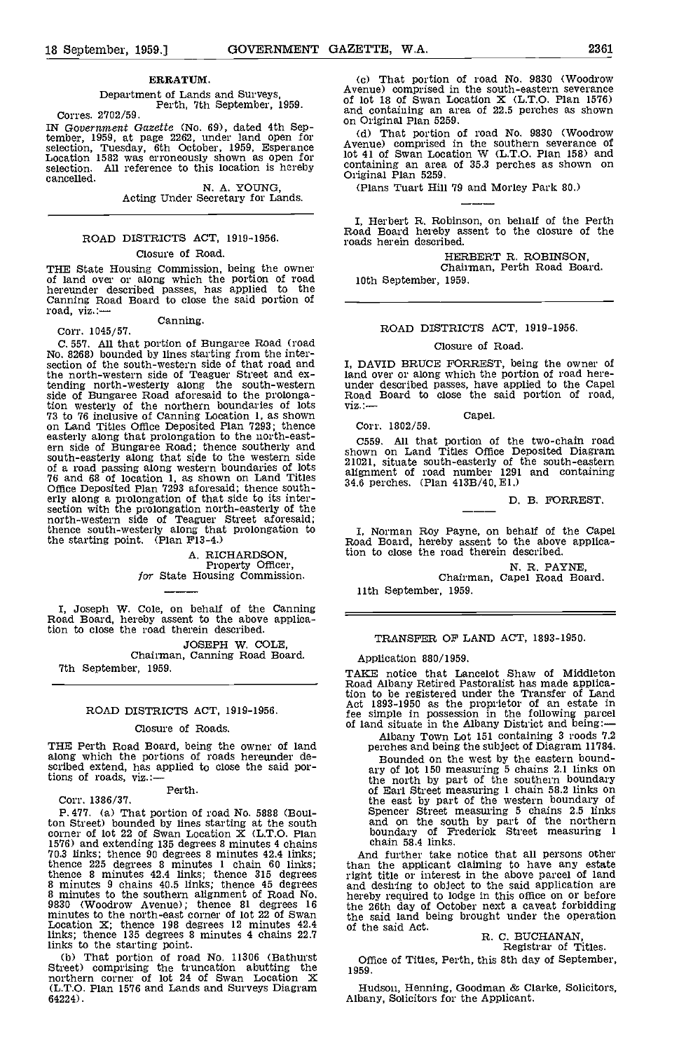### ERRATUM.

Department of Lands and Surveys, Perth, 7th September, 1959. Corres. 2702/59.

IN Government Gazette (No. 69), dated 4th September, 1959, at page 2262, under land open for (d) selection, Tuesday, 6th October, 1959, Esperance Avenus Location 1582 was erroneously shown as open for  $10t$  41 selection. selection. All reference to this location is hereby cancelled.

N. A. YOUNG,<br>Acting Under Secretary for Lands.

### ROAD DISTRICTS ACT, 1919-1956.

### Closure of Road.

THE State Housing Commission, being the owner of land over or along which the portion of road hereunder described passes, has applied to the Canning Road Board to close the said portion of road, viz.: road, viz.:—<br>Canning.<br>Corr. 1045/57.

C. 557. All that portion of Bungaree Road (road Closure of Road.<br>No. 8268) bounded by lines starting from the inter-<br>section of the south-western side of that road and I, DAVID BRUCE FORREST, being the owner of<br>the north-w the north-western side of Teaguer Street and extending north-westerly along the south-western side of Bungaree Road aforesaid to the prolongaside of Benderich bundaries of lots<br>
via:<br>
Ta to 76 inclusive of Canning Location 1, as shown<br>
on Land Titles Office Deposited Plan 7293; thence<br>
easterly along that prolongation to the north-east-<br>
C5 ern side of Bungare Road; thence southerly and<br>south-easterly along that side to the western side<br>of a road passing along western boundaries of lots<br>76 and 68 of location 1, as shown on Land Titles<br>Office Deposited Plan 72 Ome Deposited Plan 7293 aloresaid, thence south-<br>erly along a prolongation of that side to its inter-<br>section with the prolongation north-easterly of the<br>north-western side of Teaguer Street aforesaid;<br>thence south-westerl the starting point. (Plan  $F13-4$ .)

A. RICHARDSON,<br>Property Officer,<br>for State Housing Commission.

I, Joseph W. Cole, on behalf of the Canning Road Board, hereby assent to the above application to close the road therein described.

JOSEPH W. COLE, Chairman, Canning Road Board 7th September, 1959.

### ROAD DISTRICTS ACT, 1919-1956.

### Closure of Roads.

THE Perth Road Board, being the owner of land scribed extend, has applied to close the said portions of roads, viz.:-

Perth.

Corr. 1386/37.

P. 477. (a) That portion of road No. 5888 (Boulton Street) bounded by lines starting at the south are corner of lot 22 of Swan Location  $X$  (L.T.O. Plan b 1576) and extending 135 degrees 8 minutes 4 chains<br>
70.3 links; thence 90 degrees 8 minutes 4 2.4 links; And<br>
thence 225 degrees 8 minutes 1 chain 60 links; than 1<br>
thence 8 minutes 42.4 links; thence 315 degrees right 1<br> Location X; thence 198 degrees 12 minutes 42.4 links; thence 135 degrees 8 minutes 4 chains 22.7

links to the starting point. (b) That portion of road No. 11306 (Bathurst Street) comprising the truncation abutting the northern corner of lot 24 of Swan Location X (L.T.O. Plan 1576 and Lands and Surveys Diagram 64224).

That portion of road No. 9830 (Woodrow Avenue) comprised in the south-eastern severance of lot 18 of Swan Location  $X$  (L.T.O. Plan 1576) and containing an area of 22.5 perches as shown

on Original Plan 5259.<br>(d) That portion of road No. 9830 (Woodrow Avenue) comprised in the southern severance of lot 41 of Swan Location W (L.T.O. Plan 158) and containing an area of 35.3 perches as shown on<br>Original Plan 5259.

(Plans Tuart Hill 79 and Morley Park 80.)

I, Herbert H. Robinson, on behalf of the Perth Road Board hereby assent to the closure of the roads herein described.

HERBERT R. ROBINSON, Chairman, Perth Road Board. 10th September, 1959.

### ROAD DISTRICTS ACT, 1919-1956.

### Closure of Road.

I, DAVID BRUCE FORREST, being the owner of under described passes, have applied to the Capel<br>Road Board to close the said portion of road, viz.:---<br>Capel.

Corr. 1802/59.

C559. All that portion of the two-chain road shown on Land Titles Office Deposited Diagram 21021, situate south-easterly of the south-eastern alignment of road number 1291 and containing 34.6 perches. (Plan 413B/40, El.)

D. B. FORREST.

I, Norman Roy Payne, on behalf of the Capel Road Board, hereby assent to the above application to close the road therein described.

N. R. PAYNE,<br>Chairman, Capel Road Board.

11th September, 1959.

TRANSFER OF LAND ACT, 1893-1950.

Application 880/1959.

TAKE notice that Lancelot Shaw of Middleton Road Albany Retired Pastoralist has made applica-tion to be registered under the Transfer of Land Act 1893-1950 as the proprietor of an estate in fee simple in possession in the following parcel of land situate in the Albany District and being:-

Albany Town Lot 151 containing 3 roods 7.2 perches and being the subject of Diagram 11784. Bounded on the west by the eastern bound- ary of lot 150 measuring 5 chains 2.1 links on the north by part of the southern boundary of Earl Street measuring 1 chain 58.2 links on the east by part of the western boundary of Spencer Street measuring 5 chains 2 5 links and on the south by part of the northern boundary of Frederick Street measuring 1 chain 58.4 links.

And further take notice that all persons other than the applicant claiming to have any estate right title or interest in the above parcel of land and desiring to object to the said application are hereby required to lodge in this office on or before the 26th day of October next a caveat forbidding the said land being brought under the operation of the said Act.

## R. C. BUCHANAN,<br>Registrar of Titles.

Office of Titles, Perth, this 8th day of September, 1959.

Hudson, Henning, Goodman & Clarke, Solicitors,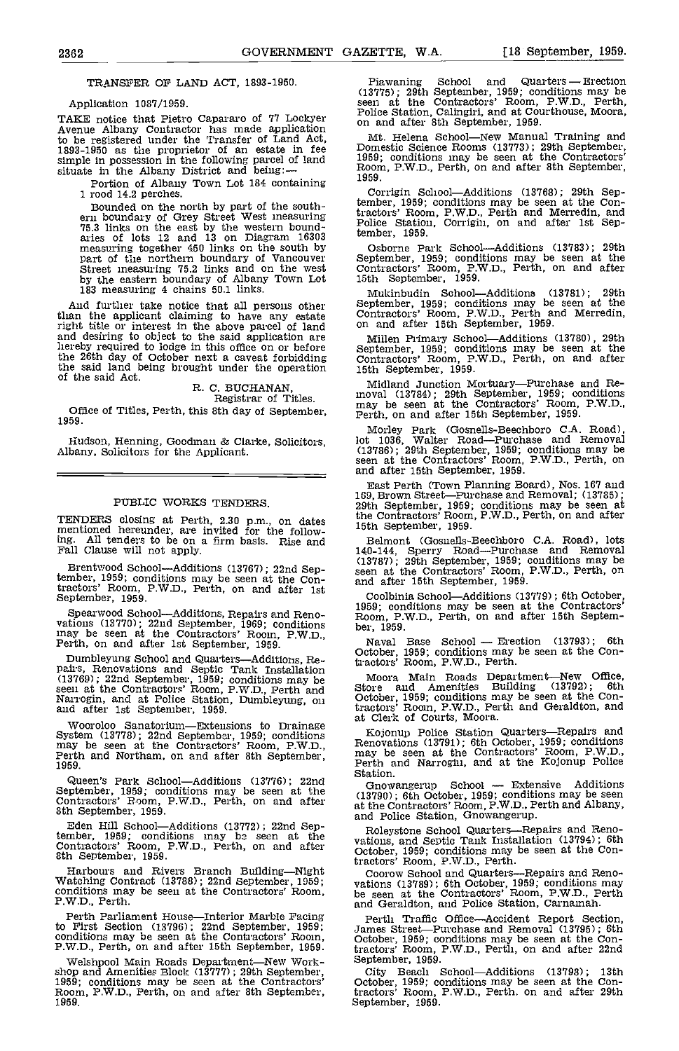TRANSFER OF LAND ACT, 1893-1950.

Application 1037/1959.

TAKE notice that Pietro Capararo of 77 Lockyer <sup>Fonce</sup><br>Avenue Albany Contractor has made application and to be registered under the Transfer of Land Act, Mt<br>1893-1950 as the proprietor of an estate in fee Dome simple in possession in the following parcel of land situate in the Albany District and being: -

Portion of Albany Town Lot 184 containing 1959. I rood 14.2 perches.

Bounded on the north by part of the southern boundary of Grey Street West measuring 75.3 links on the east by the western boundaries of lots 12 and 13 on Diagram 16303 measuring together 450 links on the south by part of t

And further take notice that all persons other Se than the applicant claiming to have any estate Contr right title or interest in the above parcel of land on an and desiring to object to the said application are hereby required to lodge in this office on or before the 26th day of October next a caveat forbidding Contraction and being brought under the operation 15th S of the said Act.

R. C. BUCHANAN, Registrar of Titles.

Office of Titles, Perth, this 8th day of September, may be seen at the Confractor's Room,<br>1959.

Hudson, Henning, Goodman & Clarke, Solicitors, Albany, Solicitors for the Applicant.

### PUBLIC WORKS TENDERS.

TENDERS closing at Perth, 2.30 p.m., on dates mentioned hereunder, are invited for the following. All tenders to be on a firm basis. Rise and Fall Clause will not apply.

Brentwood School-Additions (13767); 22nd September, 1959; conditions may be seen at the Con-<br>tractors' Room, P.W.D., Perth, on and after 1st<br>September, 1959.

Spearwood School—Additions, Repairs and Reno-<br>vations (13770); 22nd September, 1969; conditions may be seen at the Contractors' Room, P.W.D., Perth, on and after 1st September, 1959. Naval

Dumbleyung School and Quarters—Additions, Re-<br>pairs, Renovations and Septic Tank Installation (13769); 22nd September, 1959; conditions may be seen at the Contractors' Room, P.W.D., Perth and Narrogin, and at Police Station, Dumbleyung, on and after 1st September, 1959.

Queen's Park School—Additions (13776); 22nd  $G_1$ September, 1959; conditions may be seen at the Contractors' Room, P.W.D., Perth, on and after at the Sth September, 1959.

Eden Hill School—Additions (13772); 22nd Sep-<br>tember, 1959; conditions may be seen at the  $\frac{1}{\sqrt{2}}$ Contractors' Room, P.W.D., Perth, on and after both September, 1959.

Harbours and Rivers Branch Building—Night Watching Contract (13788); 22nd September, 1959; conditions may be seen at the Contractors' Room, P.W.D., Perth.

Perth Parliament House—Interior Marble Facing Pert to First Section (13796); 22nd September, 1959;<br>conditions may be seen at the Contractors' Room, p.<br>P.W.D., Perth, on and after 15th September, 1959.

Welshpool Main Roads Department—New Work-<br>
September, 1959; conditions may be seen at the Contractors' City Beach<br>
1959; conditions may be seen at the Contractors' Cotober, 1959; co<br>
Room, P.W.D., Perth, on and after 8th S 1959.

Piawaning School and Quarters - Erection (13775); 29th September, 1959; conditions may be seen at the Contractors' Room, P.W.D., Perth, Police Station, Calingiri, and at Courthouse, Moora, on and after 8th September, 1959.

Mt. Helena School—New Manual Training and Domestic Science Rooms (13773); 29th September, 1959; conditions may be seen at the Contractors' Room, P.W.D., Perth, on and after 8th September,

Corrigin School-Additions (13768); 29th September, 1959; conditions may be seen at the Con-<br>tractors' Room, P.W.D., Perth and Merredin, and<br>Police Station, Corrigin, on and after 1st September, 1959.

Osborne Park SchoolAdditions (13783); 29th September, 1959; conditions may be seen at the Contractors' Room, P.W.D., Perth, on and after 15th September, 1959.

Mukinbudin School—Additions (13781); 29th<br>September, 1959; conditions may be seen at the<br>Contractors' Room, P.W.D., Perth and Merredin,<br>on and after 15th September, 1959.

Millen Primary SchoolAdditions (13780), 29th September, 1959; conditions may be seen at the Contractors' Room, P.W.D., Perth, on and after 15th September, 1959.

Midland Junction Mortuary—Purchase and Re-<br>moval (13784); 29th September, 1959; conditions<br>may be seen at the Contractors' Room, P.W.D.,

Morley Park (Gosnells-Beechboro C.A. Road),<br>lot 1036, Walter Road—Purchase and Removal<br>(13786); 29th September, 1959; conditions may be seen at the Contractors' Room, P.W.D., Perth, on and after 15th September, 1959.

East Perth (Town Planning Board), Nos. 167 and 169, Brown Street-Purchase and Removal; (13785); 29th September, 1959; conditions may be seen at 29th September, 1959; conditions may be seen at<br>the Contractors' Room, P.W.D., Perth, on and after 15th September, 1959.

Belmont (Gosnells-Beechboro C.A. Road), lots 140-144, Sperry Road—Purchase and Removal (13787); 29th September, 1959; conditions may be seen at the Contractors' Room, P.W.D., Perth, on and after 15th september, 1959.

Coolbinia School—Additions (13779); 6th October, 1959; conditions may be seen at the Contractors'<br>Room, P.W.D., Perth, on and after 15th Septem-

Naval Base School — Erection (13793); 6th<br>October, 1959; conditions may be seen at the Contractors' Room, P.W.D., Perth.

Moora Main Roads Department—New Office,<br>Store and Amenities Building (13792); 6th<br>October, 1959; conditions may be seen at the Contractors' Room, P.W.D., Perth and Geraldton, and at Clerk of Courts, Moora.

Wooroloo Sanatorium—Extensions to Drainage System (13778); 22nd September, 1959; conditions may be seen at the Contractors' Room, P.W.D., Penovations (13791); 6th October, 1959; conditions may be seen at the Contractors' R Kojonup Police Station Quarters—Repairs and Renovations (13791); 6th October, 1959; conditions may be seen at the Contractors' Room, P.W.D., Perth and Narrogin, and at the Kojonup Police Station.<br>Station. Gnowangerup Schoo

Gnowangerup School — Extensive Additions<br>
(13790); 6th October, 1959; conditions may be seen<br>
at the Contractors' Room, P.W.D., Perth and Albany,<br>
and Police Station, Gnowangerup.

Roleystone School Quarters—Repairs and Reno-<br>vations, and Septic Tank Installation (13794); 6th<br>October, 1959; conditions may be seen at the Contractors' Room, P.W.D., Perth.

Coorow School and Quarters—Repairs and Reno-<br>vations (13789); 6th October, 1959; conditions may<br>be seen at the Contractors' Room, P.W.D., Perth<br>and Geraldton, and Police Station, Carnamah.

Pertli Traffic Office—Accident Report Section,<br>James Street—Purchase and Removal (13795); 6th<br>October, 1959; conditions may be seen at the Contractors' Room, P.W.D., Perth, on and after 22nd September, 1959.

City Beach School-Additions (13798); 13th October, 1959; conditions may be seen at the Con-tractors' Room, P.W.D., Perth, on and after 29th September, 1959.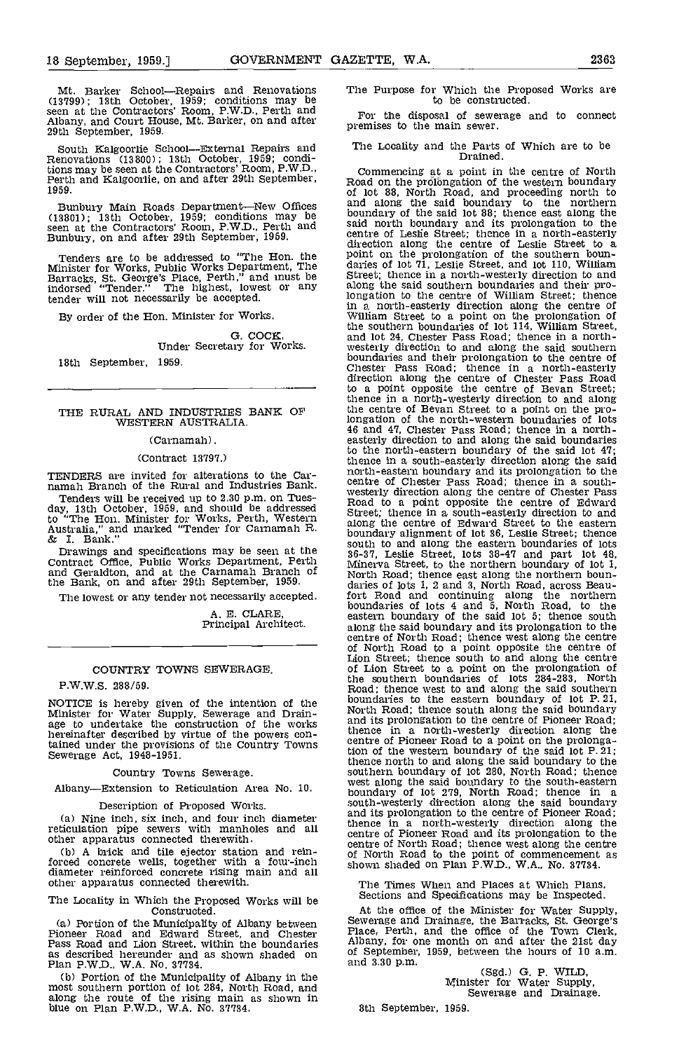Mt. Barker School-Repairs and Renovations The (13799); 13th October, 1959; conditions may be seen at the Contractors' Room, P.W.D., Perth and Albany, and Court House, Mt. Barker, on and after 29th september, 1959,

South Kalgoorlie SchoolExternal Repairs and Renovations (13800); 13th October, 1959; conditions may be seen at the Contractors' Room, P,W.D., Perth and Kalgoorlie, on and after 29th September, 1959.

Bunbury Main Roads Department—New Offices and (13801); 13th October, 1959; conditions may be seen at the Contractors' Room, P.W.D., Perth and Said is<br>Bunbury, on and after 29th September, 1959. Centre

Tenders are to be addressed to "The Hon. the point Minister for Works, Public Works Department, The darie<br>Barracks, St. George's Place, Perth," and must be Stree indorsed "Tender." The highest, lowest or any along indorsed "Tender." The highest, lowest or any tender will not necessarily be accepted.

By order of the Hon. Minister for Works.

G. COCK,<br>Under Secretary for Works. 18th September, 1959.

## THE RURAL AND INDUSTRIES BANK OF the the western australia.

### (Carnamah).

### (Contract 13197,)

TENDERS are invited for alterations to the Carnamah Branch of the Rural and Industries Bank.

Tenders will be received up to 2.30 p.m. on Tues-<br>day, 13th October, 1959, and should be addressed Street to "The Hon. Minister for Works, Perth, Western Street,<br>Australia," and marked "Tender for Carnamah R. along<br>& I. Bank." bound:

Drawings and specifications may be seen at the  $^{86-87}$ <br>Contract Office, Public Works Department, Perth  $^{86-87}$ and Geraldton, and at the Carnamah Branch of No the Bank, on and after 29th September, 1959.

The lowest or any tender not necessarily accepted.

A. E. CLARE, Principal Architect.

### COUNTRY TOWNS SEWERAGE.

P.W.W.S. 288/59.

NOTICE is hereby given of the intention of the bound<br>Minister for Water Supply, Sewerage and Drain-<br>age to undertake the construction of the works and i<br>hereinafter described by virtue of the powers contained under the provisions of the Country Towns Sewerage Act, 1948-1951.

Country Towns Sewerage.

Albany—Extension to Reticulation Area No. 10.

Description of Proposed Works.<br>(a) Nine inch, six inch, and four inch diameter

(b) A brick and tile ejector station and rein-<br>forced concrete wells, together with a four-inch diameter reinforced concrete rising main and all other apparatus connected therewith.

The Locality in Which the Proposed Works will be Sections and Specifications may be inspected.<br>Constructed. At the office of the Minister for Water Supply,

(a) Portion of the Municipality of Albany between Sewe<br>Pioneer Road and Edward Street, and Chester Place<br>Pass Road and Lion Street, within the boundaries Alban as described hereunder and as shown shaded on Plan P.W.D., W.A. No. 37734.

Portion of the Municipality of Albany in the most southern portion of lot 284, North Road, and along the route of the rising main as shown in blue on Plan P.W.D., WA. No. 37734.

### The Purpose for Which the Proposed Works are to be constructed.

For the disposal of sewerage and to connect premises to the main sewer.

## The Lccality and the Parts of Which are to be Drained.

Nine inch, six inch, and four inch diameter<br>
(a) Nine inch, six inch, and four inch diameter and its prolongation to the centre of Pioneer Road;<br>
reticulation pipe sewers with manholes and all<br>
other apparatus connected th Commencing at a point in the centre of North Road on the prolbngation of the western boundary of lot 88, North Road, and proceeding north to and along the said boundary to the northern boundary of the said lot 88: thence east along the said north boundary and its prolongation to the centre of Leslie Street; thence in a north-easterly direction along the centre of Leslie Street to a point on the prolongation of the southern boun- daries of lot 71, Leslie Street, and lot 110, William Street; thence in a north-westerly direction to and along the said southern boundaries and their prolongation to the centre of William Street; thence in a north-easterly direction along the centre of William Street to a point on the prolongation of the southern boundaries of lot 114, William Street, and lot 24, Chester Pass Road; thence in a north- westerly direction to and along the said southern boundaries and their prolongation to the centre of Chester Pass Road; thence in a north-easterly direction along the centre of Chester Pass Road to a point opposite the centre of Bevan Street; thence in a north-westerly direction to and along the centre of Bevan Street to a point on the prolongation of the north-western boundaries of lots 46 and 4'?, Chester Pass Road; thence in a north- easterly direction to and along the said boundaries to the north-eastern boundary of the said lot 47; thence in a south-easterly direction along the said north-eastern boundary and its prolongation to the<br>centre of Chester Pass Road; thence in a south-<br>westerly direction along the centre of Chester Pass<br>Road to a point opposite the centre of Edward<br>Street; thence in a south along the centre of Edward Street to the eastern boundary alignment of lot 36, Leslie Street; thence south to and along the eastern boundaries of lots<br>36-37, Leslie Street, lots 38-47 and part lot 48,<br>Minerva Street, to the northern boundary of lot 1,<br>North Road; thence east along the northern bounboundaries of lots 4 and 5, North Road, to the eastern boundary of the said lot 5; thence south along the said boundary and its prolongation to the centre of North Road; thence west along the centre centre of North Road; thence west along the centre of North Road to a point opposite the centre of Lion Street: thence south to and along the centre of Lion Street to a point on the prolongation of the southern boundaries of lots 284-283, North Road; thence west to and along the said southern boundaries to the eastern boundary of lot P. 21, North Road; thence south along the said boundary and its prolongation to the centre of Pioneer Road; thence in a north-westerly direction along the centre of Pioneer Road to a point on the prolonga-tion of the western boundary of the said lot P.21; thence north to and along the said boundary to the southern boundary of lot 280, North Road; thence west along the said boundary to the south-eastern boundary of lot 279, North Road: thence in <sup>a</sup> south-westerly direction along the said boundary and its prolongation to the centre of Pioneer Road; thence in a north-westerly direction along the centre of Pioneer Road and its prolongation to the centre of North Road; thence west along the centre of North Road to the point of commencement as shown shaded on Plan P.W.D., WA,, No. 37734.

The Times When and Places at Whioh Plans, Sections and Specifications may be Inspeoted.

Sewerage and Drainage, the Barracks, St. George's Place, Perth, and the office of the Town Clerk, Albany, for one month on and after the 21st day of September, 1959, between the hours of 10 a.m.

and 3.30 p.m. (Sgd.) G. P. WILD,<br>Minister for Water Supply,<br>Sewerage and Drainage.

8th September, 1959.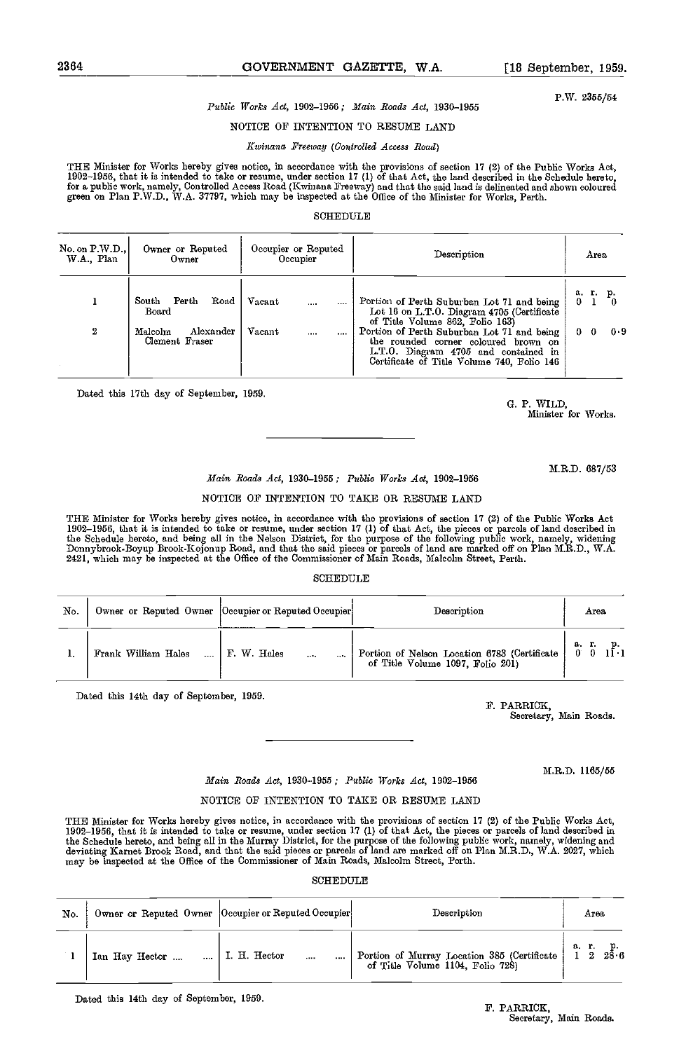### 2364 GOVERNMENT GAZETTE, W.A. [18 September, 1959.

P.W. 2355/54

### Public Works Act, 1902-1956; Main Roads Act, 1930-1955

NOTICE OF INTENTION TO RESUME LAND

### Kwinana Freeway (Controlled Access Road)

THE Minister for Works hereby gives notice, in accordance with the provisions of section 17 (2) of the Public Works Act, 1902-1956, that it is intended to take or resume, under section 17 (1) of that Act, the land described in the Schedule hereto, for a public work, namely, Controlled Access Road (Kwinana Freeway) and that the said land is delineated and shown coloured<br>green on Plan P.W.D., W.A. 37797, which may be inspected at the Office of the Minister for Works,

### SCHEDULE

| No. on P.W.D.<br>W.A., Plan | Owner or Reputed<br>Owner              | Occupier or Reputed<br>Occupier | Description                                                                                                                                                              | Area        |
|-----------------------------|----------------------------------------|---------------------------------|--------------------------------------------------------------------------------------------------------------------------------------------------------------------------|-------------|
|                             | Perth<br>Road<br>South<br>Board        | Vacant<br><br>                  | Portion of Perth Suburban Lot 71 and being<br>Lot 16 on L.T.O. Diagram 4705 (Certificate<br>of Title Volume 862, Folio 163)                                              | a. r.<br>р. |
| $\boldsymbol{2}$            | Malcolm<br>Alexander<br>Clement Fraser | Vacant<br>10000<br>1.111        | Portion of Perth Suburban Lot 71 and being<br>the rounded corner coloured brown on<br>L.T.O. Diagram 4705 and contained in<br>Certificate of Title Volume 740, Folio 146 | 0.9<br>0.   |

Dated this 17th day of September, 1959.

0. P. WILD, Minister for Works.

M.R.D. 687/53

### Main Roads Act, 1930-1955; Public Works Act, 1902-1956

### NOTICE OF INTENTION TO TAKE OR RESUME LAND

THE Minister for Works hereby gives notice, in accordance with the provisions of section 17 (2) of the Public Works Act<br>1902–1956, that it is intended to take or resume, under section 17 (1) of that Act, the pieces or parc the Schedule hereto, and being all in the Nelson District, for the purpose of the following public work, namely, widening<br>Donnybrook-Boyup Brook-Kojonup Road, and that the said pieces or parcels of land are marked off on P 2421, which may he inspected at the Office of the Commissioner of Main Roads, Malcolm Street, Perth.

### **SCHEDULE**

| No. |                     | Owner or Reputed Owner Occupier or Reputed Occupier | Description                                                                      | Агеа                |
|-----|---------------------|-----------------------------------------------------|----------------------------------------------------------------------------------|---------------------|
|     | Frank William Hales | F. W. Hales<br>$\cdots$                             | Portion of Nelson Location 6783 (Certificate<br>of Title Volume 1097, Folio 201) | a.r. p.<br>0 0 11 1 |

Dated this 14th day of September, 1959.

F. PARRICK, Secretary, Main Roads.

M.R.D. 1165/55

### Main Roads Act, 1930-1955; Public Works Act, 1902-1956

### NOTICE OF INTENTION TO TAKE OR RESUME LAND

THE Minister for Works hereby gives notice, in accordance with the provisions of section 17 (2) of the Public Works Act, 1902-1956, that it is intended to take or resume, under section 17 (1) of that Act, the pieces or parcels of land described in the Schedule hereto, and being all in the Murray District, for the purpose of the following public work, namely, widening and<br>deviating Karnet Brook Road, and that the said pieces or parcels of land are marked off on Plan may be inspected at the Office of the Commissioner of Main Roads, Malcolm Street, Perth.

SCHEDULE

| No. |                | Owner or Reputed Owner Occupier or Reputed Occupier | Description                                                                     | Area                          |
|-----|----------------|-----------------------------------------------------|---------------------------------------------------------------------------------|-------------------------------|
|     | Ian Hay Hector | I. H. Hector<br>$\cdots$                            | Portion of Murray Location 385 (Certificate<br>of Title Volume 1104, Folio 728) | 28.6<br>a r.<br>$\frac{1}{2}$ |

Dated this 14th day of September, 1959.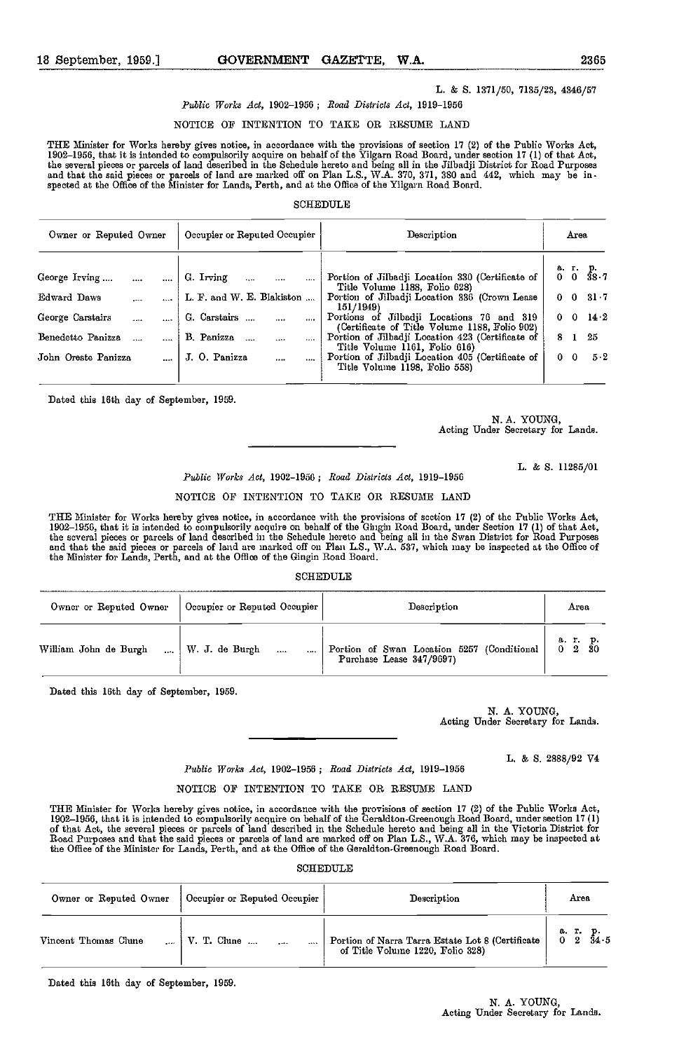### L. & S. 1371/50, 7135/23, 4346/57

### Public Works Act, 1902-1958; Road Districts Act, 1919-1956

### NOTICE OF INTENTION TO TAKE OR RESUME LAND

THE Minister for Works hereby gives notice, in accordance with the provisions of section 17 (2) of the Public Works Act,<br>1902–1956, that it is intended to compulsorily acquire on behalf of the Yilgarn Road Board, under sec the several pieces or parcels of land described in the Schedule hereto and being all in the Jilbadji District for Road Purposes<br>and that the said pieces or parcels of land are marked off on Plan L.S., W.A. 370, 371, 380 an

### **SCHEDULE**

| Owner or Reputed Owner |  | Occupier or Reputed Occupier | Description                                                                                | Area                 |  |  |
|------------------------|--|------------------------------|--------------------------------------------------------------------------------------------|----------------------|--|--|
|                        |  |                              |                                                                                            |                      |  |  |
| George Irving          |  | G. Irring                    | Portion of Jilbadji Location 330 (Certificate of<br>Title Volume 1188, Folio 628)          | a. r. p.<br>0 0 38.7 |  |  |
| Edward Daws            |  | L. F. and W. E. Blakiston    | Portion of Jilbadji Location 336 (Crown Lease<br>151/1949)                                 | $0 \t 0 \t 31.7$     |  |  |
| George Carstairs       |  | G. Carstairs                 | Portions of Jilbadji Locations 76 and 319<br>(Certificate of Title Volume 1188, Folio 902) | $0 \t 0 \t 14 \t 2$  |  |  |
| Benedetto Panizza      |  | B. Panizza<br>$\cdots$       | Portion of Jilbadji Location 423 (Certificate of<br>Title Volume 1161, Folio 616)          | - 25<br>8 1          |  |  |
| John Oreste Panizza    |  | J. O. Panizza<br>$\cdots$    | Portion of Jilbadji Location 405 (Certificate of<br>Title Volume 1198, Folio 558)          | $5-2$<br>$0\quad 0$  |  |  |
|                        |  |                              |                                                                                            |                      |  |  |

Dated this 16th day of September, 1959.

N. A. YOUNG,<br>Acting Under Secretary for Lands.

L. & 8. 11285/01

Public Works Act, 1902-1956 ; Road Districts Act, 1919-1956

### NOTICE OF INTENTION TO TAKE OR RESUME LAND

THE Minister for Works hereby gives notice, in accordnnce with the provisions of section 17 (2) of the Public Works Act, 1902–1956, that it is intended to compulsorily acquire on behalf of the Gingin Road Board, under Section 17 (1) of that Act,<br>the scveral pieces or parcels of land described in the Schedule hereto and being all in the Swan the Minister for Lands, Perth, and at the Office of the Gingia Road Board.

### SCHEDULE

| Owner or Reputed Owner | Occupier or Reputed Occupier               | Description                                                            | Area              |
|------------------------|--------------------------------------------|------------------------------------------------------------------------|-------------------|
| William John de Burgh  | $\mid$ W J. de Burgh<br>$\sim$<br>$\cdots$ | Portion of Swan Location 5257 (Conditional<br>Purchase Lease 347/9697) | a.r. p.<br>0 2 30 |

Dated this 16th day of September, 1959.

N. A, YOUNG, Acting Under Secretary for Lands.

L. & 5. 2888/92 V4

Public Works Act, 1902-1956; Road Districts Act, 1919-1956

### NOTICE OF INTENTION TO TAKE OR RESUME LAND

THE Minister for Works hereby gives notice, in accordance with the provisions of section 17 (2) of the Public Works Act,<br>1902–1956, that it is intended to compulsorily acquire on behalf of the Geraldton-Greenough Road Boar of that Act, the several pieces or parcels of land described in the Schedule hereto and being all in the Victoria District for<br>Road Purposes and that the said pieces or parcels of land are marked off on Plan L.S., W.A. 376 the Office of the Minister for Lands, Perth, and at the Office of the Geraldton.Greenough Road Board.

SCHEDULE

| Owner or Reputed Owner | Occupier or Reputed Occupier                    | Description                                                                          | Area                 |
|------------------------|-------------------------------------------------|--------------------------------------------------------------------------------------|----------------------|
| Vincent Thomas Clune   | $\mathsf{V}$ . T. Clune<br>$\cdots$<br>$\cdots$ | Portion of Narra Tarra Estate Lot 8 (Certificate<br>of Title Volume 1220, Folio 328) | a. r. p.<br>0 2 34 5 |

Dated this 16th day of September, 1959.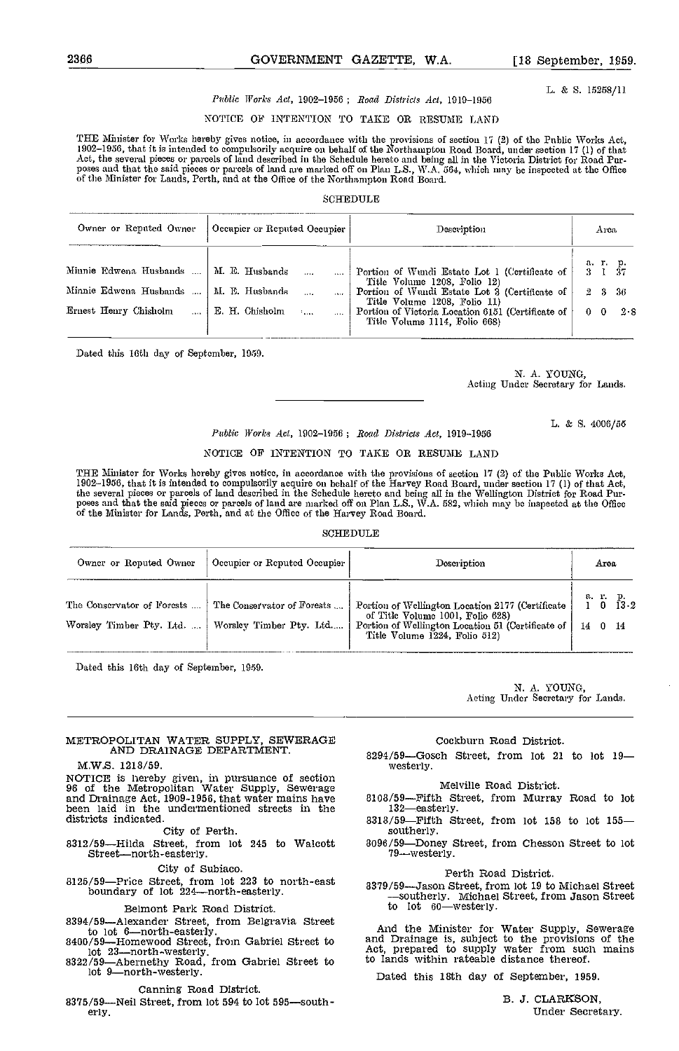L. & 5. 15258/11

### Public Works Act, 1902-1956; Road Districts Act, 1919-1956

### NOTICE OP INTENTION TO TAKE OR RESUME LAND

THE Minister for Works hereby gives notice, in accordance with the provisions of section 17 (2) of the Public Works Act, 1902–1956, that it is intended to compulsorily acquire on behalf of the Northampton Road Board, under section 17 (1) of that<br>Act, the several pieces or parcels of land described in the Schedule hereto and being all in the poses and that the said pieces or parcels of land are marked off on Plan L.S., W.A. 564, which may be inspected at the Office<br>of the Minister for Lands, Perth, and at the Office of the Northampton Road Board.

### SCHEDULE

| Owner or Reputed Owner | Occupier or Reputed Occupier                 | Description                                                                                                        | Arca                         |
|------------------------|----------------------------------------------|--------------------------------------------------------------------------------------------------------------------|------------------------------|
| Minnie Edwena Husbands | M. E. Husbands                               | Portion of Wundi Estate Lot 1 (Certificate of                                                                      | аг. р.<br>2<br>37            |
| Minnie Edwena Husbands | M. E. Husbands                               | Title Volume 1208, Folio 12)<br>Portion of Wundi Estate Lot 3 (Certificate of                                      | $\overline{2}$<br>-9.<br>-36 |
| Ernest Henry Chisholm  | E. H. Chisholm<br>$\mathcal{L}_{\text{max}}$ | Title Volume 1208, Folio 11)<br>Portion of Victoria Location 6151 (Certificate of<br>Title Volume 1114, Folio 668) | 2.8                          |

Dated this 16th day of September, 1959.

N. A. YOUNG, Acting Under Secretary for Lands.

L. & S. 4006/55

### Public Works Act, 1902-1956; Road Districts Act, 1919-1956

### NOTICE OF INTENTION TO TAKE OR RESUME LAND

THE Minister for Works hereby gives notice, in accordance with the provisions of section 17 (2) of the Public Works Act,<br>1902–1956, that it is intended to compulsorily acquire on behalf of the Harvey Road Board, under sect the several pieces or parcels of land described in the Schedule hereto and being all in the Wellington District for Road Pur-<br>poses and that the said pieces or parcels of land are marked off on Plan L.S., W.A. 582, which m

### SCHEDULE

| Owner or Reputed Owner                                 | Occupier or Reputed Occupier                          | Description                                                                                                                                                                  | Area                           |
|--------------------------------------------------------|-------------------------------------------------------|------------------------------------------------------------------------------------------------------------------------------------------------------------------------------|--------------------------------|
| The Conservator of Forests<br>Worsley Timber Pty. Ltd. | The Conservator of Forests<br>Worsley Timber Pty. Ltd | Portion of Wellington Location 2177 (Certificate<br>of Title Volume 1001, Folio 628)<br>Portion of Wellington Location 51 (Certificate of  <br>Title Volume 1224, Folio 512) | a r. p.<br>0 $13.2$<br>14 0 14 |

Dated this 16th day of September, 1959.

N. A. YOUNG, Acting Under Secretary for Lands.

### METROPOLITAN WATER SUPPLY, SEWERAGE AND DRAINAGE DEPARTMENT.

### M.W.S. 1218/59.

NOTICE is hereby given, in pursuance of section 98 of the Metropolitan Water Supply, Sewerage and Drainage Act, 1909-1956, that water mains have been laid in the undermentioned streets in the districts indicated.

districts indicated. 6313/59—Fifth Street, from lot 158 to lot 155<br>City of Perth. 8312/59—Fifth Street, from lot 245<br>8312/59—Hilda Street, from lot 245 to Walcott 8096/59—Doney Street, from Chesson Street to lot<br>79—westerl

City of Subiaco.<br>8125/59—Price Street, from lot 223 to north-east boundary of lot 224—north-easterly.<br>Suitherly Michael Street from Inson Street, from Inson Street, from Inson Street

### Belmont Park Road District.

8394/59—Alexander Street, from Belgravia Street<br>to lot 6—north-easterly.<br>8400/59—Homewood Street, from Gabriel Street to and I

lot 23—north-westerly. The caliform Street to Act, p<br>8322/59—Abernethy Road, from Gabriel Street to to lan

lot 9-north-westerly.

### Canning Road District.

 $8375/59$ —Neil Street, from lot 594 to lot 595—south-<br>erly.

### Cockburn Road District.

 $8294/59$ -Gosch Street, from lot 21 to lot  $19$ westerly.

### Melville Rond District.

- 8108/59-Fifth Street, from Murray Road to lot 132-easterly.
- southerly.
- 8096/59—Doney Street, from Chesson Street to lot 79—westerly.

### Perth Road District.

8379/59—Jason Street, from lot 19 to Michael Street<br>——Southerly. Michael Street, from Jason Street to lot 60—westerly.

And the Minister for Water Supply, Sewerage and Drainage is, subject to the provisions of the Act, prepared to supply water from such mains to lands within rateable distance thereof.

Dated this 18th day of September, 1959.

B. J. CLARSON, Under Secretary.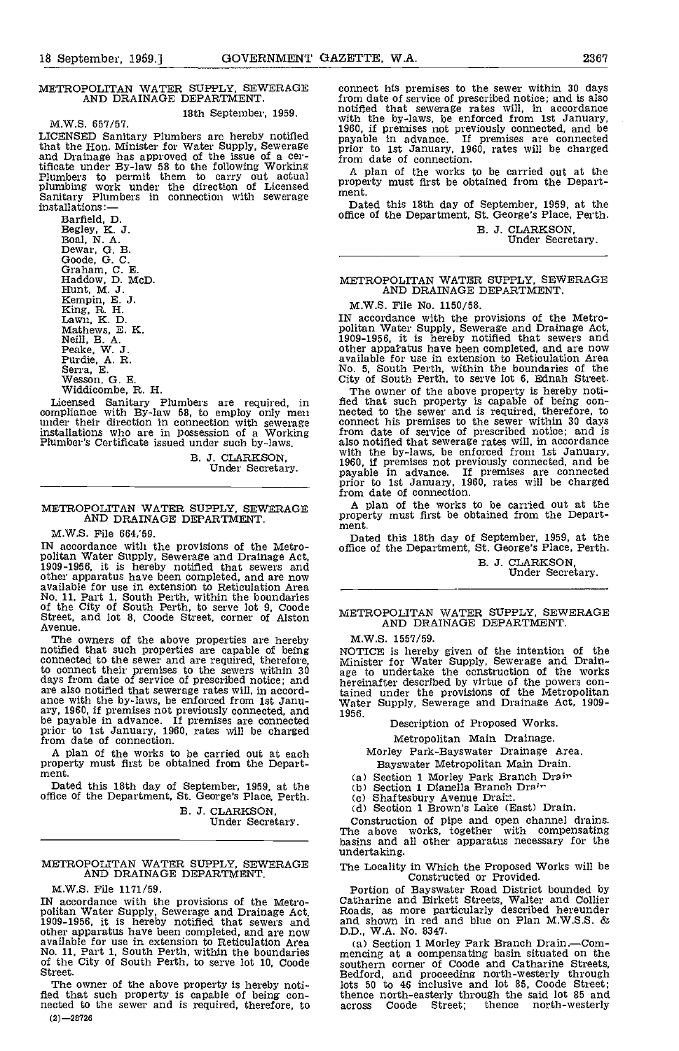## METROPOLITAN WATER SUPPLY, SEWERAGE AND DRAINAGE DEPARTMENT.

18th September, 1959.<br>M.W.S. 657/57.

LICENSED Sanitary Plumbers are hereby notified that the Hon. Minister for Water Supply, Sewerage and Drainage has approved of the issue of a certificate under By-law 58 to the following Working<br>
Plumbers to permit them to carry out actual installations work under the direction of Licensed proper<br>
Sanitary Plumbers in connection with sewerage ment.<br>
installations:—

Barfield, D.<br>Begley, K. J.<br>Boal, N. A.<br>Dewar, G. B.<br>Coode, G. C.<br>Graham, C. E.<br>Haddow, D. McD.<br>Hunt, M. J.<br>Kempin, E. J.<br>King, R. H.<br>Lawn, K. D.<br>Mathews, E. K.<br>Peake, W. J.<br>Peake, W. J.<br>Peake, W. J.<br>Serra, E. R. R. R.<br>Serr

Licensed Sanitary Plumbers are required, in compliance with By-law 58, to employ only men under their direction in connection with sewerage installations who are in possession of a Working Plumber's Certificate issued under such by-laws.

B. 3. CLARKSON, Under Secretary.

### METROPOLITAN WATER SUPPLY, SEWERAGE AND DRAINAGE DEPARTMENT.

M.W.S. File 664,'59.

IN accordance with the provisions of the Metro-<br>politan Water Supply, Sewerage and Drainage Act,<br>1909-1956, it is hereby notified that sewers and<br>other apparatus have been completed, and are now<br>available for use in extens No. 11, Part 1, South Perth, within the boundaries of the City of South Perth, to serve lot 9, Coode Street, and lot 8, Coode Street, corner of Alston Avenue.

The owners of the above properties are hereby M.W. notified that such properties are capable of being connected to the sewer and are required, therefore, the connect their premises to the sewers within  $30$  age to days from date of service of prescribed notice; and are also notified that sewerage rates will, in accord-<br>ance with the by-laws, be enforced from 1st Janu-<br>ary, 1960, if premises not previously connected, and<br>be payable in advance. If premises are connected<br>prior to 1st Ja from date of connection.

A plan of the works to be carried out at each property must first be obtained from the Department.

Dated this 18th day of September, 1959, at the office of the Department, St. George's Place, Perth. (c) Shaftesbury Avenue Drain.

B. J. CLARKSON,

Under Secretary.

### METROPOLITAN WATER SUPPLY, SEWERAGE The LO AND DRAINAGE DEPARTMENT.

M.W.S. File 1171/59.<br>IN accordance with the provisions of the Metro-IN accordance with the provisions of the Metro- politan Water Supply, Sewerage and Drainage Act, 1909-1956, it is hereby notified that sewers and other apparatus have been completed, and are now D.D., W.A. No. 8347.<br>available for use in extension to Reticulation Area (a) Section 1 Morley Park Branch Drain.—Comavailable for use in extension to Reticulation Area (a<br>No. 11, Part 1, South Perth, within the boundaries men<br>of the City of South Perth, to serve lot 10, Coode sout<br>Street. Bedf

The owner of the above property is hereby noti-<br>fled that such property is capable of being con-<br>nected to the sewer and is required, therefore, to across  $(2)-28726$ 

connect his premises to the sewer within 30 days notified that sewerage rates will, in accordance<br>with the by-laws, be enforced from 1st January,<br>1960, if premises not previously connected, and be prior to 1st January, 1960, rates will be charged from date of connection.

A plan of the works to be carried out at the property must first be obtained from the Department.

Dated this 18th day of September, 1959, at the office of the Department, St. George's Place, Perth.

B. J. CLARKSON, Under Secretary.

## METROPOLITAN WATER SUPPLY, SEWERAGE AND DRAINAGE DEPARTMENT.

M.W.S. File No. 1150/SB.

IN accordance with the provisions of the Metro- politan Water Supply, Sewerage and Drainage Act, 1909-1956, it is hereby notified that sewers and other appatatus have been completed and are now available for use in extension to Reticulation Area No. 5, South Perth, within the boundaries of the City of South Perth, to serve lot 6, Ednah Street.

The owner of the above property is hereby noti-<br>fied that such property is capable of being con-<br>nected to the sewer and is required, therefore, to<br>connect his premises to the sewer within 30 days from date of service of prescribed notice; and is<br>also notified that sewerage rates will, in accordance<br>with the by-laws, be enforced from 1st January,<br>1960, if premises not previously connected, and be<br>payable in advance. from date of connection.

A plan of the works to be carried out at the property must first be obtained from the Department.

Dated this 18th day of September, 1959, at the office of the Department, St. George's Place, Perth.

B. 3. CLARKSON, Under Secretary.

METROPOLITAN WATER SUPPLY, SEWERAGE AND DRAINAGE DEPARTMENT

M.W.S. 1557/59.

NOTICE is hereby given of the intention of the<br>Minister for Water Supply, Sewerage and Drain-<br>age to undertake the construction of the works<br>hereinafter described by virtue of the powers contained under the provisions of the Metropolitan Water Supply, Sewerage and Drainage Act, 1909- 1956.

Description of Proposed Works.

Metropolitan Main Drainage.

Morley Park-Bayswater Drainage Area. Bayswater Metropolitan Main Drain.

(a) Section 1 Morley Park Branch Drain

(d) Section 1 Brown's Lake (East) Drain.<br>Construction of pipe and open channel drains. Construction of pipe and open channel drains. The above works, together with compensating basins and all other apparatus necessary for the undertaking.

The Locality in Which the Proposed Works will be Constructed or Provided.

Portion of Bayswater Road District bounded by Catharine and Birkett Streets, Walter and Collier Roads, as more particularly described hereunder and shown in red and blue on Plan M.W.S.S. & D.D., WA. No. 8347.

mencing at a compensating basin situated on the southern corner of Coode and Catharine Streets, Bedford, and proceeding north-westerly through lots 50 to 46 inclusive and lot 85, Coode Street; thence north-easterly through the said lot 85 and<br>across Coode Street; thence north-westerly thence north-westerly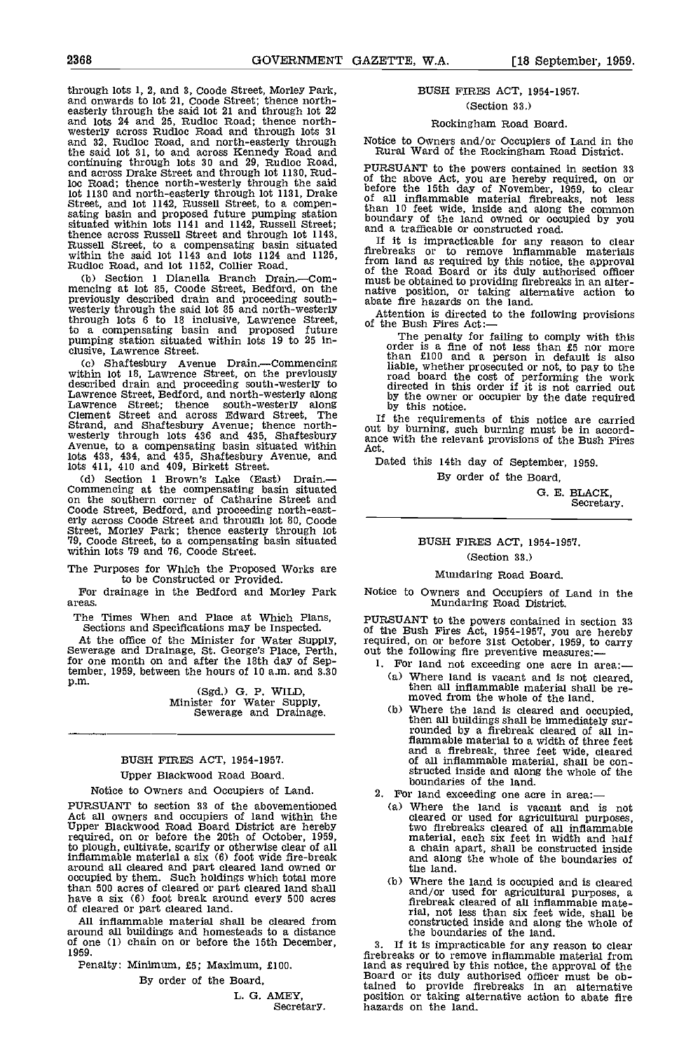through lots 1, 2, and 3, Goode Street, Morley Park, and onwards to lot 21, Coode Street; thence north- easterly through the said lot 21 and through lot 22 and lots 24 and 25, Rudloc Road; thence north-<br>westerly across Rudloc Road and through lots 31 and 32, Rudloc Road, and north-easterly through the said lot 31, to and across Kennedy Road and continuing through lots 30 and 29, Rudloc Road, and across Drake Street and through lot 1130, Rud-<br>and across Drake Street and through lot 1130, Rud-<br>loc Road; thence north-westerly through the said lot 1130 and north-easterly through the said lot 1130 and north-easterly through lot 1131, Drake Street, and lot 1142, Russell Street, to a compensating basin and proposed future pumping station situated within lots 1141 a thence across Russell Street and through lot 1143, Russell Street, to a compensating basin situated within the said lot 1143 and lots 1124 and 1125, Rudloc Road, and lot 1152, Collier Road.

Section 1 Dianella Branch Drain.--Commencing at lot 85, Coode Street, Bedford, on the native<br>previously described drain and proceeding south-<br>westerly through the said lot 85 and north-westerly through lots 6 to 18 inclusive, Lawrence Street, through lots 6 to 18 inclusive, Lawrence Street, of the a compensating basin and proposed future pumping station situated within lots 19 to 25 in- clusive, Lawrence Street.

(c) Shaftesbury Avenue Drain.—Commencing within lot 18, Lawrence Street, on the previously described drain and proceeding south-westerly to Lawrence Street, Bedford, and north-westerly along described drain and proceeding south-westerly to<br>
Lawrence Street, Bedford, and north-westerly to<br>
Lawrence Street; thence south-westerly along by<br>
Lawrence Street; thence south-westerly along by<br>
Lawrence Street and acros lots  $433$ ,  $434$ , and  $435$ , Shaftesbury Avenue, and lots 411, 410 and 409, Birkett Street.

(d) Section 1 Brown's Lake (East) Drain.-Commencing at the compensating basin situated on the southern corner of Catharine Street and Coode Street, Bedford, and proceeding north-east-<br>erly across Coode Street and through lot 80, Coode<br>Street, Morley Park; thence easterly through lot<br>79, Coode Street, to a compensating basin situated<br>within lots 79 and 76

The Purposes for Which the Proposed Works are to be Constructed or Provided.

For drainage in the Bedford and Morley Park areas.

The Times When and Place at Which Plans, Sections and Specifications may be Inspected.

At the office of the Minister for Water Supply, requir Sewerage and Drainage, St. George's Place, Perth, out the for one month on and after the 18th day of Sep-<br>tember, 1959, between the hours of 10 a.m. and 3.30

p.m. (Sgd.) G. P. WILD,<br>Minister for Water Supply,<br>Sewerage and Drainage.

### BUSH FIRES ACT, 1954-1957.

### Upper Blackwood Road Board.

Notice to Owners and Occupiers of Land.

Act all owners and occupiers of land within the Upper Blackwood Road Board District are hereby required, on or before the 20th of October, 1959, required, on or before the 20th of October, 1959, to plough, cultivate, scarify or otherwise clear of all inflammable material a six (6) foot wide fire-break around all cleared and part cleared land owned or occupied by them. Such holdings which total more than 500 acres of cleared or part cleared land shall have a six (6) foot break around every 500 acres of cleared or part cleared land.

All inflammable material shall be cleared from around all buildings and homesteads to a distance of one (1) chain on or before the 15th December, 1959.

Penalty: Minimum, £5; Maximum, £100.

By order of the Board,

L. G. AMEY, Secretary.

### BUSH FIRES ACT, 1954-1957.

(Section 33.)

### Rockingham Road Board.

Notice to Owners and/or Occupiers of Land in the Rural Ward of the Rockingham Road District.

PURSUANT to the powers contained in section 33<br>of the above Act, you are hereby required, on or<br>before the 15th day of November, 1959, to clear<br>of all inflammable material firebreaks, not less<br>than 10 feet wide, inside and

If it is impracticable for any reason to clear firebreaks or to remove inflammable materials from land as required by this notice, the approval of the Road Board or its duly authorised officer must be obtained to providing flrebreaks in an alter- native position, or taking alternative action to abate fire hazards on the land.

Attention is directed to the following provisions of the Bush Fires Act:

The penalty for failing to comply with this order is a fine of not less than £5 nor more than £100 and a person in default is also liable, whether prosecuted or not, to pay to the road board the cost of performing the work directed in this order if it is not carried out by the owner or occupier by the date required by this notice.

If the requirements of this notice are carried out by burning, such burning must be in accord- ance with the relevant provisions of the Bush Fires Act.

Dated this 14th day of September, 1959. By order of the Board,

> 0. E. BLACK, Secretary.

## BUSH FIRES ACT, 1954-1957.

### (Section 33.)

### Mundaring Road Board,

Notice to Owners and Occupiers of Land in the Mundaring Road District.

PURSUANT to the powers contained in section 33 of the Bush Fires Act, 1954-1957, you are hereby required, on or before 31st October, 1959, to carry out the following fire preventive measures:-

- 1. For land not exceeding one acre in area:—<br>(a) Where land is vacant and is not cleared, then all inflammable material shall be re
	- moved from the whole of the land.<br>Where the land is cleared and occupied, Where the land is cleared and occupied,<br>then all buildings shall be immediately sur-<br>rounded by a firebreak cleared of all in-(b) flammable material to a width of three feet and a firebreak, three feet wide, cleared of all inflammable material, shall be con- structed inside and along the whole of the boundaries of the land.
- -Notice to Owners and Occupiers of Land.<br>PURSUANT to section 33 of the abovementioned (a) Where the land is vacant and
- boundaries of the land.<br>
For land exceeding one acre in area:—<br>
(a) Where the land is vacant and is not<br>
cleared or used for agricultural purposes, cleared or used for agricultural purposes, two firebreaks cleared of all inflammable material, each six feet in width and half a chain apart, shall be constructed inside and along the whole of the boundaries of the land.
	- Where the land is occupied and is cleared and/or used for agricultural purposes, a flrebreak cleared of all inflammable mate- rial, not less than six feet wide shall be constructed inside and along the whole of the boundaries of the land.

If it is impracticable for any reason to clear firebreaks or to remove inflammable material from<br>land as required by this notice, the approval of the land as required by this notice, the approval of the Board or its duly authorised officer must be obtained to provide firebreaks in an alternative position or taking alternative action to abate fire hazards on the land.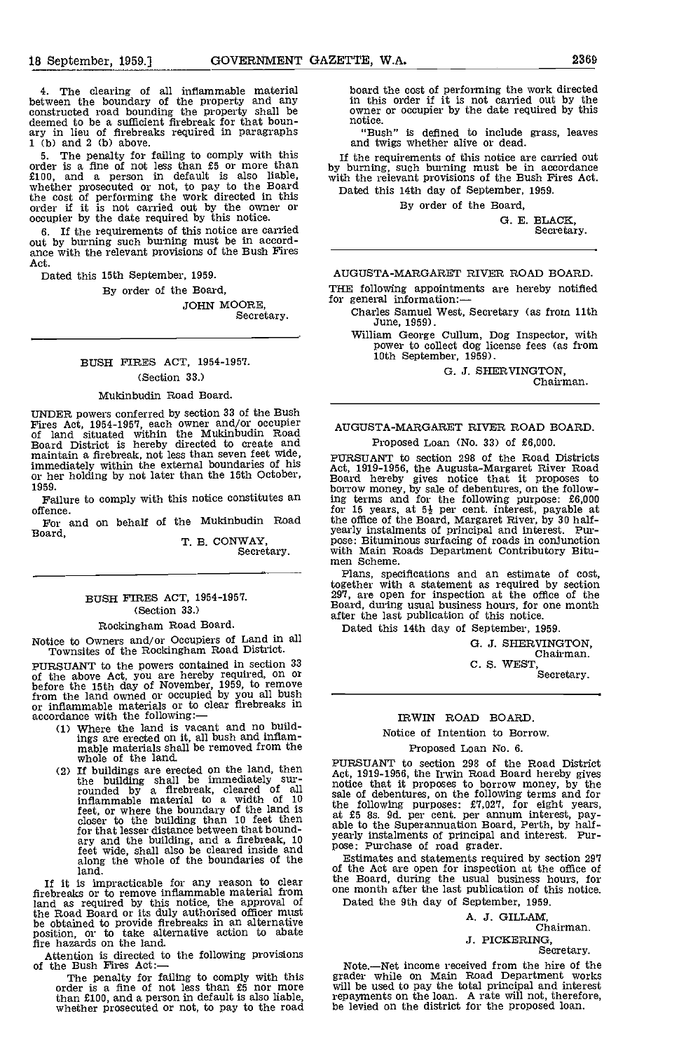The clearing of all inflammable material between the boundary of the property and any constructed road bounding the property shall be deemed to be a sufficient firebreak for that bounary in lieu of firebreaks required in paragraphs 1 (b) and 2 (b) above.

5. The penalty for failing to comply with this  $\frac{1}{10}$  order is a fine of not less than  $\frac{1}{5}$  or more than by bur £100, and a person in default is also liable, whether prosecuted or not, to pay to the Board the cost of performing the work directed in this order if it is not carried out by the owner or occupier by the date required by this notice.

If the requirements of this notice are carried out by burning such burning must be in accord- ance with the relevant provisions of the Bush Fires Act.

Dated this 15th September, 1959.

By order of the Board,

JOHN MOORE, Secretary.

### BUSH FIRES ACT, 1954-1957. (Section 33.)

### Mukinbudin Road Board.

UNDER powers conferred by section 33 of the Bush Fires Act, 1954-1957, each owner and/or occupier of land situated within the Mukinbudin Road Doard District is hereby directed to create and maintain a firebreak, not less 1959.

Failure to comply with this notice constitutes an offence.

For and on behalf of the Mukinbudin Road Board,

T. B. CONWAY. Secretary.

### BUSH FIRES ACT, 1954-1957. (Section 33.)

### Rockingham Road Board.

Notice to Owners and/or Occupiers of Land in all Townsltes of the Rocklngham Road District.

PURSUANT to the powers contained In section 33 of the above Act, you are hereby required, on or before the 15th day of November, 1959, to remove from the land owned or occupied by you all bush or inflammable materials or to clear firebreaks in of cordance with the following: —<br>accordance with the following: —<br>(1) Where the land is vacant and no build-

- ings are erected on It, all bush and Inflam- mable materials shall be removed from the whole of the land.
- If buildings are erected on the land, then<br>the building shall be immediately sur-<br>rounded by a firebreak, cleared of all notice<br>inflammable material to a width of 10 sale of feet, or where the boundary of the land is closer to the building than 10 feet then at £5 for that lesser distance between that bound-<br>for that lesser distance between that bound-<br>ary and the building, and a firebreak, 10 feet wide, shall also be cleared inside and along the whole of the boundaries of the land.

If it is impracticable for any reason to clear the firebreaks or to remove inflammable material from one month and as required by this notice, the approval of Dated the the Road Board or its duly authorised officer must be obtained to provide firebreaks in an alternative position, or to take alternative action to abate fire hazards on the land.

Attention is directed to the following provisions of the Bush Fires Act:

The penalty for failing to comply with this grade<br>order is a fine of not less than £5 nor more will b than £100, and a person in default is also liable, whether prosecuted or not, to pay to the road

board the cost of performing the work directed in this order if it is not carried out by the owner or occupier by the date required by this notice.

'Bush" is defined to include grass, leaves and twigs whether alive or dead.

If the requirements of this notice are carried out by burning, such burning must be in accordance with the relevant provisions of the Bush Fires Act. Dated this 14th day of September, 1959.

By order of the Board,

G. E. BLACK, Secretary.

### AUGUSTA-MARGARET RIVER ROAD BOARD.

THE following appointments are hereby notified for general information:

- Charles Samuel West, Secretary (as from 11th June, 1959).
	- William George Cullum, Dog Inspector, with power to collect dog license fees (as from 10th September, 1959).

G. J. SHERWNGTON, Chairman.

### AUGUSTA-MARGARET RIVER ROAD BOARD.

### Proposed Loan (No. 33) of £6,000.

PURSUANT to section 298 of the Road Districts Act, 1919-1956, the Augusta-Margaret River Road Board hereby gives notice that it proposes to borrow money, by sale of debentures, on the follow-ing terms and for the following purpose: £6,000 for  $15$  years, at  $5\frac{1}{2}$  per cent. interest, payable at the office of the Board, Margaret River, by 30 half-<br>yearly instalments of principal and interest. Pur-<br>pose: Bituminous surfacing of roads in conjunction<br>with Main Roads Department Contributory Bitu-<br>men Scheme.

Plans, specifications and an estimate of cost, together with a statement as required by section 297, are open for inspection at the office of the Board, during usual business hours, for one month after the last publication of this notice.

Dated this 14th day of September, 1959.

G. J. SHERVINGTON, Chairman.

C. S. WEST,<br>Secretary.

### IRWIN ROAD BOARD.

### Notice of Intention to Borrow.

### Proposed Loan No. 6.

PURSUANT to section 293 of the Road District Act, 1919-1956, the Irwin Road Board hereby gives notice that it proposes to borrow money, by the sale of debentures, on the following terms and for<br>the following purposes:  $\pounds 7,027$ , for eight years,<br>at  $\pounds 5$  8s. 9d. per cent. per annum interest, pay-<br>able to the Superannuation Board, Perth, by half-<br>yearly insta spearly instalments of principal and interest. Pur-<br>pose: Purchase of road grader.

Estimates and statements required by section 297 of the Act are open for inspection at the office of the Board, during the usual business hours, for one month after the last publication of this notice. Dated the 9th day of September, 1959.

A. J. GILLAM,

Chairman,

J. PICKERING, Secretary.

Note.—Net income received from the hire of the<br>grader while on Main Road Department works<br>will be used to pay the total principal and interest<br>repayments on the loan. A rate will not, therefore,<br>be levied on the district f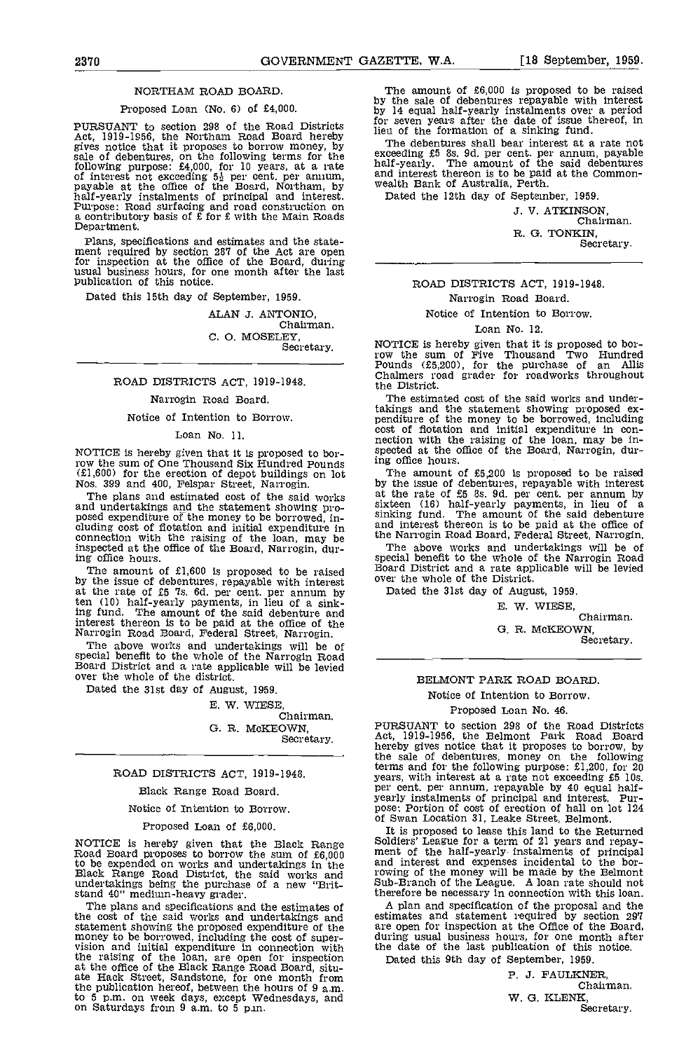### NORTHAM ROAD BOARD.

### Proposed Loan (No. 6) of £4,000.

PURSUANT to section 298 of the Road Districts  ${}^{101}_{1101}$ Act, 1919-1956, the Northam Road Board hereby<br>gives notice that it proposes to borrow money, by<br>sale of debentures, on the following terms for the exceed<br>following purpose: £4,000, for 10 years, at a rate half-ye<br>of intere half-yearly instalments of principal and interest. Dat<br>Purpose: Road surfacing and road construction on a contributory basis of  $\hat{\pounds}$  for  $\hat{\pounds}$  with the Main Roads Department.

Plans, specifications and estimates and the state- ment required by section 287 of the Act are open for inspection at the office of the Board, during \_\_\_\_\_\_\_ usual business hours, for one month after the last publication of this notice.

Dated this 15th day of September, 1959.

ALAN J. ANTONIO,<br>Chairman. C. 0. MOSELEY Secretary.

### ROAD DISTRICTS ACT, 1919-1948.

### Narrogin Road Board.

### Notice of Intention to Borrow.

### Loan No. 11.

NOTICE is hereby given that it is proposed to bor-row the sum of One Thousand Six Hundred Pounds (EI,600) for the erection of depot buildings on lot Nos. 399 and 400, Felspar Street, Narrogin.

The plans and estimated cost of the said works and undertakings and the statement showing pro-<br>posed expenditure of the money to be borrowed, in-<br>cluding cost of flotation and initial expenditure in and in connection with the raising of the loan, may be  $\mathbb{R}^n$ inspected at the office of the Board, Narrogin, during office hours,

The amount of £1,600 is proposed to be raised  $\frac{Board}{1}$ by the issue of debentures, repayable with interest over the rate of £5 's. 6d. per cent. per annum by Date ten (10) half-yearly payments, in lieu of a sink-The amount of the said debenture and interest thereon is to be paid at the office of the Narrogin Road Board, Federal Street, Narrogin.

The above works and undertakings will be of special benefit to the whole of the Narrogin Road Board District and a rate applicable will be levied over the whole of the district.

Dated the 31st day of August, 1959.

### E. W. WIESE,

Chairman. 0. R. MOKEOWN, Secretary.

### ROAD DISTRICTS ACT, 1919-1948.

### Black Range Road Board.

Notice of intention to Borrow.

### Proposed Loan of £6,000.

NOTICE is hereby given that the Black Range Road Board proposes to borrow the sum of  $E6,000$  ment<br>to be expended on works and undertakings in the and in<br>Black Range Road District, the said works and rowing undertakings being the purchase of a new 'Brit- stand 40" medium-heavy grader.

The plans and specifications and the estimates of the cost of the said works and undertakings and estimate statement showing the proposed expenditure of the are or<br>money to be borrowed, including the cost of super-<br>vision and initial expenditure in connection with the de the raising of the loan, are open for inspection bate at the office of the Black Range Road Board, situ- ate Hack Street, Sandstone, for one month from ate Hack Street, Sandstone, for one month from the publication hereof, between the hours of 9 a.m. to 5 p.m. on week days, except Wednesdays, and on Saturdays from 9 a.m. to 5 p.m.

The amount of £6,000 is proposed to be raised by the sale of debentures repayable with interest by 14 equal half-yearly instalments over a period for seven years after the date of issue thereof, in lieu of the formation of a sinking fund.

The debentures shall bear interest at a rate not exceeding £5 8s. 9d. per cent. per annum, payable half-yearly. The amount of the said debentures and interest thereon is to be paid at the Common- wealth Bank of Australia, Perth.

Dated the 12th day of September, 1959.

3. V. ATKINSON, Chairman. R. G. TONKIN,

Secretary.

### ROAD DISTRICTS ACT, 1919-1948. Narrogin Road Board.

### Notice of Intention to Borrow.

### Loan No. 12.

NOTICE is hereby given that it is proposed to bor- row the sum of Five Thousand Two Hundred Pounds (tS,200), for the purchase of an Allis Chalmers road grader for roadworks throughout the District.

The estimated cost of the said works and undertakings and the statement showing proposed ex- penditure of the money to be borrowed, including cost of flotation and initial expenditure in con-<br>nection with the raising of the loan, may be in-<br>spected at the office of the Board, Narrogin, during office hours,

The amount of £5,200 is proposed to be raised by the issue of debentures, repayable with interest at the rate of £5 8s. 9d. per cent. per annum by sixteen (16) half-yearly payments, in lieu of a<br>sinking fund. The amount of the said debenture and interest thereon is to be paid at the office of the Narrogin Road Board, Federal Street, Narrogin.

The above works and undertakings will be of special benefit to the whole of the Narrogin Road Board District and a rate applicable will be levied over the whole of the District.

Dated the 31st day of August, 1959.

E. W. WIESE

Chairman.

0. R. McKEOWN, Secretary.

### BELMONT PARK ROAD BOARD.

### Notice of Intention to Borrow.

Proposed Loan No. 46.

PURSUANT to section 298 of the Road Districts Act, 1919-1956, the Belmont Park Road Board hereby gives notice that it proposes to borrow, by the sale of debentures, money on the following years, with interest at a rate not exceeding £5 lOs. per cent. per annum, repayable by 40 equal half-<br>yearly instalments of principal and interest. Purpose: Portion of cost of erection of hall on lot 124 of Swan Location 31, Leake Street, Belmont.

It is proposed to lease this land to the Returned Soldiers' League for a term of 21 years and repay-<br>ment of the half-yearly instalments of principal<br>and interest and expenses incidental to the bor-<br>rowing of the money wil Sub-Branch of the League. A loan rate should not therefore be necessary in connection with this loan.

A plan and specification of the proposal and the estimates and statement required by section 297 during usual business hours, for one month after the date of the last publication of this notice.

Dated this 9th day of September, 1959.

P. 3. FAULKNER, Chairman. W. G. KLENK, Secretary.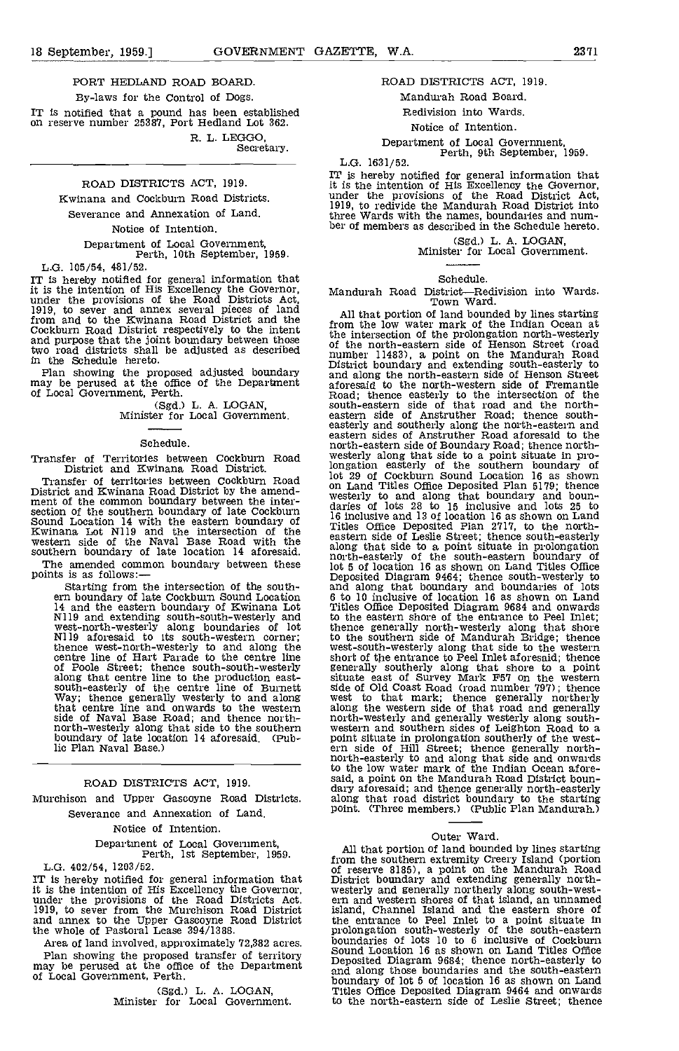### PORT HEDLAND ROAD BOARD.

By-laws for the Control of Dogs.

IT is notified that a pound has been established on reserve number 25387, Port Hedland Lot 362.

R. L. LEGGO, Secretary.

### ROAD DISTRICTS ACT, 1919.

Kwinana and Cockburn Road Districts.

Severance and Annexation of Land.

### Notice of Intention.

Department of Local Government, Perth, 10th Septembe', 1959.

L.G. 105/54, 481/52.

IT is hereby notified for general information that it is the intention of His Excellency the Governor, Mandu under the provisions of the Road Districts Act, 1919, to sever and annex several pieces of land from and to the Kwinana Road District and the from Cockburn Road District respectively to the intent and purpose that the joint boundary between those the  $\frac{1}{10}$ and purpose that the joint boundary between those two road districts shall be adjusted as described in the Schedule hereto.

(Sgd.) L. A. LOGAN, Minister for Local Government.

### Schedule.

Transfer of Territories between Cockburn Road District and Kwinana Road District.

Transfer of territories between Cockburn Road<br>District and Kwinana Road District by the amend-<br>ment of the common boundary between the inter-District and Kwinana Road District by the amend-<br>ment of the common boundary between the inter-<br>section of the southern boundary of late Cockburn<br>Sound Location 14 with the eastern boundary of  $\frac{16 \text{ inc}}{16 \text{ inc}}$ <br>Kwina western side of the Naval Base Road with the easte<br>southern boundary of late location 14 aforesaid. along

The amended common boundary between these<br>points is as follows:—<br>Starting from the intersection of the south-

ern boundary of late Cockburn Sound Location 14 and the eastern boundary of Kwinana Lot N119 and extending south-south-westerly and west-north-westerly along boundaries of lot Ni 19 aforesaid to its south-western corner;<br>thence west-north-westerly to and along the west-s<br>centre line of Hart Parade to the centre line short of<br>of Poole Street; thence south-south-westerly genera along that centre line to the production east-<br>south-easterly of the centre line of Burnett side of<br>Way; thence generally westerly to and along west that centre line and onwards to the western along side of Naval Base Road; and thence north-<br>north-westerly along that side to the southern wester boundary of late location 14 aforesaid. (Public Plan Naval Base)

ROAD DISTRICTS ACT, 1919.

Murchison and Upper Gascoyne Road Districts.

Severance and Annexation of Land.

Notice of Intention.

## Department of Local Government, Perth, 1st September, 1959.

L.G. 402/54, 1203/52.

IT is hereby notified for general information that  $\check{\mathbf{I}}$ it is the intention of His Excellency the Governor,<br>under the provisions of the Road Districts Act. e<br>1919, to sever from the Murchison Road District is<br>and annex to the Upper Gascoyne Road District the whole of Pastoral L

Area of land involved, approximately 72,382 acres. Plan showing the proposed transfer of territory may be perused at the office of the Department of Local Government, Perth.

(Sgd.) L. A. LOGAN, Minister for Local Government.

### ROAD DISTRICTS ACT, 1919.

Mandurah Road Board.

Redivision into Wards.

Notice of Intention.

Department of Local Government, Perth, 9th September, 1959.

 $L.G. 1631/52.$ 

IT is hereby notified for general information that it is the intention of His Excellency the Governor, under the provisions of the Road District Act, 1919, to redivide the Mandurah Road District into three Wards with the names, boundaries and num- ber of members as described in the Schedule hereto.

(Sgd.) L. A. LOGAN, Minister for Local Government.

### Schedule.

Mandurah Road District—Redivision into Wards.<br>Town Ward.

Plan showing the proposed adjusted boundary<br>may be perused at the office of the Department<br>of Local Government, Perth.<br>The perused at the office of the Department<br>and along the north-western side of Fremantle<br>of Local Gove All that portion of land bounded by lines starting from the low water mark of the Indian Ocean at of the north-eastern side of Henson Street (road<br>of the north-eastern side of Henson Street<br>District boundary and extending south-easterly to<br>and along the north-eastern side of Henson Street and along the north-eastern side of Henson Street aforesaid to the north-western side of Fremantle Road; thence easterly to the intersection of the south-eastern side of that road and the north-<br>eastern side of Anstruther Road; thence south-<br>easterly and southerly along the north-eastern and eastern sides of Anstruther Road aforesaid to the<br>north-eastern side of Boundary Road; thence northnorth-eastern side of Boundary Road; thence north-<br>westerly along that side to a point situate in pro-<br>longation easterly of the southern boundary of lot 29 of Cockburn Sound Location 16 as shown on Land Titles Office Deposited Plan 5179; thence<br>westerly to and along that boundary and boundaries of lots 28 to 15 inclusive and lots 25 to<br>16 inclusive and 13 of location 16 as shown on Land<br>Titles Office Deposited Pl along that side to a point situate in prolongation north-easterly of the south-eastern boundary of lot 5 of location 16 as shown on Land Titles Office Deposited Diagram 9464; thence south-westerly to and along that boundary and boundaries of lots 6 to 10 inclusive of location 16 as shown on Land Titles Office Deposited Diagram 9684 and onwards to the eastern shore of the entrance to Peel Inlet; thence generally north-westerly along that shore to the southern side of Mandurah Bridge; thence west-south-westerly along that side to the western short of the entrance to Peel Inlet aforesaid; thence generally southerly along that shore to a point situate east of Survey Mark PS? on the western side of Old Coast Road (road number 797); thence west to that mark; thence generally northerly sue of that mark; thence generally northerly<br>along the western side of that road and generally<br>north-westerly and generally westerly along southnorth-westerly and generally westerly along south-<br>western and southern sides of Leighton Road to a<br>point situate in prolongation southerly of the west-<br>ern side of Hill Street; thence generally north-<br>north-easterly to an to the low water mark of the Indian Ocean aforesaid, a point on the Mandurah Road District boun- dary aforesaid; and thence generally north-easterly along that road district boundary to the starting point, (Three members.) (Public Plan Mandurah.)

### Outer Ward.

All that portion of land bounded by lines starting<br>from the southern extremity Creery Island (portion from the southern extremity Creery Island (portion<br>of reserve 8185), a point on the Mandurah Road<br>District boundary and extending generally north-<br>westerly and generally northerly along south-west-<br>ern and western shores o island, Channel Island and the eastern shore of the entrance to Peel Inlet to a point situate in prolongation south-westerly of the south-eastern boundaries of lots 10 to 6 inclusive of Cockburn Sound Location 16 as shown on Land Titles Office Deposited Diagram 9684; thence north-easterly to and along those boundaries and the south-eastern boundary of lot S of location 16 as shown on Land Titles Office Deposited Diagram 9464 and onwards Titles Office Deposited Diagram 9464 and onwards to the north-eastern side of Leslie Street; thence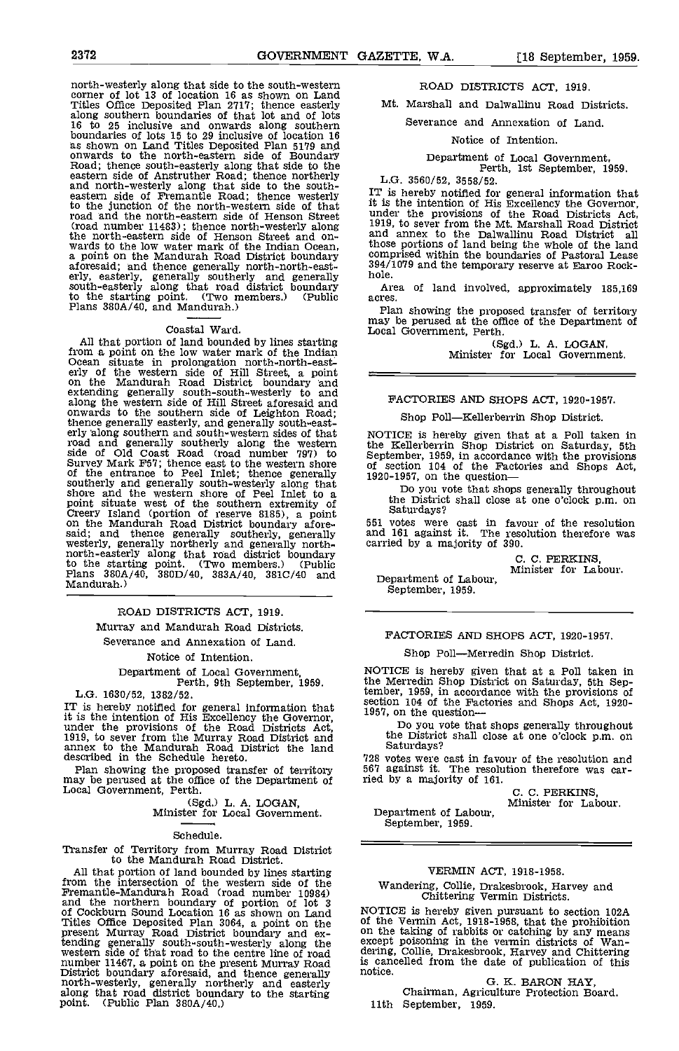north-westerly along that side to the south-western corner of lot 13 of location 16 as shown on Land Titles Office Deposited Plan 2117; thence easterly along southern boundaries of that lot and of lots 16 to 25 inclusive and onwards along southern boundaries of lots 15 to 29 inclusive of location 16 as shown on Land Titles Deposited Plan 5179 and<br>onwards to the north-eastern side of Boundary<br>Road; thence south-easterly along that side to the<br>eastern side of Anstruther Road; thence northerly<br>and north-westerly along t to the junction of the north-western side of that it is the road and the north-eastern side of Henson Street under<br>(road number 11483); thence north-westerly along 1919,<br>the north-eastern side of Henson Street and onwards to the low water mark of the Indian Ocean. those<br>a point on the Mandurah Road District boundary compi aforesaid; and thence generally north-north-east-<br>erly, easterly, generally southerly and generally hole. south-easterly along that road district boundary Area<br>to the starting point. (Two members.) (Public Plans 380A/40, and Mandurah.) Plan

### Coastal Ward.

All that portion of land bounded by lines starting<br>from a point on the low water mark of the Indian<br>Ocean situate in prolongation north-north-east-<br>erly of the western side of Hill Street, a point<br>on the Mandurah Road Dist extending generally south-south-westerly to and along the western side of Hill Street aforesaid and  $F_A$  onwards to the southern side of Leighton Road; thence generally easterly, and generally south-east-<br>erly along southern and south-western sides of that road and generally southerly along the western the K side of Old Coast Road (road number 797) to Septem Survey Mark F57; thence east to the western shore of sect<br>of the entrance to Peel Inlet; thence generally  $1920-19$ of the entrance to Peel Inlet; thence generally 1920-1957, on the question—<br>southerly and generally south-westerly along that<br>shore and the western shore of Peel Inlet to a<br>point situate west of the southern extremity of<br>t

### ROAD DISTRICTS ACT, 1919.

Murray and Mandurah Road Districts. Severance and Annexation of Land.

Notice of Intention.

Department of Local Government, Perth, 9th September, 1959.

L.G. 1630/52, 1382/52.

IT is hereby notified for general information that<br>it is the intention of His Excellency the Governor, under the provisions of the Road Districts Act,  $1919$ , to sever from the Murray Road District and the Murray Road Dis annex to the Mandurah Road District the land described in the Schedule hereto.

Plan showing the proposed transfer of territory may be perused at the office of the Department of Local Government, Perth.

(Sgd.) L. A. LOGAN, Minister for Local Government.

Schedule.

Transfer of Territory from Murray Road District to the Mandurah Road District.

All that portion of land bounded by lines starting from the intersection of the western side of the w Fremantie-Mandurah Road (road number 10984)<br>and the northern boundary of portion of lot 3<br>of Cockburn Sound Location 16 as shown on Land<br>Titles Office Deposited Plan 3064, a point on the of the<br>present Murray Road District tending generally south-south-westerly along the western side of that road to the centre line of road number 11467, a point on the present Murray Road is can<br>District boundary aforesaid, and thence generally notice.<br>north-westerly, generally northerly and easterly along that road district boundary to the starting point. (Public Plan 380A/40.)

ROAD DISTRICTS ACT, 1919.

Mt. Marshall and Dalwallinu Road Districts.

Severance and Annexation of Land.

### Notice of Intention.

## Department of Local Government, Perth, 1st September, 1959.

L.G. 3560/52, 3558/52.

IT is hereby notified for general information that it is the intention of His Excellency the Governor, under the provisions of the Road Districts Act, 1919, to sever from the Mt. Marshall Road District and annex to the Dalwallinu Road District all and annex to the Dalwallinu Road District all<br>those portions of land being the whole of the land<br>comprised within the boundaries of Pastoral Lease 394/1079 and the temporary reserve at Earoo Rock-<br>hole.

Area of land involved, approximately 185,169 acres.

Plan showing the proposed transfer of territory may be perused at the office of the Department of Local Government, Perth.

(Sgd.) L. A. LOGAN, Minister for Local Government.

### FACTORIES AND SHOPS ACT, 1920-1957.

Shop Poll-Kellerberrin Shop District.

NOTICE is hereby given that at a Poll taken in September, 1959, in accordance with the provisions of section 104 of the Factories and Shops Act,

the District shall close at one o'clock p.m. on

551 votes were cast in favour of the resolution and 161 against it. The resolution therefore was carried by a majority of 390.

C. C. PERKINS, Minister for Labour.

Department of Labour,

### FACTORIES AND SHOPS ACT, 1920-1957,

### Shop Poll-Merredin Shop District.

NOTICE is hereby given that at a Poll taken in the Merredin Shop District on Saturday, 5th September, 1959, in accordance with the provisions of section 104 of the Factories and Shops Act, 1920-1957, on the question-

Do you vote that shops generally throughout the District shall close at one o'clock p.m. on Saturdays?

728 votes were cast in favour of the resolution and 567 against it. The resolution therefore was carried by a majority of 161.

C. C. PERKThS, Minister for Labour.

Department of Labour, September, 1959.

### VERMIN ACT, 1918-1958.

Wandering, Collie, Drakesbrook, Harvey and Chittering Vermin Districts.

NOTICE is hereby given pursuant to section 102A<br>of the Vermin Act, 1918-1958, that the prohibition<br>on the taking of rabbits or catching by any means<br>except poisoning in the vermin districts of Wan-<br>dering, Collie, Drakesbr is cancelled from the date of publication of this notice.

0. K. BARON HAY, Chairman, Agriculture Protection Board. 11th September, 1959.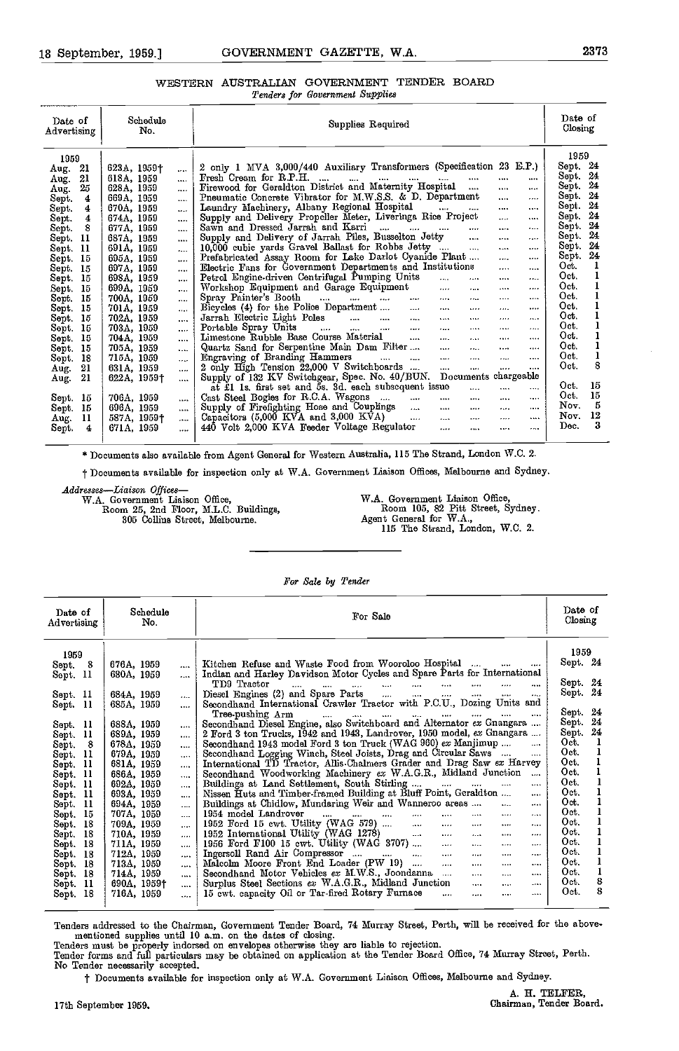### WESTERN AUSTRALIAN GOVERNMENT TENDER BOARD Tenders for Government Supplies

| Date of<br>Advertising | Schedule<br>No. |             | Supplies Required |                                                                                                  |          | Date of<br>Closing |                                                                                                                                                                                                                                                                                                                                                                                                                                                                                                                                                                                  |     |
|------------------------|-----------------|-------------|-------------------|--------------------------------------------------------------------------------------------------|----------|--------------------|----------------------------------------------------------------------------------------------------------------------------------------------------------------------------------------------------------------------------------------------------------------------------------------------------------------------------------------------------------------------------------------------------------------------------------------------------------------------------------------------------------------------------------------------------------------------------------|-----|
| 1959                   |                 |             |                   |                                                                                                  |          |                    | 1959                                                                                                                                                                                                                                                                                                                                                                                                                                                                                                                                                                             |     |
| Aug.                   | -21             | 623A, 1959† |                   | 2 only 1 MVA 3,000/440 Auxiliary Transformers (Specification 23 E.P.)                            |          |                    | Sept. 24                                                                                                                                                                                                                                                                                                                                                                                                                                                                                                                                                                         |     |
| Aug.                   | 21              | 618A, 1959  |                   | Fresh Cream for R.P.H.<br>and the same and the same<br>$\cdots$                                  |          | $\cdots$           | Sept.                                                                                                                                                                                                                                                                                                                                                                                                                                                                                                                                                                            | -24 |
| Aug.                   | 25              | 628A, 1959  |                   | Firewood for Geraldton District and Maternity Hospital                                           |          | $\cdots$           | Sept. 24                                                                                                                                                                                                                                                                                                                                                                                                                                                                                                                                                                         |     |
| Sept.                  | 4               | 669A, 1959  | $\cdots$          | Pneumatic Concrete Vibrator for M.W.S.S. & D. Department                                         | 1.11     |                    | $\operatorname*{Sept.}% \left( \mathcal{N}\right) \equiv\operatorname*{Set.} \left( \mathcal{N}\right) \equiv\operatorname*{Set.} \left( \mathcal{N}\right) \equiv\operatorname*{Set.} \left( \mathcal{N}\right) \equiv\operatorname*{Set.} \left( \mathcal{N}\right) \equiv\operatorname*{Set.} \left( \mathcal{N}\right) \equiv\operatorname*{Set.} \left( \mathcal{N}\right) \equiv\operatorname*{Set.} \left( \mathcal{N}\right) \equiv\operatorname*{Set.} \left( \mathcal{N}\right) \equiv\operatorname*{Set.} \left( \mathcal{N}\right) \equiv\operatorname*{Set.} \left$ | 24  |
| Sept.                  | 4               | 670A, 1959  | $\cdots$          | Laundry Machinery, Albany Regional Hospital<br>المنتجات المنتقل المارات                          |          |                    | Sept.                                                                                                                                                                                                                                                                                                                                                                                                                                                                                                                                                                            | 24  |
| Sept.                  | 4               | 674A, 1959  |                   | Supply and Delivery Propeller Meter, Liveringa Rice Project                                      | $\cdots$ |                    | Sept.                                                                                                                                                                                                                                                                                                                                                                                                                                                                                                                                                                            | 24  |
| Sept.                  | 8               | 677A, 1959  | $\cdots$          | Sawn and Dressed Jarrah and Karri                                                                |          |                    | Sept.                                                                                                                                                                                                                                                                                                                                                                                                                                                                                                                                                                            | 24  |
| Sept.                  | 11              | 687A, 1959  | $\cdots$          | Supply and Delivery of Jarrah Piles, Busselton Jetty<br>$\cdots$                                 |          |                    | Sept.                                                                                                                                                                                                                                                                                                                                                                                                                                                                                                                                                                            | 24  |
| Sept.                  | 11              | 691A, 1959  |                   | 10.000 cubic vards Gravel Ballast for Robbs Jetty<br>$\cdots$                                    |          |                    | Sept.                                                                                                                                                                                                                                                                                                                                                                                                                                                                                                                                                                            | 24  |
| Sept.                  | -15             | 695A, 1959  | $\cdots$          | Prefabricated Assay Room for Lake Darlot Cyanide Plant                                           |          |                    | Sept.                                                                                                                                                                                                                                                                                                                                                                                                                                                                                                                                                                            | 24  |
| Sept.                  | 15              | 697A, 1959  |                   | Electric Fans for Government Departments and Institutions                                        |          |                    | Oct.                                                                                                                                                                                                                                                                                                                                                                                                                                                                                                                                                                             |     |
| Sept.                  | 15              | 698A, 1959  | $\cdots$          | Petrol Engine-driven Centrifugal Pumping Units<br>$\cdots$<br>                                   | 1.7.1.1  | $\cdots$           | Oct.                                                                                                                                                                                                                                                                                                                                                                                                                                                                                                                                                                             |     |
| Sept.                  | 15              | 699A, 1959  | $\cdots$          | Workshop Equipment and Garage Equipment<br>$\cdots$<br>1.111                                     | 1.111    |                    | Oct.                                                                                                                                                                                                                                                                                                                                                                                                                                                                                                                                                                             |     |
| Sept.                  | 15              | 700A, 1959  |                   | Spray Painter's Booth<br>$\mathbf{r}$ and $\mathbf{r}$<br>$\sim$ $\sim$ $\sim$                   | $\cdots$ | 1.011              | Oct.                                                                                                                                                                                                                                                                                                                                                                                                                                                                                                                                                                             |     |
| Sept.                  | 15              | 701A, 1959  | $\cdots$          | Bicycles (4) for the Police Department<br>Jarrah Electric Light Poles<br><b>CARD</b><br>$\cdots$ | $\cdots$ |                    | Oct.                                                                                                                                                                                                                                                                                                                                                                                                                                                                                                                                                                             |     |
| Sept.                  | 15              | 702A, 1959  | $\cdots$          | $\cdots$<br>                                                                                     |          |                    | Oct.                                                                                                                                                                                                                                                                                                                                                                                                                                                                                                                                                                             |     |
| Sept.                  | 15              | 703A, 1959  | $\cdots$          | $\sim$<br>$\cdots$                                                                               |          |                    | Oct.                                                                                                                                                                                                                                                                                                                                                                                                                                                                                                                                                                             |     |
| Sept.                  | 15              | 704A, 1959  | $\cdots$          | Limestone Rubble Base Course Material<br>$\cdots$<br>$\cdots$<br>                                |          |                    | Oct.                                                                                                                                                                                                                                                                                                                                                                                                                                                                                                                                                                             |     |
| Sept.                  | 15              | 705A, 1959  | $\cdots$          | Quartz Sand for Serpentine Main Dam Filter<br>$\cdots$<br>$\cdots$                               |          |                    | Oct.                                                                                                                                                                                                                                                                                                                                                                                                                                                                                                                                                                             |     |
| Sept.                  | 18              | 715A, 1959  |                   | Engraving of Branding Hammers<br>$\mathbf{r}$<br>$\cdots$                                        |          |                    | Oct.                                                                                                                                                                                                                                                                                                                                                                                                                                                                                                                                                                             |     |
| Aug.                   | 21              | 631A, 1959  | $\cdots$          | 2 only High Tension 22,000 V Switchboards<br>$\cdots$                                            |          | $\cdots$           | Oct.                                                                                                                                                                                                                                                                                                                                                                                                                                                                                                                                                                             | 8   |
| Aug.                   | 21              | 622A, 1959† | $\cdots$          | Supply of 132 KV Switchgear, Spec. No. 40/BUN. Documents chargeable                              |          |                    |                                                                                                                                                                                                                                                                                                                                                                                                                                                                                                                                                                                  |     |
|                        |                 |             |                   | $\overline{a}t$ $\overline{t}l$ 1s, first set and 5s, 3d, each subsequent issue<br>$\ddotsc$     | $\cdots$ | $\cdots$           | Oct.                                                                                                                                                                                                                                                                                                                                                                                                                                                                                                                                                                             | 15  |
| Sept.                  | 15              | 706A, 1959  | $\cdots$          | Cast Steel Bogies for R.C.A. Wagons<br><b>STATION</b><br>$\sim 0.01$                             |          |                    | Oct.                                                                                                                                                                                                                                                                                                                                                                                                                                                                                                                                                                             | 15  |
| Sept.                  | 15              | 696A, 1959  | $\sim 0.001$      | Supply of Firefighting Hose and Couplings<br>$\mathbf{r}$ and $\mathbf{r}$<br>$\cdots$           |          |                    | Nov.                                                                                                                                                                                                                                                                                                                                                                                                                                                                                                                                                                             | 5   |
| Aug.                   | 11              | 587A, 1959† | $\mathbf{r}$      | $\sim 10^{-1}$<br>Capacitors $(5,000$ KVA and $3,000$ KVA $)$<br>                                |          |                    | Nov.                                                                                                                                                                                                                                                                                                                                                                                                                                                                                                                                                                             | 12  |
| Sept.                  | 4               | 671A, 1959  | $\cdots$          | 440 Volt 2,000 KVA Feeder Voltage Regulator<br>$\ddotsc$<br>                                     |          |                    | Dec.                                                                                                                                                                                                                                                                                                                                                                                                                                                                                                                                                                             | 3   |

\* Documents also available from Agent General for Western Australia, 115 The Strand, London W.C. 2.

t Documents available for inspection only at W.A. Government Liaison Offices, Melbourne and Sydney.

Addresses-Liaison Offices-

WA. Government Liaison Office, Room 25, 2nd Floor, M.L.C. Buildings, 305 Collins Street, Melbourne. WA. Government Liaison Office, Room 105, 82 Pitt Street, Sydney. Agent General for W.A., 115 The Strand, London, W.C. 2.

### For Sale by Tender

| Date of<br>Advertising | Schedule<br>For Sale<br>No. |                      |                                                                                                                                                                             |                   |  |  |  |
|------------------------|-----------------------------|----------------------|-----------------------------------------------------------------------------------------------------------------------------------------------------------------------------|-------------------|--|--|--|
| 1959                   |                             |                      |                                                                                                                                                                             | 1959              |  |  |  |
| 8<br>Sept.             | 676A, 1959                  | $\cdots$             | Kitchen Refuse and Waste Food from Wooroloo Hospital<br>Indian and Harley Davidson Motor Cycles and Spare Parts for International                                           | Sept. 24          |  |  |  |
| Sept. 11               | 680A, 1959                  |                      | TD9 Tractor<br>$\mathbf{r}$<br>$\mathbf{r}$<br>$\mathbf{r}$<br>$\cdots$<br>$\cdots$<br><b>SALE</b><br>$\cdots$<br><br>                                                      | Sept. 24          |  |  |  |
| Sept. 11               | 684A, 1959                  | $\cdots$             | Diesel Engines (2) and Spare Parts<br>$\mathbf{1}$<br>$\cdots$<br><br>$\cdots$<br><br>                                                                                      | Sept. 24          |  |  |  |
| Sept. 11               | 685A, 1959                  | $\cdots$             | Secondhand International Crawler Tractor with P.C.U., Dozing Units and                                                                                                      | Sept. 24          |  |  |  |
|                        |                             |                      | Tree-pushing Arm<br><b>Allen Committee</b><br>$\cdots$<br>$\cdots$<br>$\cdots$<br><br>$\cdots$<br><br>Secondhand Diesel Engine, also Switchboard and Alternator ex Gnangara | 24<br>Sept.       |  |  |  |
| Sept. 11<br>-11        | 688A, 1959<br>689A, 1959    |                      | 2 Ford 3 ton Trucks, 1942 and 1943, Landrover, 1950 model, ex Gnangara                                                                                                      | 24<br>Sept.       |  |  |  |
| Sept.<br>- 8<br>Sept.  | 678A, 1959                  | $\cdots$             | Secondhand 1943 model Ford 3 ton Truck (WAG 960) ex Manjimup<br>                                                                                                            | Oct.              |  |  |  |
| 11<br>Sept.            | 679A, 1959                  | $\cdots$<br>$\cdots$ | Secondhand Logging Winch, Steel Joists, Drag and Circular Saws<br>$\cdots$                                                                                                  | Oct.              |  |  |  |
| Sept. 11               | 681A, 1959                  | $\cdots$             | International TD Tractor, Allis-Chalmers Grader and Drag Saw ex Harvey                                                                                                      | Oct.              |  |  |  |
| Sept. 11               | 686A, 1959                  | $\cdots$             | Secondhand Woodworking Machinery ex W.A.G.R., Midland Junction<br>$\sim$                                                                                                    | Oct.              |  |  |  |
| Sept. 11               | 692A, 1959                  | $\cdots$             | Buildings at Land Settlement, South Stirling<br>$\cdots$<br>$\cdots$                                                                                                        | Oct.              |  |  |  |
| 11<br>Sept.            | 693A, 1959                  | $\cdots$             | Nissen Huts and Timber-framed Building at Bluff Point, Geraldton<br>                                                                                                        | Oct.              |  |  |  |
| 11<br>Sept.            | 694A, 1959                  | $\cdots$             | Buildings at Chidlow, Mundaring Weir and Wanneroo areas<br>$\cdots$<br>$\cdots$                                                                                             | Oct.              |  |  |  |
| 15<br>Sept.            | 707A, 1959                  |                      | 1954 model Landrover<br>$\cdots$<br>$\cdots$<br><br><b>Address Contract</b><br>$\cdots$<br>$\cdots$<br><br>                                                                 | Oct.              |  |  |  |
| 18<br>Sept.            | 709A, 1959                  | $\cdots$             | 1952 Ford 15 cwt. Utility (WAG 579)<br>$\cdots$<br>$\cdots$<br>$\cdots$<br><br>                                                                                             | Oct.              |  |  |  |
| 18<br>Sept.            | 710A, 1959                  |                      | 1952 International Utility (WAG 1278)<br>$\cdots$<br>$\cdots$<br><br>$\cdots$<br>                                                                                           | Oct.              |  |  |  |
| 18<br>Sept.            | 711A, 1959                  | $\cdots$             | 1956 Ford F100 15 cwt. Utility (WAG 3707)<br>$\cdots$<br>$\cdots$<br><br>                                                                                                   | Oct.              |  |  |  |
| 18<br>Sept.            | 712A, 1959                  | $\cdots$             | Ingersoll Rand Air Compressor<br>$\mathbf{1}$<br><br>1.111<br>                                                                                                              | Oct.              |  |  |  |
| -18<br>Sept.           | 713A, 1959                  | $\cdots$             | Malcolm Moore Front End Loader (PW 19)<br>$\cdots$<br>1.111<br>$\cdots$<br>1.1.1                                                                                            | Oct.              |  |  |  |
| Sept. 18               | 714A, 1959                  | $\cdots$             | Secondhand Motor Vehicles ex M.W.S., Joondanna<br>$\cdots$<br>1.111<br>$1 - 10$                                                                                             | Oct.<br>8         |  |  |  |
| -11<br>Sept.           | 690A, 1959†                 | $\cdots$             | Surplus Steel Sections ex W.A.G.R., Midland Junction<br>$\cdots$<br><br>$1 + 1 +$                                                                                           | Oct.<br>8<br>Oct. |  |  |  |
| Sept. 18               | 716A, 1959                  | $\ddotsc$            | 15 cwt. capacity Oil or Tar-fired Rotary Furnace<br><br><br>                                                                                                                |                   |  |  |  |

Tenders addressed to the Chairman, Government Tender Board, 74 Murray Street, Perth, will be received for the above-<br>mentioned supplies until 10 a.m. on the dates of closing.<br>Tenders must be properly indorsed on envelopes

No Tender necessarily accepted.

t Documents available for inspection only at W.A. Government Liaison Offices, Melbourne and Sydney.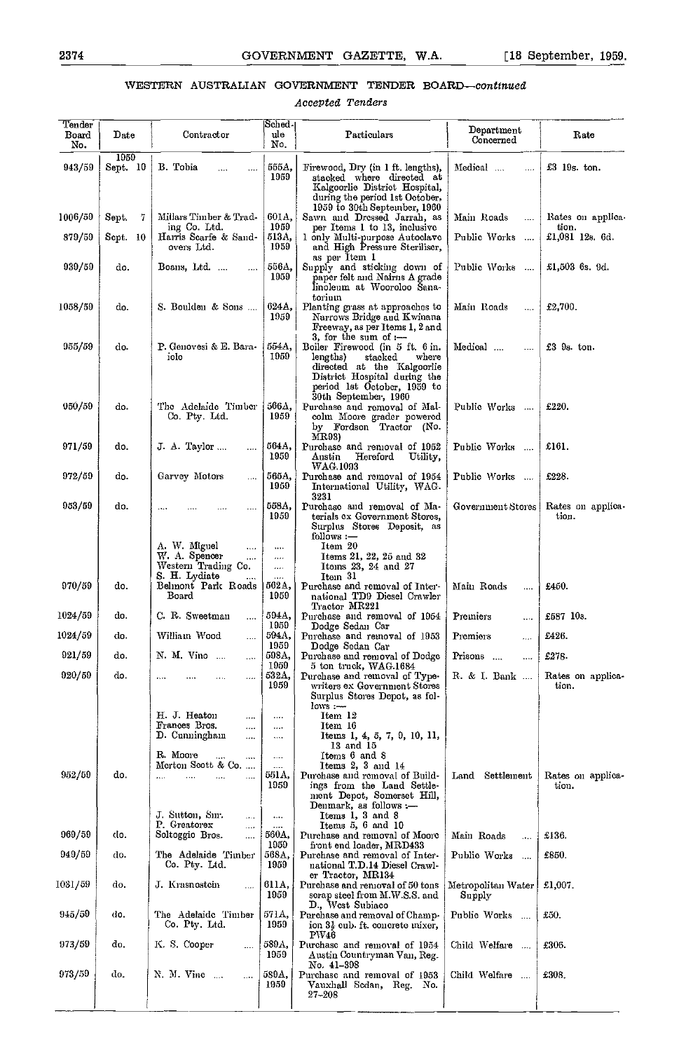### WESTERN AUSTRALIAN GOVERNMENT TENDER BOARD-continued

Accepted Tenders

| Tender<br>Board<br>No. | $_{\rm Dato}$    | Contractor                                                                            | Sched-<br>ule<br>No.         | Particulars                                                                                                                                                                          | Department<br>Concerned                   | Rate                       |
|------------------------|------------------|---------------------------------------------------------------------------------------|------------------------------|--------------------------------------------------------------------------------------------------------------------------------------------------------------------------------------|-------------------------------------------|----------------------------|
| 943/59                 | 1959<br>Sept. 10 | B. Tobia<br>.<br>.                                                                    | 555А,<br>1959                | Firewood, Dry (in 1 ft. lengths),<br>stacked where directed at<br>Kalgoorlie District Hospital,<br>during the period 1st October.                                                    | Medical<br>$\cdots$                       | $£3$ 19 $_8$ , ton.        |
| 1006/59                | Sept.<br>7       | Millars Timber & Trad-<br>ing Co. Ltd.                                                | 601A,<br>1959                | 1959 to 30th September, 1960<br>Sawn and Dressed Jarrah, as<br>per Items 1 to 13, inclusive                                                                                          | Main Roads<br>                            | Rates on applica-<br>tion. |
| 879/59                 | Sept. 10         | Harris Scarfe & Sand-<br>overs Ltd.                                                   | 513A,<br>1959                | 1 only Multi-purpose Autoclave<br>and High Pressure Steriliser,                                                                                                                      | Public Works<br>$\cdots$                  | £1,081 12s. 6d.            |
| 939/59                 | do.              | Boans, Ltd.<br>$\cdots$                                                               | 556A,<br>1959                | as per Item 1<br>Supply and sticking down of<br>paper felt and Nairns A grade<br>linoleum at Wooroloo Sana-<br>torium                                                                | Public Works                              | $£1,503$ 6s. 9d.           |
| 1058/59                | do.              | S. Boulden & Sons                                                                     | 624A,<br>1959                | Planting grass at approaches to<br>Narrows Bridge and Kwinana<br>Freeway, as per Items 1, 2 and<br>3, for the sum of $-$                                                             | Main Roads<br>$\cdots$                    | £2,700.                    |
| 955/59                 | do.              | P. Genovesi & E. Bara-<br>iolo                                                        | 554.A,<br>1959               | Boiler Firewood (in 5 ft. 6 in.<br>lengths)<br>stacked<br>where<br>directed at the Kalgoorlic<br>District Hospital during the<br>period 1st October, 1959 to<br>30th September, 1960 | Medical<br>$\cdots$                       | $\pounds3$ $9s$ ton.       |
| 950/59                 | do.              | The Adelaide Timber<br>Co. Pty. Ltd.                                                  | 566А,<br>1959                | Purchase and removal of Mal-<br>colm Moore grader powered<br>by Fordson Tractor (No.<br>$_{\rm MR03)}$                                                                               | Public Works<br>$\sim$ $\sim$             | £220.                      |
| 971/59                 | do.              | J. A. Taylor<br>$\cdots$                                                              | 564A,<br>1959                | Purchase and removal of 1952<br>Austin<br>Hereford<br>Utility,<br>WAG.1093                                                                                                           | Public Works                              | £161.                      |
| 972/59                 | do.              | Garvey Motors<br>$\cdots$                                                             | 565А,<br>1959                | Purchase and removal of 1954<br>International Utility, WAG.<br>3231                                                                                                                  | Public Works                              | £228.                      |
| 953/59                 | do.              |                                                                                       | 558A,<br>1959                | Purchase and removal of Ma-<br>terials cx Government Stores,<br>Surplus Stores Deposit, as<br>$follows :=$                                                                           | Government Stores                         | Rates on applica-<br>tion. |
|                        |                  | A. W. Miguel<br>$\cdots$<br>W. A. Spencer<br><br>Western Trading Co.<br>S. H. Lydiate | <br>$\cdots$<br><br>$\cdots$ | Item 20<br>Items 21, 22, 25 and 32<br>Items 23, 24 and 27<br>Item 31                                                                                                                 |                                           |                            |
| 970/59                 | do.              | Belmont Park Roads<br>Board                                                           | 562A,<br>1959                | Purchase and removal of Inter-<br>national TD9 Diesel Crawler<br>Tractor MR221                                                                                                       | Main Roads<br>$\cdots$                    | £450.                      |
| 1024/59                | do.              | C. R. Sweetman<br>                                                                    | 594A,<br>1959                | Purchase and removal of 1954<br>Dodge Sedan Car                                                                                                                                      | Premiers<br>$\sim 10$                     | £587 10s.                  |
| 1024/59                | do.              | William Wood<br>.                                                                     | 594A,<br>1959                | Purchase and removal of 1953<br>Dodge Sedan Car                                                                                                                                      | Premiers<br>                              | £426.                      |
| 921/59                 | do.              | N. M. Vino<br>$\cdots$                                                                | 598A,                        | Purchase and removal of Dodge                                                                                                                                                        | Prisons<br>                               | £278.                      |
| 920/59                 | do.              | $\sim$ $\sim$<br>                                                                     | 1959<br>532A,<br>1959        | 5 ton truck, WAG.1684<br>Purchase and removal of Type  <br>writers ex Government Stores<br>Surplus Stores Depot, as fol-<br>$lows -$                                                 | R. & I. Bank $\dots$                      | Rates on applica-<br>tion. |
|                        |                  | H. J. Heaton<br><br>Frances Bros.<br>$\cdots$                                         | $\cdots$<br>$\cdots$         | Item 12<br>Item 16                                                                                                                                                                   |                                           |                            |
|                        |                  | D. Cunningham<br>                                                                     | $\cdots$                     | Items 1, 4, 5, 7, 9, 10, 11,<br>13 and 15                                                                                                                                            |                                           |                            |
|                        |                  | R Moore<br><br>$\cdots$<br>Merton Scott & Co.                                         |                              | Items 6 and 8<br>Items 2, 3 and 14                                                                                                                                                   |                                           |                            |
| 952/59                 | do.              | $\cdots$<br>$\cdots$<br>.<br>.                                                        | <br>551A,<br>1959            | Purchase and removal of Build-<br>ings from the Land Settle-<br>ment Depot, Somerset Hill,<br>Denmark, as follows -                                                                  | Settlement<br>Land                        | Rates on applica-<br>tion. |
|                        |                  | J. Sutton, Sm.<br>$\ldots$<br>P Greatorex                                             | $\ldots$                     | Items 1, 3 and 8<br>Items 5, 6 and 10                                                                                                                                                |                                           |                            |
| 969/59                 | do.              | $\cdots$<br>Soltoggio Bros.<br>$\cdots$                                               | $\cdots$<br>560A.            | Purchase and removal of Moore                                                                                                                                                        | Main Roads<br>                            | £136.                      |
| 949/59                 | do.              | The Adelaide Timber<br>Co. Pty. Ltd.                                                  | 1959<br>568A,<br>1959        | front end loader, MRD433<br>Purchase and removal of Inter-<br>national T.D.14 Diesel Crawl-                                                                                          | Public Works<br>$\ddotsc$                 | £850.                      |
| 1031/59                | do.              | J. Krasnosteh<br>$\cdots$                                                             | 611A,<br>1959                | er Tractor, MR134<br>Purchase and removal of 50 tons<br>scrap steel from M.W.S.S. and<br>D., West Subiaco                                                                            | Metropolitan Water<br>Supply              | £1,007.                    |
| 945/59                 | do.              | The Adelaide Timber<br>Co. Pty. Ltd.                                                  | 571A,<br>1959                | Purchase and removal of Champ-<br>ion 3} cub. ft. concrete mixer,                                                                                                                    | Public Works<br>$\ddotsc$                 | ±50.                       |
| 973/59                 | do.              | K. S. Cooper<br>                                                                      | 589A,<br>1959                | PW46<br>Purchase and removal of 1954<br>Austin Countryman Van, Reg.<br>No. 41-398                                                                                                    | Child Welfare<br>$\overline{\phantom{a}}$ | £306.                      |
| 973/59                 | do,              | N. M. Vinc<br>$\cdots$                                                                | 589A,<br>1959                | Purchase and removal of 1953<br>Vauxhall Sedan, Reg. No.<br>27–208                                                                                                                   | Child Welfare                             | £303.                      |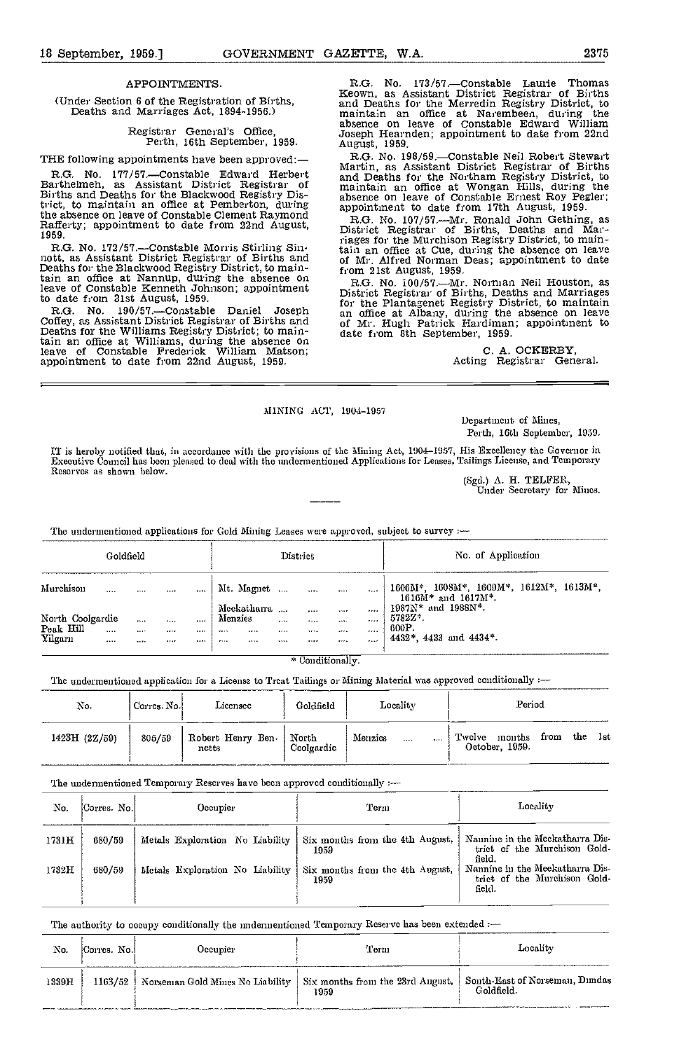## (Under Section 6 of the Registration of Births, Deaths and Marriages Act, 1894-1956.)

Registrar General's Office, Perth, 16th September, 1959.

THE following appointments have been approved:-

R.G. No. 177/57.—Constable Edward Herbert<br>arthelmeh, as Assistant District Registrar of Barthelmeh, as Assistant District Registrar of Births and Deaths for the Blackwood Registry District, to maintain an office at Pemberton, during appoir the absence on leave of Constable Clement Raymond<br>Rafferty; appointment to date from 22nd August, Right 1959.

R.G. No. 172/57.—Constable Morris Stirling Sin-<br>nott, as Assistant District Registrar of Births and<br>Deaths for the Blackwood Registry District, to maintain an offloe at Nannup, during the absence on leave of Constable Kenneth Johnson; appointment to date from 31st August, 1959.<br>R.G. No. 190/57.—Constable Daniel

R.G. No. 190/57.—Constable Daniel Joseph and Coffey, as Assistant District Registrar of Births and of M<br>Deaths for the Williams Registry District; to main-<br>date tain an office at Williams, during the absence on leave of Constable Frederick William Matson; appointment to date from 22nd August, 1959.

R.G. No. 173/57.—Constable Laurie Thomas<br>Keown, as Assistant District Registrar of Births<br>and Deaths for the Merredin Registry District, to<br>maintain an office at Narembeen, during the<br>absence on leave of Constable Edward W maintain an office at Narembeen, during the<br>absence on leave of Constable Edward William<br>Joseph Hearnden; appointment to date from 22nd<br>August, 1959.

R.G. No. 198/59.—Constable Neil Robert Stewart Martin, as Assistant District Registrar of Births and Deaths for the Northam Registry District, to maintain an office at Wongan Hills, during the absence on leave of Constable

absence on leave of Constable Ernest Roy Pegler;<br>appointment to date from 17th August, 1959.<br>R.G. No. 107/57.—Mr. Ronald John Gething, as<br>District Registrar of Births, Deaths and Mar-<br>riages for the Murchison Registry Dis

R.G. No. 100/57. Mr. Norman Neil Houston, as District Registrar of Births, Deaths and Marriages for the Plantagenet Registry District, to maintain an office at Albany, during the absence on leave of Mr. Hugh Patrick Hardiman; appointment to of Mr. Hugh Patrick Hardiman; appointment to date from 8th September, 1959.

C. A. OCKERBY, Acting Registrar General.

## MINING ACT, 1904-1957<br>Department of Mines,

Perth, 16th September, 1950.

IT is hereby notified that, in accordance with the provisions of the Mining Act, 1904–1957, His Excellency the Governor in<br>Executive Council has been pleased to deal with the undermentioned Applications for Leases, Tailing Reserves as shown below.

(Sgd.) A. H. TELFER, Under Secretary for Mines.

The undermentioned applications for Gold Mining Leases were approved, subject to survey :-

| Goldfield            |                   |           |            |       | District                        |             |                   |                |              | No. of Application                                                                                                  |
|----------------------|-------------------|-----------|------------|-------|---------------------------------|-------------|-------------------|----------------|--------------|---------------------------------------------------------------------------------------------------------------------|
| Murchison            | $\cdots$          |           | 1.1.7      |       | Mt. Magnet<br>Mcckathana        |             | $\cdots$          |                |              | $1606M^*$ , $1608M^*$ , $1609M^*$ , $1612M^*$ , $1613M^*$ ,<br>$1616M*$ and $1617M*$ .<br>$1987N^*$ and $1988N^*$ . |
| North Coolgardie     |                   | $\cdots$  | 1.1.1      | 1.111 | Menzies                         | $\cdots$    | $\cdots$<br>1.1.1 | 1.187<br>1.111 | .<br>.       | 5782Z*.<br>600P.                                                                                                    |
| Peak Hill<br>Yilgaru | 1.11<br>$- - - -$ | 3.413<br> | 1.0000<br> | <br>  | 1.7.1.1<br>1.1.1<br><br>2.7.1.4 | 1.2.1.5<br> | 1994<br>          | 1.1111<br>     | 1.11<br>1.11 | 4432*, 4433 and 4434*.                                                                                              |

\* Conditionally.

The undermentioned application for a License to Treat Tailings or Mining Material was approved conditionally :-

| No.               | Corres. No. | Licensec                   | Goldfield           | Locality |          |       | Period                                                   |
|-------------------|-------------|----------------------------|---------------------|----------|----------|-------|----------------------------------------------------------|
| <br>1423H (2Z/59) | 805/59      | Robert Henry Ben-<br>netts | North<br>Coolgardie | Menzics  | $\cdots$ | 1.111 | Twelve<br>the<br>months<br>from<br>lst<br>October, 1959. |

The undermentioned Temporary Reserves have been approved conditionally  $:=$ 

| No.   | Corres. No. | Occupier                        | 'Ferm                                   | Locality                                                                  |  |  |  |
|-------|-------------|---------------------------------|-----------------------------------------|---------------------------------------------------------------------------|--|--|--|
| 1731H | 680/59      | Metals Exploration No Liability | Six months from the 4th August,<br>1959 | Namine in the Meckatharra Dis-<br>trict of the Murchison Gold-<br>field.  |  |  |  |
| 1732H | 680/59      | Metals Exploration No Liability | Six months from the 4th August,<br>1959 | Nannine in the Meekatharra Dis-<br>trict of the Murchison Gold-<br>field. |  |  |  |

### The authority to occupy conditionally the imdermentioned Temporary Reserve has been extended :-

| No.   | Corres, No. | Occunier                                                                                                       | Term | Locality  |
|-------|-------------|----------------------------------------------------------------------------------------------------------------|------|-----------|
| 1339H |             | 1163/52   Norseman Gold Mines No Liability   Six months from the 23rd Angust,   Sonth-East of Norseman, Dundas | 1959 | Goldfield |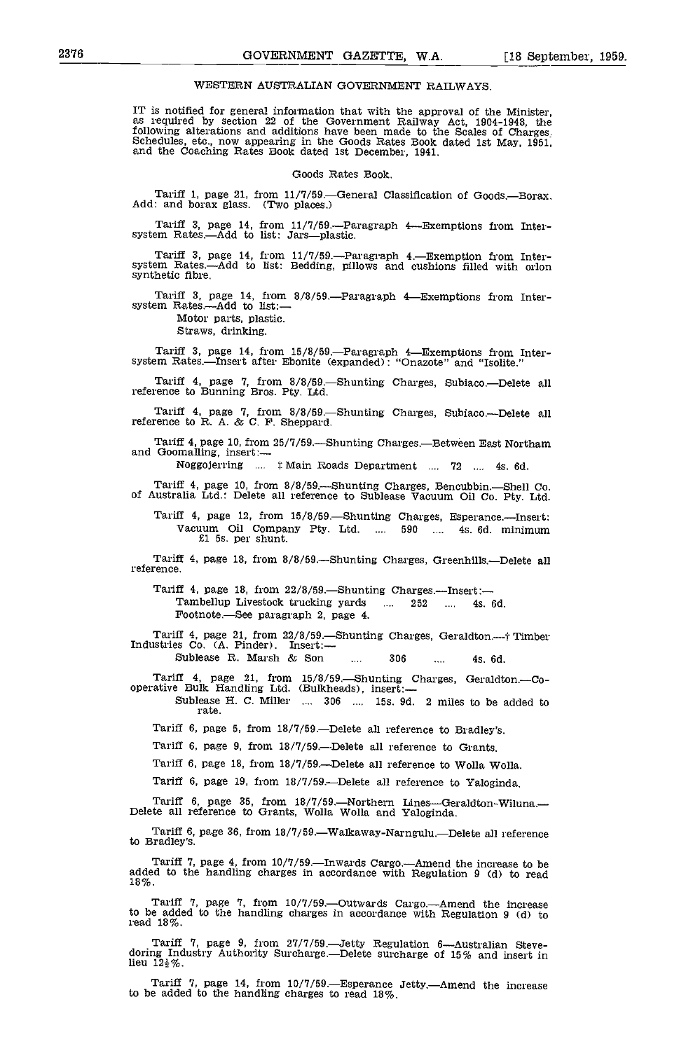### WESTERN AUSTRALIAN GOVERNMENT RAILWAYS.

IT is notified for general information that with the approval of the Minister, as required by section 22 of the Government Railway Act, 1904-1948, the following alterations and additions have been made to the Scales of Charges: Schedules, etc., now appearing in the Goods Rates Book dated 1st May, 1951, and the Coaching Rates Book dated 1st December, 1941.

### Goods Rates Book.

Tariff 1, page 21, from 11/7/59.—General Classification of Goods.—Borax. Add: and borax glass. (Two places.)

Tariff 3, page 14, from  $11/7/59$ . Paragraph 4—Exemptions from Inter-system Rates.—Add to list: Jars—plastic.

Tariff 3, page 14, from 11/7/59.—Paragraph 4.—Exemption from Inter-system Rates.—Add to list: Bedding, pillows and cushions filled with orlon synthetic fibre.

Tariff 3, page 14, from 8/8/59.—Paragraph 4—Exemptions from Inter-<br>system Rates,—Add to list: — Motor parts, plastic.

Straws, drinking,

Tariff 3, page 14, from 15/8/59.—Paragraph 4—Exemptions from Inter- system Rates,—Insert after Ebonite (expanded): "Onazote" and "Isolite."

Tariff 4, page 7, from  $8/8/59$ . Shunting Charges, Subiaco. Delete all reference to Bunning Bros. Pty. Ltd.

Tariff 4, page 7, from  $8/8/59$ . Shunting Charges, Subiaco.—Delete all reference to R. A. & C. F. Sheppard.

Tariff 4, page 10, from  $25/7/59$ .—Shunting Charges.—Between East Northam and Goomalling, insert:—

Noggojerring ....  $\ddagger$  Main Roads Department .... 72 .... 4s. 6d.

Tariff 4, page 10, from 8/8/59.—Shunting Charges, Bencubbin.—Shell Co. of Australia Ltd.: Delete all reference to Sublease Vacuum Oil Co. Pty. Ltd.

Tariff 4, page 12, from 15/8/59.—Shunting Charges, Esperance.—Insert:<br>Vacuum Oil Company Pty. Ltd. .... 590 .... 4s. 6d. minimum<br>£1 5s. per shunt.

Tariff 4, page 18, from 8/8/59.—Shunting Charges, Greenhills.—Delete all reference.

Tariff 4, page 18, from  $22/8/59$ . Shunting Charges. Insert: Tambellup Livestock trucking yards ... 252 .... 4s. 6d. Footnote.-See paragraph 2, page 4.

Tariff 4, page 21, from 22/8/59.—Shunting Charges, Geraldton.—† Timber<br>Industries Co. (A. Pinder). Insert:—<br>Sublease R. Marsh & Son .... 306 .... 4s. 6d.

Tariff 4, page 21, from 15/8/59.—Shunting Charges, Geraldton.—Co-operative Bulk Handling Ltd. (Bulkheads), insert:—

Sublease H. C. Miller .... 306 .... 15s. 9d. 2 miles to be added to rate.

Tariff 6, page 5, from  $18/7/59$ . Delete all reference to Bradley's.

Tariff 6, page 9, from 18/7/59.—Delete all reference to Grants.

Tariff 6, page 18, from 18/7/59.—Delete all reference to Wolla Wolla.

Tariff 6, page 19, from 18/7/59.—Delete all reference to Yaloginda.

Tariff 6, page 35, from 18/7/59.—Northern Lines—Geraldton-Wiluna.—<br>Delete all reference to Grants, Wolla Wolla and Yaloginda.

Tariff 6, page 36, from 18/7/59.—Walkaway-Narngulu.—Delete all reference to Bradley's.

Tariff 7, page 4, from  $10/7/59$ .—Inwards Cargo.—Amend the increase to be<br>added to the handling charges in accordance with Regulation 9 (d) to read 18%.

Tariff 7, page 7, from 10/7/59.—Outwards Cargo.—Amend the increase<br>to be added to the handling charges in accordance with Regulation 9 (d) to read 18%.

Tariff 7, page 9, from 27/7/59.—Jetty Regulation 6—Australian Steve-doring Industry Authority Surcharge.—Delete surcharge of 15% and insert in lieu  $12\frac{1}{2}\%$ .

Tariff 7, page 14, from  $10/7/59$ .—Esperance Jetty.—Amend the increase to be added to the handling charges to read 18%.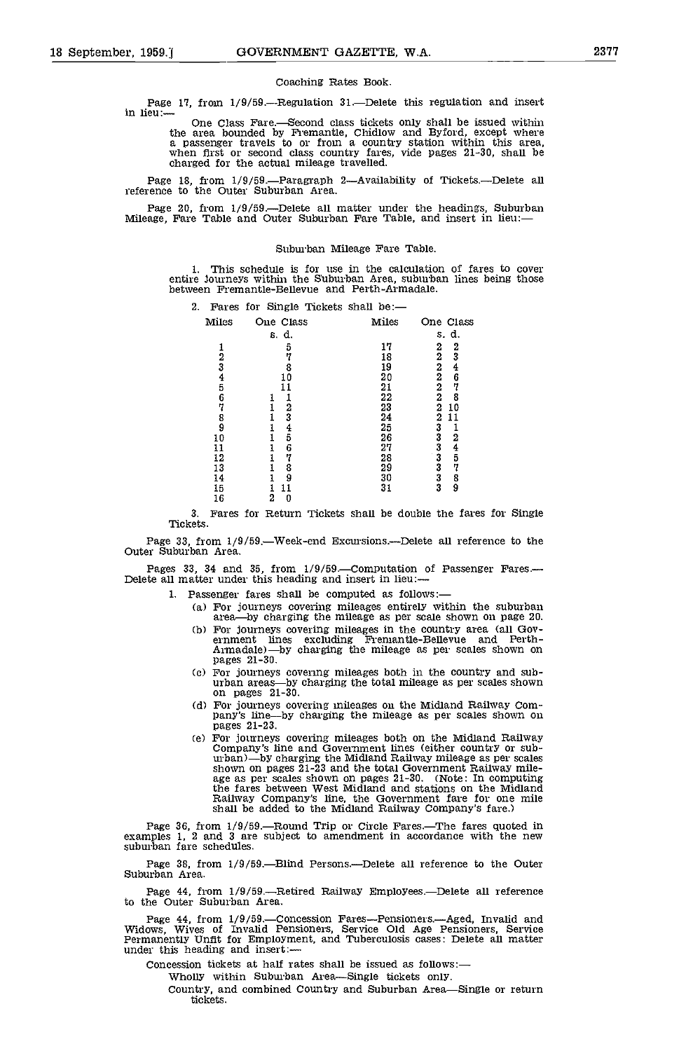### Coaching Rates Book.

Page 17, from 1/9/59.—Regulation 31.—Delete this regulation and insert<br>in lieu: One Class Fare.—Second class tickets only shall be issued within the area bounded by Fremantle, Chidlow and Byford, except where a passenger travels to or from a country station within this area, when first or second class country fares, vide pages 21-30, shall be charged for the actual mileage travelled.

Page 18, from  $1/9/59$ .—Paragraph 2—Availability of Tickets.—Delete all reference to the Outer Suburban Area.

Page 20, from 1/9/59.—Delete all matter under the headings, Suburban Mileage, Fare Table and Outer Suburban Fare Table, and insert in lieu:—

### Suburban Mileage Fare Table.

1. This schedule is for use in the calculation of fares to cover entire journeys within the Suburban Area, suburban lines being those between Fremantle-Bellevue and Ferth-Armadale.

| 2. |       |           |       | Fares for Single Tickets shall be:- |       |                |                                           |
|----|-------|-----------|-------|-------------------------------------|-------|----------------|-------------------------------------------|
|    | Miles | One Class |       |                                     | Miles |                | One Class                                 |
|    |       |           | s. d. |                                     |       |                | s. d.                                     |
|    |       |           | 5     |                                     | 17    | 2              | $\frac{2}{3}$                             |
|    | 2     |           |       |                                     | 18    | 2              |                                           |
|    | 3     |           | 8     |                                     | 19    | 2              | 4                                         |
|    | 4     |           | 10    |                                     | 20    | 2              | 6                                         |
|    | 5     |           |       |                                     | 21    | 2              | 7                                         |
|    | 6     |           |       |                                     | 22    | $\overline{2}$ | 8                                         |
|    | 7     |           | 2     |                                     | 23    | 2              | 10                                        |
|    | 8     |           | 3     |                                     | 24    | 2              | 11                                        |
|    | 9     |           | 4     |                                     | 25    | 3              |                                           |
|    | 10    |           | 5     |                                     | 26    | 3              | 2                                         |
|    | 11    |           | 6     |                                     | 27    | 3              | $\frac{4}{5}$                             |
|    | 12    |           | 7     |                                     | 28    |                |                                           |
|    | 13    |           | 8     |                                     | 29    | $\frac{3}{3}$  | 7                                         |
|    | 14    |           | 9     |                                     | 30    |                | $\begin{smallmatrix}8\9\end{smallmatrix}$ |
|    | 15    |           | 11    |                                     | 31    |                |                                           |
|    | 16    | 2         | 0     |                                     |       |                |                                           |

3. Fares for Return Tickets shall be double the fares for Single Tickets.

Page 33, from 1/9/59.—Week-end Excursions.—Delete all reference to the Outer Suburban Area.

Pages 33, 34 and 35, from  $1/9/59$ . Computation of Passenger Fares. Delete all matter under this heading and insert in lieu:-

- 1. Passenger fares shall be computed as follows:
	- For journeys covering mileages entirely within the suburban area-by charging the mileage as per scale shown on page 20.
	- For journeys covering mileages in the country area (all Gov-ernment lines excluding Fremantle-Bellevue and Perth-Armadale)—by charging the mileage as per scales shown on pages 21-30.
	- (c) For journeys covering mileages both in the country and sub-<br>urban areas—by charging the total mileage as per scales shown on pages 21-30.
	- (d) For journeys covering mileages on the Midland Railway Com-<br>pany's line—by charging the mileage as per scales shown on pages 21-23.
	- Ce) For journeys covering mileages both on the Midland Railway Company's line and Government lines (either country or sub- urban)by charging the Midland Railway mileage as per scales shown on pages 21-23 and the total Government Railway mile-<br>age as per scales shown on pages 21-30. (Note: In computing<br>the fares between West Midland and stations on the Midland<br>Railway Company's line, the Government fare shall be added to the Midland Railway Company's fare.)

Page 36, from 1/9/59.—Round Trip or Circle Fares.—The fares quoted in examples 1, 2 and 3 are subject to amendment in accordance with the new suburban fare schedules.

Page 38, from  $1/9/59$ . Blind Persons. Delete all reference to the Outer Suburban Area.

Page 44, from 1/9/59.—Retired Railway Employees.—Delete all reference to the Outer Suburban Area.

Page 44, from 1/9/59.—Concession Fares—Pensioners.—Aged, Invalid and Widows, Wives of Invalid Pensioners, Service Old Age Pensioners, Service Permanently Unfit for Employment, and Tuberculosis cases: Delete all matter unde

Concession tickets at half rates shall be issued as follows:

Wholly within Suburban Area-Single tickets only.

Country, and combined Country and Suburban Area-Single or return tickets.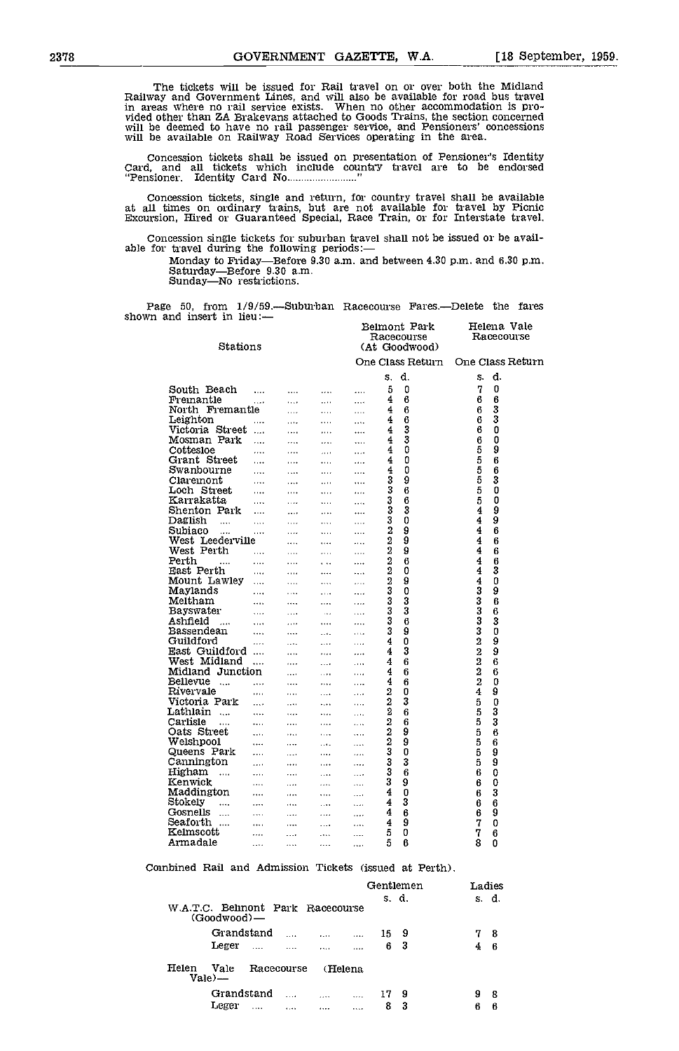The tickets will be issued for Rail travel on or over both the Midland Railway and Government Lines, and will also be available for road bus travel<br>in areas where no rail service exists. When no other accommodation is pro-<br>vided other than ZA Brakevans attached to Goods Trains, the section co

Concession tickets shall be issued on presentation of Pensioner's Identity<br>Card, and all tickets which include country travel are to be endorsed<br>"Pensioner, Identity Card No.........................."

Concession tickets, single and return, for country travel shall be available at all times on ordinary trains, but are not available for travel by Picnic Excursion, Hired or Guaranteed Special, Race Train, or for Interstate

Concession single tickets for suburban travel shall not be issued or be available for travel during the following periods:—

Monday to Friday—Before 9.30 a.m. and between 4.30 p.m. and 6.30 p.m. Saturday—Before 9.30 a.m. Sunday—No restrictions.

Page 50, from 1/9/59.—Suburban Racecourse Fares.—Delete the fares shown and insert in lieu:— Belmont Park Helena Vale

| Stations                               |           |              |                   |              |                | Racecourse<br>(At Goodwood) |                | Racecourse       |  |
|----------------------------------------|-----------|--------------|-------------------|--------------|----------------|-----------------------------|----------------|------------------|--|
|                                        |           |              |                   |              |                | One Class Return            |                | One Class Return |  |
|                                        |           |              |                   |              | s.             | d.                          | S.             | d.               |  |
| South Beach                            | $\cdots$  | $\cdots$     | $\cdots$          | $\cdots$     | 5              | 0                           | 7              | 0                |  |
| Fremantle                              | $\cdots$  | $\cdots$     | $\cdots$          | $\cdots$     | 4              | 6                           | 6              | 6                |  |
| North Fremantie                        |           | $\cdots$     | $\cdots$          | $\cdots$     | 4              | 6                           | 6              | 3                |  |
| Leighton                               |           | $\cdots$     | .                 | $\cdots$     | 4              | 6                           | 6              | 3                |  |
| Victoria Street                        | $\sim$    | $\cdots$     |                   |              | 4              | 3                           | 6              | 0                |  |
| Mosman Park                            | $\ddotsc$ | $\mathbf{r}$ | $\cdots$          | $\ddotsc$    | 4              | 3                           | 6              | 0                |  |
| Cottesloe                              | .         | $\cdots$     | $\cdots$          | $\cdots$     | 4              | 0                           | 5              | 9                |  |
| Grant Street                           |           | $\cdots$     | $\ldots$          | $\cdots$     | 4              | 0                           | 5              | 6                |  |
| Swanbourne                             | $\cdots$  | $\cdots$     | $\cdots$          | $\cdots$     | 4              | 0                           | 5              | 6                |  |
| Claremont                              | $\cdots$  | $\cdots$     | $\cdots$          | $\cdots$     | 3              | 9                           | 5              | 3                |  |
| Loch Street                            | .         |              |                   |              | 3              | 6                           | 5              | 0                |  |
| Kairakatta                             |           | $\cdots$     | $\cdots$          | $\cdots$     | 3              | 6                           | 5              | 0                |  |
| Shenton Park                           | $\cdots$  | $\cdots$     |                   | $\cdots$     | 3              | 3                           | 4              | 9                |  |
| Daglish                                | $\cdots$  | $\cdots$     | $\cdots$          |              | 3              | 0                           | 4              | 9                |  |
| $\cdots$<br>Subiaco                    | .         | $\ldots$     | $\ldots$          | $\cdots$     | $\overline{2}$ | 9                           | 4              | 6                |  |
| $\cdots$<br>West Leederville           | $\cdots$  | $\cdots$     | $\ldots$          | $\cdots$     | 2              | 9                           | 4              |                  |  |
|                                        |           | $\cdots$     | $\cdots$          |              | 2              |                             | 4              | 6                |  |
| West Perth                             | .         | $\sim$       | $\ldots$          | $\ldots$     |                | 9                           | 4              | 6                |  |
| Perth<br>$\ldots$                      | .         | $\cdots$     | $\ddotsc$         |              | 2              | 6                           |                | 6                |  |
| East Perth                             | $\cdots$  | $\cdots$     | $\cdots$          |              | 2              | 0                           | 4              | 3                |  |
| Mount Lawley                           | .         | $\cdots$     |                   | $\cdots$     | 2              | 9                           | 4              | 0                |  |
| Maylands                               | $\cdots$  | $\ldots$     | $\ldots$          | $\cdots$     | 3              | 0                           | 3              | 9                |  |
| Meltham                                |           | $\cdots$     |                   | .            | 3              | 3                           | 3              | 6                |  |
| <b>Bayswater</b>                       | $\cdots$  | $\cdots$     | $\ddots$          | .            | 3              | 3                           | 3              | 6                |  |
| Ashfield<br>$\ldots$                   | .         | $\ldots$     |                   |              | 3              | 6                           | 3              | 3                |  |
| Bassendean                             | $\cdots$  | $\cdots$     | $\ldots$          | $\cdots$     | 3              | 9                           | 3              | 0                |  |
| Guildford                              |           | $\cdots$     | $\overline{a}$    | $\cdots$     | 4              | 0                           | $\overline{2}$ | 9                |  |
| East Guildford                         |           | $\ldots$     | $\cdots$          |              | 4              | 3                           | $\overline{2}$ | 9                |  |
| West Midland                           | $\ddotsc$ | $\mathbf{r}$ | $\sim 100$        | $\cdots$     | 4              | 6                           | 2              | 6                |  |
| Midland Junction                       |           | $\cdots$     | $\sim$ and $\sim$ | $\cdots$     | 4              | 6                           | $\overline{2}$ | 6                |  |
| Bellevue<br>$\sim$                     |           | $\cdots$     | $\sim$ $\sim$     | .            | 4              | 6                           | $\overline{2}$ | 0                |  |
| Rivervale                              | .         | $\ldots$     | $\cdots$          | $\cdots$     | 2              | 0                           | 4              | 9                |  |
| Victoria Park                          | $\cdots$  | $\cdots$     | $\cdots$          | $\cdots$     | 2              | 3                           | 5              | 0                |  |
| Lathlain                               | .         | $\cdots$     | $\cdots$          | $\cdots$     | 2              | 6                           | 5              | 3                |  |
| Carlisle<br>$\ldots$                   | $\cdots$  | .            | .                 |              | 2              | 6                           | 5              | 3                |  |
| Oats Street                            | $\cdots$  | $\ldots$     | $\ldots$          | $\cdots$     | 2              | 9                           | 5              | 6                |  |
| Welshpool                              | $\cdots$  | $\cdots$     | $\cdots$          | $\cdots$     | 2              | 9                           | 5              | 6                |  |
| Queens Park                            | $\cdots$  | $\cdots$     | $\cdots$          |              | 3              | 0                           | 5              | 9                |  |
| Cannington                             | $\ddotsc$ | $\cdots$     | $\cdots$          | .            | 3              | 3                           | 5              | 9                |  |
| Higham<br>$\sim$                       | $\ddotsc$ | $\ddotsc$    | $\cdots$          | $\cdots$     | 3              | 6                           | ĥ              | 0                |  |
| Kenwick                                | .         | $\sim$       | $\cdots$          | $\mathbf{A}$ | 3              | 9                           | 6              | 0                |  |
| Maddington                             |           | $\cdots$     | $\cdots$          | $\cdots$     | 4              | 0                           | 6              | 3                |  |
| Stokely<br>                            | $\cdots$  | $\cdots$     | $\ldots$          | $\cdots$     | 4              | 3                           | 6              | 6                |  |
| Gosnells<br>$\mathcal{L}_{\text{max}}$ | $\cdots$  | $\cdots$     | $\cdots$          | .            | 4              | 6                           | 6              | 9                |  |
| Seaforth                               | $\cdots$  | $\cdots$     | $\cdots$          |              | 4              | 9                           | 7              | 0                |  |
| Kelmscott                              | .         | .            | $\cdots$          | .            | 5              | 0                           | 7              | 6                |  |
| Armadale                               | $\cdots$  | $\cdots$     | $\cdots$          | $\cdots$     | 5              | 6                           | 8              | 0                |  |

Combined Rail and Admission Tickets (issued at Perth).

|       |                                                        |          |          |          | Gentlemen |     |   | Ladies |  |
|-------|--------------------------------------------------------|----------|----------|----------|-----------|-----|---|--------|--|
|       | W.A.T.C. Behnont Park Racecourse<br>$(G00d$ wood $)$ — |          |          |          | s. d.     |     |   | s. d.  |  |
|       | Grandstand                                             | $\cdots$ | $\cdots$ | $\cdots$ | 15        | - 9 | 7 | -8     |  |
|       | Leger<br>$\ddotsc$                                     |          | $\cdots$ | .        | 6         | -3  | 4 | -6     |  |
| Helen | Vale<br>Racecourse<br>Vale) —                          |          | (Helena  |          |           |     |   |        |  |
|       | Grandstand                                             | $\cdots$ | $\cdots$ | $\cdots$ | 17        | -9  | 9 | -8     |  |
|       | Leger<br>1.111                                         | 1.11     | $\cdots$ | .        | 8         | 3   | 6 | 6      |  |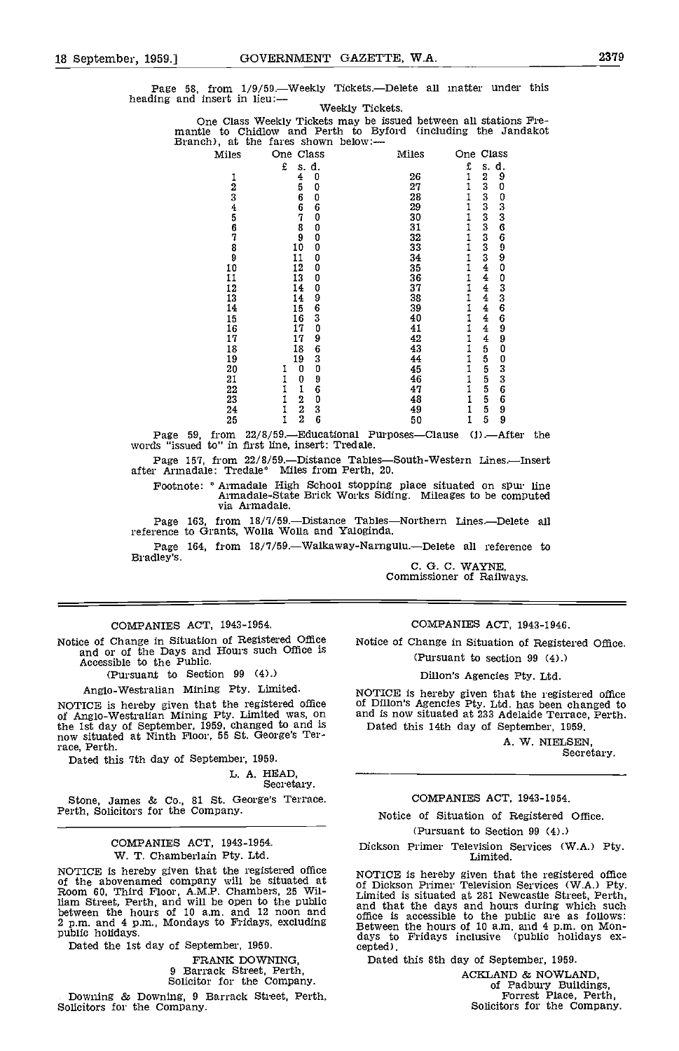Page 58, from 1/9/59.—Weekly Tickets.—Delete all matter under this heading and insert in lieu: Weekly Tickets.

One Class Weekly Tickets may be issued between all stations Fre- mantle to Chidlow and Perth to Byford (including the Jandakot Branch), at the fares shown below:

| Miles                | One Class                                           | Miles           | One Class                                                        |  |
|----------------------|-----------------------------------------------------|-----------------|------------------------------------------------------------------|--|
|                      | £<br>s.d.                                           |                 | d.<br>£<br>S.                                                    |  |
|                      | 0                                                   | 26              | $\frac{2}{3}$<br>$\begin{matrix} 9 \\ 0 \end{matrix}$<br>1       |  |
|                      | $\frac{4}{5}$<br>0                                  | 27              |                                                                  |  |
|                      |                                                     | 28              |                                                                  |  |
|                      | 6<br>6<br>7<br>0<br>6<br>0                          | 29              | $\frac{1}{1}$                                                    |  |
| 1234567890           |                                                     | 30              | 033669900336<br>$\frac{1}{1}$                                    |  |
|                      | $\begin{smallmatrix}8\9\9\10\end{smallmatrix}$<br>0 | 31              |                                                                  |  |
|                      | 0                                                   | 32              | $\frac{1}{1}$                                                    |  |
|                      | 0                                                   | 33              |                                                                  |  |
|                      | $\begin{matrix} 0 \\ 0 \end{matrix}$<br>11          | 34<br>35        | $\frac{1}{1}$                                                    |  |
|                      | 12                                                  |                 |                                                                  |  |
| 11                   | 0<br>13                                             | $\bar{36}$      |                                                                  |  |
| 12                   | 09630<br>14                                         | 37              | 1                                                                |  |
| 13                   | 14                                                  | $\overline{38}$ |                                                                  |  |
| 14                   | $\frac{15}{16}$<br>$\frac{17}{17}$                  | 39              |                                                                  |  |
|                      |                                                     | 40              | 1                                                                |  |
| 15<br>15<br>16<br>17 |                                                     | 41              | $\begin{array}{c} 6 \\ 9 \\ 9 \\ 0 \end{array}$<br>$\frac{1}{1}$ |  |
|                      | 9<br>17                                             | 42              |                                                                  |  |
| 18                   | $\frac{6}{3}$<br>18                                 | 43              | 1                                                                |  |
| 19                   | 19                                                  | 44              | $\frac{1}{1}$                                                    |  |
| 20                   | 0                                                   | 45<br>46        |                                                                  |  |
| 21                   | 96036<br>0                                          |                 | 3333333444444444555555555<br>0336699<br>1111<br>111              |  |
| 22                   | 1                                                   | 47              |                                                                  |  |
| 23                   | $\frac{2}{2}$                                       | 48              |                                                                  |  |
| 24                   | $\frac{1}{1}$                                       | 49              |                                                                  |  |
| 25                   |                                                     | 50              |                                                                  |  |

Page 59, from 22/8/59.—Educational Purposes—Clause (j).—After the words 'issued to'' in first line, insert: Tredale.

Page 157, from 22/8/59.—Distance Tables—South-Western Lines.—Insert after Armadale: Tredale\* Miles from Perth, 20.

Footnote: \* Armadale High School stopping place situated on spur line Armadale-State Brick Works Siding. Mileages to be computed via Armadale.

Page 163, from  $18/7/59$ . Distance Tables-Northern Lines. Delete all reference to Grants, Wolla Wolla and Yaloginda.

Page 164, from 18/7/59.—Walkaway-Narngulu.—Delete all reference to Bradley's.

C. G. C. WAYNE, Commissioner of Railways.

COMPANIES ACT, 1943-1954.

Notice of Change in Situation of Registered Office and or of the Days and Hours such Office is Accessible to the Public.

(Pursuant to Section 99 (4).)

Anglo-Westralian Mining Pty. Limited.

NOTICE is hereby given that the registered office of Anglo-Westralian Mining Pty. Limited was, on the 1st day of September, 1959, changed to and is  $\Gamma$  now situated at Ninth Floor, 55 St. George's Ternow situated at Ninth Floor, 55 St. George's Terrace. Perth.

Dated this 7th day of September, 1959.

L. A. HEAD, Secretary.

Stone, James & Co., 81 St. George's Terrace, Perth, Solicitors for the Company.

COMPANIES ACT, 1943-1954. W. T. Chamberlain Pty. Ltd.

NOTICE is hereby given that the registered office of the abovenamed company will be situated at of the Room 60, Third Floor, A.M.P. Chambers, 25 William Street, Perth, and will be open to the public between the hours of 10 a.m. and 12 noon and  $2 p.m.$  and  $4 p.m.$ , Mondays to Fridays, excluding  $R_{\text{Bctwe}}$ public holidays.

Dated the 1st day of September, 1959.

FRANK DOWNING, 9 Barrack Street, Perth, Solicitor for the Company.

Downing & DownIng, 9 Barrack Street, Perth, Solicitors for the Company.

### COMPANIES ACT, 1943-1946.

Notice of Change in Situation of Registered Office. (Pursuant to section 99 (4).)

Dillon's Agencies Pty. Ltd.

NOTICE is hereby given that the registered office of Dillon's Agencies Pty. Ltd. has been changed to and is now situated at 233 Adelaide Terrace, Perth. Dated this 14th day of September, 1959.

A. W. NIELSEN,

Secretary.

### COMPANIES ACT, 1943-1954.

Notice of Situation of Registered Office. (Pursuant to Section 99 (4).)

Dickson Primer Television Services (WA.) Pty. Limited.

NOTICE is hereby given that the registered office of Dickson Primer Television Services (W.A.) Pty. Limited is situated at 281 Newcastle Street, Perth. office is accessible to the public are as follows: Between the hours of 10 a.m. and 4 p.m. on Mon-<br>days to Fridays inclusive (public holidays ex-<br>cepted).

Dated this 8th day of September, 1959.

ACKLAND & NOWLAND,<br>of Padbury Buildings,<br>Forrest Place, Perth,<br>Solicitors for the Company.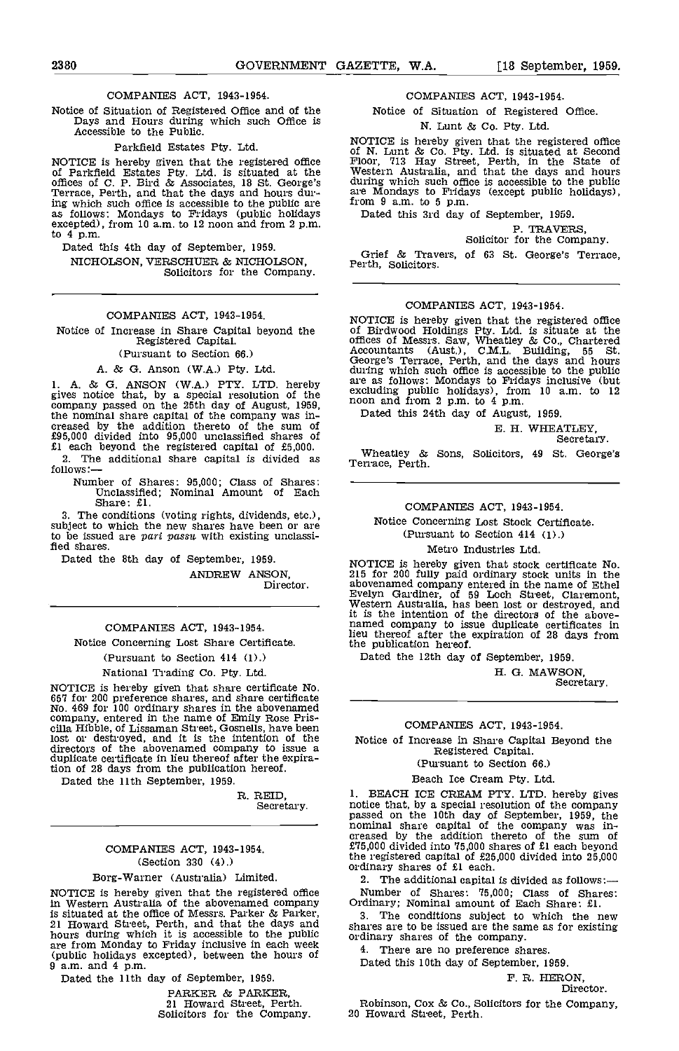### COMPANIES ACT, 1943-1954.

Notice of Situation of Registered Office and of the Days and Hours during which such Office is Accessible to the Public.

### Parkfield Estates Pty. Ltd.

NOTICE is hereby given that the registered office of Parkfield Estates Pty. Ltd. is situated at the offices of C. P. Bird & Associates, 18 St. George's Terrace, Perth, and that the days and hours during which such office is accessible to the public are as follows: Mondays to Fridays (public holidays excepted), from 10 am. to 12 noon and from 2 p.m. to 4 p.m.

Dated this 4th day of September, 1959. NICHOLSON, VERSCHUER & NICHOLSON, Solicitors for the Company.

### COMPANIES ACT, 1943-1954.

Notice of Increase in Share Capital beyond the Registered Capital.

(Pursuant to Section 66.)

A. & G. Anson (W.A.) Pty. Ltd.

1. A. & G. ANSON (W.A.) PTY. LTD. hereby gives notice that, by a special resolution of the Company passed on the company was in-<br>creased by the addition thereto of the sum of<br>the creased by the addition thereto of the sum of<br> $\begin{array}{l}\n\text{E. H. WHEA}\n\end{array}$ <br>creased by the additional share capital is divided shares o

Number of Shares: 95,000; Class of Shares:<br>Unclassified; Nominal Amount of Each<br>Share: £1.

The conditions (voting rights, dividends, etc.), subject to which the new shares have been or are to be issued are pari passu with existing unclassified shares.

Dated the 8th day of September, 1959.

ANDREW ANSON, Director.

COMPANIES ACT, 1943-1954. Notice Concerning Lost Share Certificate.

(Pursuant to Section 414 (1).)

## National Trading Co. Pty. Ltd.

NOTICE is hereby given that share certificate No. 657 for 200 preference shares, and share certificate No. 469 for 100 ordinary shares in the abovenamed company, entered in the name of Emily Rose Pris- cilla Hibble, of Lissaman Street, Gosnells, have been lost or destroyed, and it is the intention of the directors of the abovenamed company to issue a duplicate certificate in lieu thereof after the expiration of 28 days from the publication hereof.

Dated the 11th September, 1959.

R. REID, Secretary.

### COMPANIES ACT, 1943-1954. (Section 330 (4).)

### Borg-Warner (Australia) Limited.

in Western Australia of the abovenamed company<br>is situated at the office of Messrs. Parker & Parker,<br>3. The conditions subject to which the new 21 Howard Street, Perth, and that the days and Shares are to be issued are the sar<br>hours during which it is accessible to the public ordinary shares of the company. hours during which it is accessible to the public ordin are from Monday to Friday inclusive in each week<br>
(public holidays excepted), between the hours of  $\begin{array}{cc} 4. \\ 9 \text{ a.m.} \text{ and } 4 \text{ p.m.} \end{array}$ 9 a.m. and 4 p.m.<br>Dated the 11th day of September, 1959.

PARKER & PARKER, 21 Howard Street, Perth. Solicitors for the Company.

### COMPANIES ACT, 1943-1954.

Notice of Situation of Registered Office.

### N. Lunt & Co. Pty. Ltd.

NOTICE is hereby given that the registered office<br>of N. Lunt & Co. Pty. Ltd. is situated at Second<br>Floor, 713 Hay Street, Perth, in the State of Western Australia, and that the days and hours during which such office is accessible to the public are Mondays to Fridays (except public holidays), from 9 a.m. to 5 p.m.

Dated this 3rd day of September, 1959.

P. TRAVERS, Solicitor for the Company.

Grief & Travers, of 63 St. George's Terrace, Perth, Solicitors.

### COMPANIES ACT, 1943-1954.

NOTICE is hereby given that the registered office of Birdwood Holdings Pty. Ltd. is situate at the offices of Messrs. Saw, Wheatley & Co., Chartered Accountants (Aust.), C.M.L. Building, 55 St. George's Terrace, Perth, and the days and hours during which such office is accessible to the public are as follows: Mondays to Fridays inclusive (but excluding public holidays), from 10 am, to <sup>12</sup> are as follows: Mondays to Fridays inclusive (but excluding public holidays), from 10 a.m. to 12 noon and from 2 p.m. to 4 p.m.

B. H. WHEATLEY, Secretary.

Wheatley & Sons, Solicitors, 49 St. George's

### COMPANIES ACT, 1943-1954.

Notice Concerning Lost Stock Certificate. (Pursuant to Section 414 (1).)

### Metro Industries Ltd.

NOTICE is hereby given that stock certificate No.<br>215 for 200 fully paid ordinary stock units in the abovenamed company entered in the name of Ethel Evelyn Gardiner, of 59 Loch Street, Claremont, Western Australia, has been lost or destroyed, and it is the intention of the directors of the abovenamed company to issue duplicate certificates In lieu thereof after the expiration of 28 days from the publication hereof.

Dated the 12th day of September, 1959.

H. G. MAWSON, Secretary.

### COMPANIES ACT, 1943-1954.

Notice of Increase In Share Capital Beyond the Registered Capital.

(Pursuant to Section 66.)

Beach Ice Cream Pty. Ltd

1. BEACH ICE CREAM PTY. LTD. hereby gives notice that, by a special resolution of the company passed on the 10th day of September, 1959, the nominal share capital of the company was increased by the addition thereto of th the registered capital of £25,000 divided into 25,000 ordinary shares of £1 each.

NOTICE is hereby given that the registered office 2. The additional capital is divided as follows:—<br>Number of Shares: 75,000; Class of Shares:

Ordinary; Nominal amount of Each Share:  $f1$ .<br>3. The conditions subject to which the new shares are to be issued are the same as for existing

4. There are no preference shares.

Dated this 10th day of September, 1959.

F. R, HERON,

Director.

Robinson, Cox & Co., Solicitors for the Company, 20 Howard Street, Perth.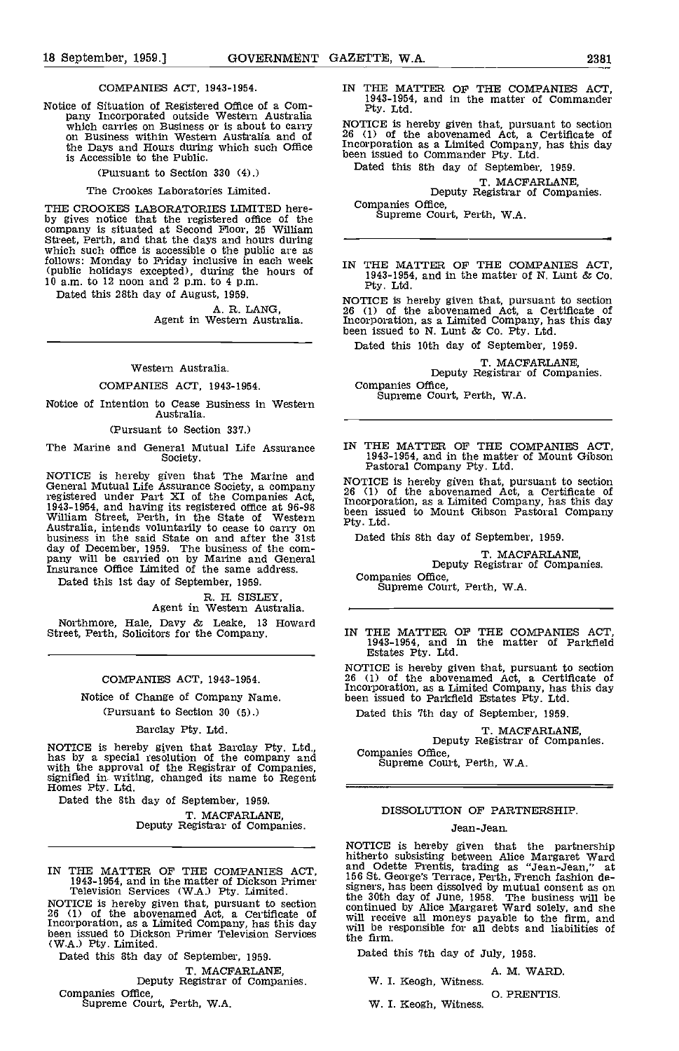### COMPANIES ACT, 1943-1954.

Notice of Situation of Registered Office of a Com-<br>
pany Incorporated outside Western Australia<br>
which carries on Business or is about to carry NOTICE is h<br>
on Business within Western Australia and of  $\frac{26}{5}$  (1) of th the Days and Hours during which such Office is Accessible to the Public.

(Pursuant to Section 330 (4).)

### The Crookes Laboratories Limited.

THE CROOKES LABORATORIES LIMITED hereby gives notice that the registered office of the company is situated at Second Floor, 25 William Street, Perth, and that the days and hours during which such office is accessible o the public are as follows: Monday to Friday inclusive in each week (public holidays excepted), during the hours of 10 am. to 12 noon and 2 p.m. to 4 p.m. 10 a.m. to 12 noon and 2 p.m. to 4 p.m.<br>Dated this 28th day of August, 1959.

A. R. LANG,<br>Agent in Western Australia.

### Western Australia.

### COMPANIES ACT, 1943-1954.

Notice of Intention to Cease Business in Western Australia.

(Pursuant to Section 337.)

Society.

EXECT IS hereby given that The Marine and Fastoral Company Pty. Ltd.<br>
General Mutual Life Assurance Society, a company 26 (1) of the ereby given that, p<br>
registered under Part XI of the Companies Act, Frequency and Act, registered under Part XI of the Companies Act,<br>1943-1954, and having its registered office at 96-98<br>William Street, Perth, in the State of Western been is<br>Australia, intends voluntarily to cease to carry on<br>business in the day of December, 1959. The business of the com-<br>pany will be carried on by Marine and General<br>Insurance Office Limited of the same address.

Dated this 1st day of September, 1959.

## R. H. SISLEY, Agent in Western Australia.

Northmore, Hale, Davy & Leake, 13 Howard Street, Perth, Solicitors for the Company.

### COMPANIES ACT, 1943-1954.

Notice of Change of Company Name. (Pursuant to Section 30 (5).)

### Barclay Pty. Ltd.

NOTICE is hereby given that Barclay Pty. Ltd., has by a special resolution of the company and with the approval of the Registrar of Companies, signified in writing, changed its name to Regent Homes Pty. Ltd.

Dated the 8th day of September, 1959. T. MACFARLANE, Deputy Registrar of Companies.

NOTICE is hereby given that, pursuant to section contin<br>26 (1) of the abovenamed Act, a Certificate of contin<br>Incorporation, as a Limited Company, has this day will h been issued to Dickson Primer Television Services the the CW.A.) Pty. Limited.

Dated this 8th day of September, 1959. T. MACFARLANE,<br>Deputy Registrar of Companies.<br>Companies Office, Supreme Court, Perth, W.A.

IN THE MATTER OF THE COMPANIES ACT, 1943-1954, and in the matter of Commander

NOTICE is hereby given that, pursuant to section 26 (1) of the abovenamed Act, a Certificate of Incorporation as a Limited Company, has this day been issued to Commander Pty. Ltd.

Dated this 8th day of September, 1959.

T. MACFARLANE,<br>Deputy Registrar of Companies.<br>Companies Office,

Supreme Court, Perth, W.A.

IN THE MATTER OF THE COMPANIES ACT, 1943-1954, and in the matter of N. Lunt & Co. Pty. Ltd.

NOTICE is hereby given that, pursuant to section <sup>26</sup> (1) of the abovenamed Act, a Certificate of Incorporation, as a Limited Company, has this day been issued to N. Lunt & Co. fly. Ltd.

Dated this 10th day of September, 1959,

T. MACFARLANE,<br>Deputy Registrar of Companies.<br>Companies Office,

Supreme Court, Perth, W.A.

The Marine and General Mutual Life Assurance IN THE MATTER OF THE COMPANIES ACT, 1943-1954, and in the matter of Mount Gibson

> NOTICE is hereby given that, pursuant to section 26 (1) of the abovenamed Act, a Certificate of Incorporation, as a Limited Company, has this day been issued to Mount Gibson Pastoral Company Pty. Ltd.

Dated this 8th day of September, 1959.

T. MACFARLANE, Deputy Registrar of Companies.

Companies Office,<br>Supreme Court, Perth, W.A.

IN THE MATTER OF THE COMPANIES ACT, 1943-1954, and in the matter of Parkfleld Estates Pty. Ltd.

NOTICE is hereby given that, pursuant to section 26 (1) of the abovenamed Act, a Certificate of Incorporation, as a Limited Company, has this day been issued to Parkfield Estates Pty. Ltd.

Dated this 7th day of September, 1959.

T. MACFARLANE,<br>Deputy Registrar of Companies.

Supreme Court, Perth, W.A.

### DISSOLUTION OF PARTNERSHIP.

### Jean-Jean.

IN THE MATTER OF THE COMPANIES ACT,<br>1943-1954, and in the matter of Dickson Primer 156 St. George's Terrace, Perth, French fashion de-<br>1943-1954, and in the matter of Dickson Primer signers, has been dissolved by mutual co NOTICE is hereby given that the partnership hitherto subsisting between Alice Margaret Ward and Odette Prentis, trading as "Jean-Jean" at 156 Stephers, has been dissolved by mutual consent as on the 30th day of June, 1958. The business will be continued by Alice Margaret Ward solely, and she will receive all moneys payable to the firm, and will receive all moneys payable to the firm, and the firm.

Dated this 7th day of July, 1958,

A. M. WARD. W. I. Keogh, Witness.

0. PRENTIS.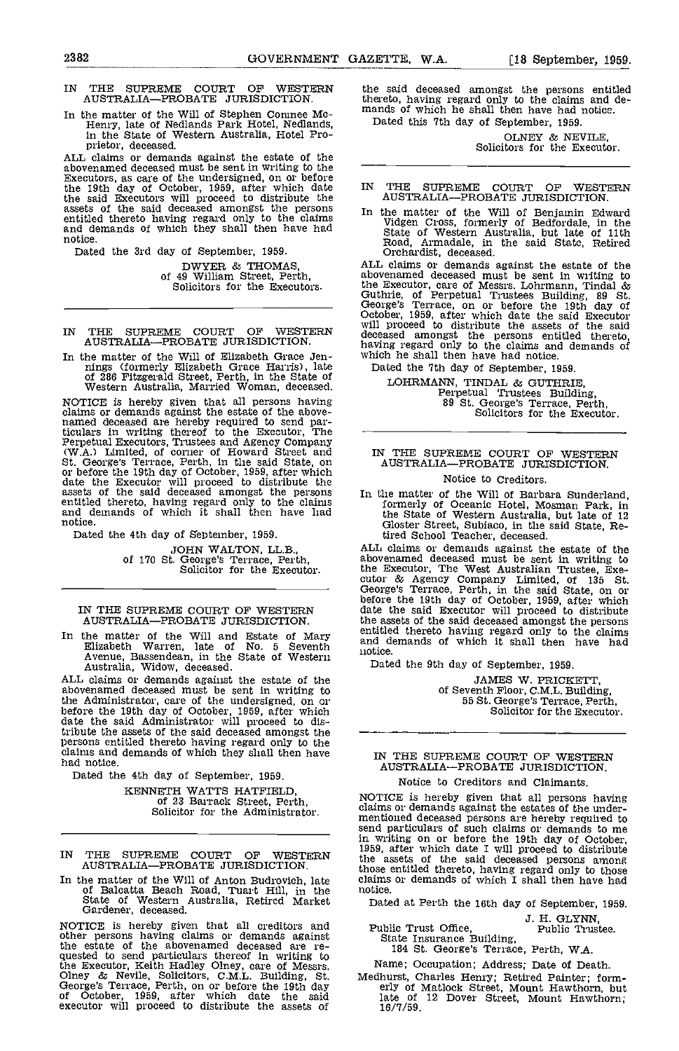IN THE SUPREME COURT OF WESTERN the said der AUSTRALIA-PROBATE JURISDICTION. thereto, havi

In the matter of the Will of Stephen Coninee Mc-<br>Henry, late of Nedlands Park Hotel, Nedlands,<br>in the State of Western Australia, Hotel Pro-

prietor, deceased. ALL claims or demands against the estate of the abovenamed deceased must be sent in writing to the  $\overline{\phantom{a}}$  Executors, as care of the undersigned, on or before the 19th day of October, 1959, after which date IN 1 the said Executors will proceed to distribute the assets of the said deceased amongst the persons entitled thereto having regard only to the claims and emands of which they shall then have had sta notice.

Dated the 3rd day of September, 1959.

DWYER & THOMAS, of 49 William Street, Perth, Solicitors for the Executors.

- IN THE SUPREME COURT OF WESTERN AUSTRALIAPROBATE JURISDICTION.
- In the matter of the Will of Elizabeth Grace Jen-<br>
nings (formerly Elizabeth Grace Harris), late<br>
of 286 Fitzgerald Street, Perth, in the State of<br>
Western Australia, Married Woman, deceased.

NOTICE is hereby given that all persons having claims or demands against the estate of the above-<br>named deceased are hereby required to send par-<br>ticulars in writing thereof to the Executor, The<br>Perpetual Executors, Trustees and Agency Company (W.A.) Limited, of corner of Howard Street and St. George's Terrace, Perth, in the said State, on AU or before the 19th day of October, 1959, after which date the Executor will proceed to distribute the assets of the said deceased amongst the persons In the intitled thereto, having regard only to the claims form and demands of which it shall then have had the notice.

Dated the 4th day of September, 1959.

JOHN WALTON, LL.B.,<br>of 170 St. George's Terrace, Perth,<br>Solicitor for the Executor.

### IN THE SUPREME COURT OF WESTERN AUSTRALIA-PROBATE JURISDICTION.

In the matter of the Will and Estate of Mary Elizabeth Warren, late of No. <sup>5</sup> Seventh Avenue, Bassendean, in the State of Western Australia, Widow, deceased. Australia, Widow, deceased.<br>ALL claims or demands against the estate of the

abovenamed deceased must be sent in writing to the Administrator, care of the undersigned, on or before the 19th day of October, 1959, after which date the said Administrator will proceed to disbut the said Administrator will proceed to distribute the assets of the said deceased amongst the persons entitled thereto having regard only to the claims and demands of which they shall then have had notice.

Dated the 4th day of September, 1959.

KENNETH WATTS HATFIELD, of 23 Barrack Street, Perth, Solicitor for the Administrator.

- IN THE SUPREME COURT OF WESTERN AUSTRALIAPROBATE JURISDICTION.
- In the matter of the Will of Anton Buddrovich, late of Balcatta Beach Road, Tuart Hill, in the State of Western Australia, Retired Market Gardener, deceased.

NOTICE is hereby given that all creditors and <br>other persons having claims or demands against State Insurance Building, other persons having claims or demands against the estate of the abovenamed deceased are re-<br>quested to send particulars thereof in writing to the Executor, Keith Hadley Olney, care of Messrs. Namel Olney & Nevile, Solicitors, C.M.L. Building, St. Medhi<br>George's Terrace, Perth, on or before the 19th day er of October, 1959, after which date the said executer will proceed to distribute the assets of

the said deceased amongst the persons entitled thereto, having regard only to the claims and de- mands of which he shall then have had notice. Dated this 7th day of September, 1959.

OLNEY & NEVILE,<br>Solicitors for the Executor.

## IN THE SUPREME COURT OF WESTERN<br>AUSTRALIA—PROBATE JURISDICTION.

In the matter of the Will of Benjamin Edward Vidgen Cross, formerly of Bedfordale, in the State of Western Australia, but late of 11th Road, Annadale, in the said State, Retired Orchardist, deceased.

ALL claims or demands against the estate of the abovenamed deceased must be sent in writing to<br>the Executor, care of Messrs. Lohrmann, Tindal &<br>Guthrie, of Perpetual Trustees Building, 89 St.<br>George's Terrace, on or before the 19th day of<br>October, 1959, after which date October, 1959, after which date the said Executor will proceed to distribute the assets of the said deceased amongst the persons entitled thereto, having regard only to the claims and demands of which he shall then have ha

Dated the 7th day of September, 1959. LOHRMANN, TINDAL & GUTHRIE,<br>Perpetual Trustees Building,<br>89 St. George's Terrace, Perth,<br>Solicitors for the Executor.

### IN THE SUPREME COURT OF WESTERN AUSTRALIA-PROBATE JURISDICTION.

### Notice to Creditors.

In the matter of the Will of Barbara Sunderland, formerly of Oceanic Hotel, Mosman Park, In the State of Western Australia, but late of 12 Gloster Street, Subiaco, in the said State, Retired School Teacher, deceased.

ALL claims or demands against the estate of the ALL claims or demands against the estate of the<br>abovenamed deceased must be sent in writing to<br>the Executor, The West Australian Trustee, Exe-<br>cutor & Agency Company Limited, of 135 St.<br>George's Terrace, Perth, in the sai entitled thereto having regard only to the claims and demands of which it shall then have had notice.

Dated the 9th day of September, 1959.

JAMES W. PRICKETT, of Seventh Floor, C.M.L. Building, 55 St. George's Terrace, Perth, Solicitor for the Executor.

### IN THE SUPREME COURT OF WESTERN AUSTRALIA-PROBATE JURISDICTION.

### Notice to Creditors and Claimants.

NOTICE is hereby given that all persons having claims or demands against the estates of the under- mentioned deceased persons are hereby required to send particulars of such claims or demands to me in writing on or before the 19th day of October, 1959, after which date I will proceed to distribute the assets of the said deceased persons among those entitled thereto, having regard only to those claims or demands of which I shall then have had notice.

Dated at Perth the 16th day of September, 1959.

J. H. GLYNN,<br>iic Trust Office, Public Trustee.<br>184 St. George's Terrace, Perth, W.A.

Name; Occupation; Address; Date of Death.

Medhurst, Charles Henry; Retired Painter; form-<br>erly of Matlock Street, Mount Hawthorn, but<br>late of 12 Dover Street, Mount Hawthorn;<br>16/7/59.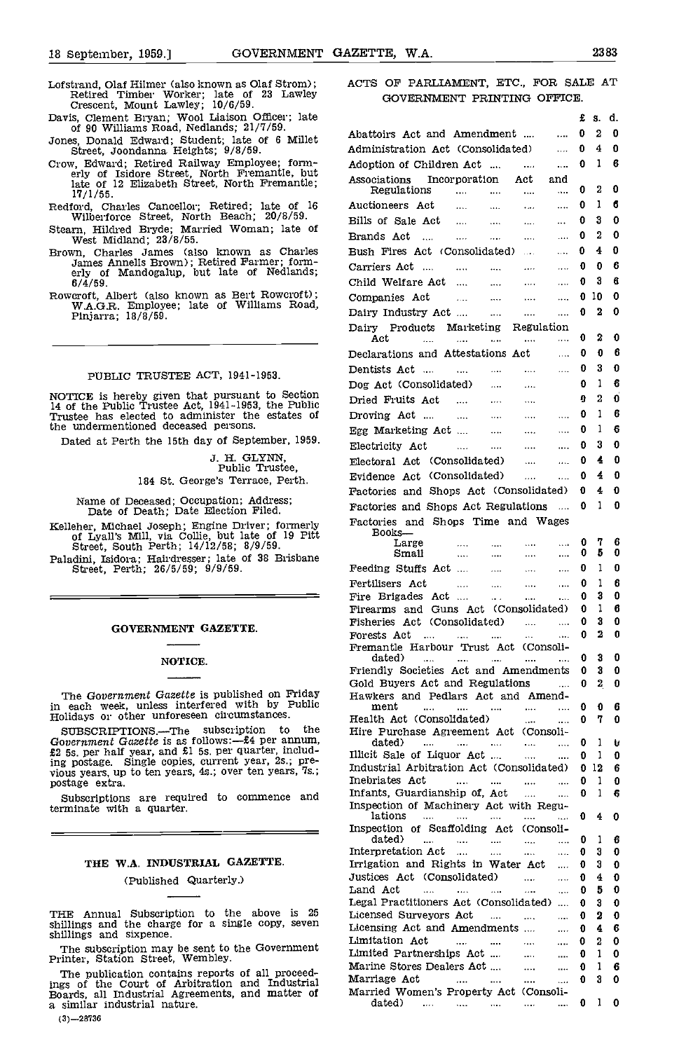- Lofstrand, Olaf Hilmer (also known as Olaf Strom); Retired Timber Worker; late of 23 Lawley Crescent, Mount Lawley; 10/6/59.
- Davis, Clement Bryan; Wool Liaison Officer; late of 90 Williams Road, Nedlands; 21/7/59.
- Jones, Donald Edward; Student; late of 6 Millet Street, Joondanna Heights; 9/8/59.
- Crow, Edward; Retired Railway Employee; form- erly of Isidore Street, North Fremantle, but late of 12 Elizabeth Street, North Fremantle; 17/1/55.
- Redford, Charles Cancellor; Retired; late of 16 Wilberforce Street, North Beach; 20/8/59.
- Steam, Hildred Bryde; Married Woman, late of West Midland; 23/8/55.
- Brown, Charles James (also known as Charles  $J_{\rm am}$  Sannells Brown); Retired Farmer; form-<br>erly of Mandogalup, but late of Nedlands; 6/4/59.
- flowcroft, Albert (also known as Bert Roweroft); W.A.G.R. Employee; late of Williams Road, Pinjarra; 18/8/59.

### PUBLIC TRUSTEE ACT, 1941-1953.

NOTICE is hereby given that pursuant to Section Dried 14 of the Public Trustee Act, 1941-1953, the Public <sup>Drie</sup><br>Trustee has elected to administer the estates of Dro the undermentioned deceased persons.

Dated at Perth the 15th day of September, 1959.

J. H. GLYNN, Public Trustee, 184 St. George's Terrace, Perth.

Name of Deceased; Occupation; Address; Date of Death; Date Election Filed.

Kelleher, Michael Joseph; Engine Driver; formerly of Lyall's Mill, via Collie, but late of 19 Pitt Street, South Perth; 14/12/58; 8/9/59.

Paladini, Isidora; Hairdresser; late of 38 Brisbane Street, Perth; 26/5/59; 9/9/59.

### GOVERNMENT GAZETTE.

### NOTICE.

The Government Gazette is published on Friday in each week, unless interfered with by Public Holidays or other unforeseen circumstances.

SUBSCRIPTIONS.—The subscription to the Government Gazette is as follows:— $E4$  per annum, Government Gazette is as follows: $-54$  per annum,  $£2$  5s, per half year, and £1 5s, per quarter, including postage. Single copies, current year, 2s.; pre-<br>vious years, up to ten years, 4s.; over ten years, '7s.; postage extra.

Subscriptions are required to commence and terminate with a quarter.

### THE W.A. INDUSTRIAL GAZETTE. (Published Quarterly.)

THE Annual Subscription to the above is  $25$  Theoris<br>shillings and the charge for a single copy, seven  $\frac{1}{1}$ shillings and sixpence.

The subscription may be sent to the Government Printer, Station Street, Wembley.

The publication contains reports of all proceed-<br>ings of the Court of Arbitration and Industrial M<br>Boards, all Industrial Agreements, and matter of M<br>a similar industrial nature.

ACTS OF PARLIAMENT, ETC., FOR SALE AT GOVERNMENT PRINTING OFFICE.

|                                                                                                                           |                                                                         |                           |                                       |                               | £      | S.      | d.     |
|---------------------------------------------------------------------------------------------------------------------------|-------------------------------------------------------------------------|---------------------------|---------------------------------------|-------------------------------|--------|---------|--------|
| Abattoirs Act and Amendment                                                                                               |                                                                         |                           |                                       | $\ddotsc$                     | 0      | 2       | 0      |
| Administration Act (Consolidated)                                                                                         |                                                                         |                           |                                       | $\ddotsc$                     | 0      | 4       | 0      |
| Adoption of Children Act                                                                                                  |                                                                         |                           |                                       | $\cdots$                      | 0      | 1       | 6      |
| Associations Incorporation Act                                                                                            |                                                                         |                           |                                       | and                           |        |         |        |
| Regulations                                                                                                               | and the state of                                                        |                           | $\cdots$                              | $\cdots$                      | o      | 2       | 0      |
| Auctioneers Act                                                                                                           |                                                                         |                           |                                       | $\cdots$                      | o      | 1       | 6      |
| Bills of Sale Act                                                                                                         | التبدي المتبدى المتبدي                                                  |                           |                                       | $\cdots$                      | 0      | 3       | 0      |
| Brands Act                                                                                                                | $\ldots \qquad \qquad \ldots \qquad \qquad \ldots \qquad \qquad \ldots$ |                           |                                       | $\ldots$                      | 0      | 2       | 0      |
| Bush Fires Act (Consolidated)                                                                                             |                                                                         |                           |                                       | $\ldots$ .                    | 0      | 4       | 0      |
| Carriers Act                                                                                                              |                                                                         |                           |                                       | $\ldots$                      | 0      | 0       | 6      |
| Child Welfare Act                                                                                                         |                                                                         |                           |                                       |                               | 0      | 3       | 6      |
|                                                                                                                           |                                                                         |                           |                                       | $\cdots$                      |        |         |        |
| Companies Act                                                                                                             |                                                                         |                           |                                       | $\cdots$                      | 0      | 10      | 0      |
| Dairy Industry Act                                                                                                        |                                                                         |                           | $\cdots$                              | $\cdots$                      | 0      | 2       | 0      |
| Dairy Products Marketing Regulation                                                                                       |                                                                         |                           |                                       |                               |        | 2       | 0      |
| Act<br>$\sim$                                                                                                             | <b>Search</b>                                                           | <b>Contract</b>           |                                       | $\cdots$                      | 0      |         |        |
| Declarations and Attestations Act                                                                                         |                                                                         |                           |                                       | <b>Contract</b>               | 0      | 0       | 6      |
| Dentists Act …                                                                                                            |                                                                         |                           | المتبادل المتباد المتباد المتبادر     |                               | 0      | 3       | 0      |
| Dog Act (Consolidated)                                                                                                    |                                                                         |                           |                                       |                               | 0      | 1       | 6      |
| Dried Fruits Act                                                                                                          |                                                                         |                           |                                       |                               | 0      | 2       | 0      |
| Droving Act                                                                                                               |                                                                         |                           |                                       |                               | 0      | 1       | 6      |
| Egg Marketing Act                                                                                                         |                                                                         |                           |                                       | $\cdots$                      | 0      | 1       | 6      |
| Electricity Act                                                                                                           |                                                                         |                           |                                       | $\cdots$                      | 0      | 3       | 0      |
|                                                                                                                           | and the company of the company of the                                   |                           | aaaa in m                             |                               |        | 4       | 0      |
| Electoral Act (Consolidated)                                                                                              |                                                                         |                           |                                       | $\mathbf{A}$ and $\mathbf{A}$ | 0      |         |        |
| Evidence Act (Consolidated)                                                                                               |                                                                         |                           | $\cdots$                              | $\cdots$                      | 0      | 4       | 0      |
| Factories and Shops Act (Consolidated)                                                                                    |                                                                         |                           |                                       |                               | 0      | 4       | 0      |
| Factories and Shops Act Regulations                                                                                       |                                                                         |                           |                                       | $\sim$ $\sim$                 | - 0    | 1       | 0      |
| Factories and Shops Time and Wages                                                                                        |                                                                         |                           |                                       |                               |        |         |        |
| Books—                                                                                                                    |                                                                         |                           |                                       |                               |        |         |        |
| Large<br>$\mathcal{L}_{\text{max}}$ and $\mathcal{L}_{\text{max}}$ . The $\mathcal{L}_{\text{max}}$<br>Small              | <b>Sales</b>                                                            | $\sim 1000$               | $\sim 10^{-11}$                       | $\cdots$<br>$\cdots$          | 0<br>0 | 7<br>5  | 6<br>0 |
| Feeding Stuffs Act                                                                                                        |                                                                         |                           | $\sim 100$ km $^{-1}$<br>$\mathbf{m}$ |                               |        |         | 0      |
|                                                                                                                           |                                                                         |                           |                                       | $\cdots$                      | 0      | 1       |        |
| Fertilisers Act                                                                                                           | المستحدث المساريات                                                      |                           | $\mathbf{m}$                          | $\sim$                        | 0      | 1       | 6      |
| Fire Brigades Act                                                                                                         |                                                                         | $\sim 100$ km s $^{-1}$   |                                       |                               | 0      | 3       | 0      |
| Firearms and Guns Act (Consolidated)                                                                                      |                                                                         |                           |                                       |                               | 0      | 1<br>3  | 6      |
| Fisheries Act (Consolidated)                                                                                              |                                                                         |                           | $\cdots$                              | $\cdots$                      | 0<br>0 | 2       | 0<br>0 |
| Forests Act<br>$\cdots$<br>Fremantle Harbour Trust Act (Consoli-                                                          | $\cdots$                                                                | $\cdots$                  | $\cdots$                              | $\cdots$                      |        |         |        |
| dated)<br><b>Service</b> Contractor                                                                                       | $\sim$ 100 $\sim$                                                       | $\sim 100$ and $\sim 100$ | $\sim$ 100 $\mu$                      | $\cdots$                      | 0      | 3       | 0      |
| Friendly Societies Act and Amendments                                                                                     |                                                                         |                           |                                       |                               | 0      | 3       | 0      |
| Gold Buyers Act and Regulations                                                                                           |                                                                         |                           |                                       | $\frac{1}{2}$                 | 0      | 2       | O      |
| Hawkers and Pedlars Act and Amend-                                                                                        |                                                                         |                           |                                       |                               |        |         |        |
| ment<br><b>Service</b>                                                                                                    | and the state.                                                          |                           | $\cdots$                              | .                             | 0      | 0       | 6      |
| Health Act (Consolidated)                                                                                                 |                                                                         |                           | $\mathbf{r}$                          |                               | 0      | 7       | 0      |
| Hire Purchase Agreement Act (Consoli-                                                                                     |                                                                         |                           |                                       |                               |        |         |        |
| dated)<br>and the state of the state of the state of the state of the state of the state of the state of the state of the |                                                                         |                           | $\sim$                                |                               | 0      | 1       | u      |
| Illicit Sale of Liquor Act<br>Industrial Arbitration Act (Consolidated)                                                   |                                                                         |                           |                                       |                               | 0<br>0 | 1<br>12 | 0      |
| Inebriates Act                                                                                                            |                                                                         |                           |                                       |                               | 0      | 1       | 6<br>0 |
| Infants, Guardianship of, Act                                                                                             |                                                                         |                           | <br>$\cdots$                          |                               | 0      | 1       | 6      |
| Inspection of Machinery Act with Regu-                                                                                    |                                                                         |                           |                                       |                               |        |         |        |
| lations                                                                                                                   |                                                                         |                           |                                       | $\ddotsc$                     | 0      | 4       | 0      |
| Inspection of Scaffolding Act (Consoli-                                                                                   |                                                                         |                           |                                       |                               |        |         |        |
| dated) -<br>المتقدمات المتقدمات المتقدمات                                                                                 |                                                                         |                           | $\sim$ 1000 $\sim$                    | .                             | 0      | 1       | 6      |
| Interpretation Act                                                                                                        |                                                                         |                           | $\ddotsc$                             |                               | 0      | 3       | 0      |
| Irrigation and Rights in Water Act                                                                                        |                                                                         |                           |                                       | $\cdots$                      | 0      | 3       | 0      |
| Justices Act (Consolidated)                                                                                               |                                                                         |                           |                                       | $\cdots$                      | 0      | 4       | 0      |
| Land Act<br>and the state of the state of the                                                                             |                                                                         | $\cdots$                  |                                       | .                             | 0      | 5       | 0      |
| Legal Practitioners Act (Consolidated)                                                                                    |                                                                         |                           |                                       |                               | 0      | 3       | 0      |
| Licensed Surveyors Act                                                                                                    |                                                                         |                           | .                                     |                               | 0      | 2       | 0      |
| Licensing Act and Amendments                                                                                              |                                                                         |                           |                                       | $\cdots$                      | 0      | 4       | 6      |
| Limitation Act                                                                                                            | التبين المتداد                                                          |                           | $\ddotsc$                             | $\ddotsc$                     | 0      | 2       | 0      |
| Limited Partnerships Act                                                                                                  |                                                                         |                           | $\cdots$                              | $\cdots$                      | 0      | 1       | 0      |
| Marine Stores Dealers Act                                                                                                 |                                                                         |                           | $\sim$                                |                               | 0      | 1       | 6      |
| Marriage Act<br>Married Women's Property Act (Consoli-                                                                    | and the state of the state of the                                       |                           | $\cdots$                              | $\ddotsc$                     | 0      | 3       | 0      |
| dated)                                                                                                                    |                                                                         |                           | $\sim$ 100 $\mu$                      |                               | 0      | 1       | 0      |
|                                                                                                                           |                                                                         |                           |                                       |                               |        |         |        |